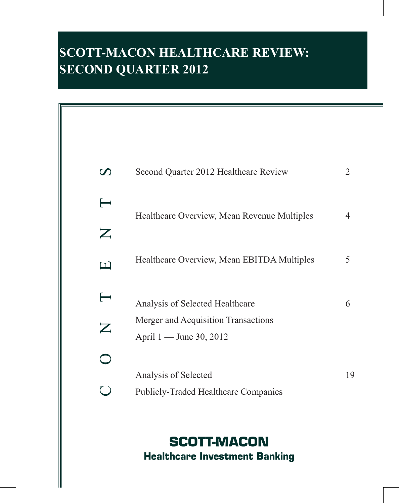# **SCOTT-MACON HEALTHCARE REVIEW: SECOND QUARTER 2012**



# **SCOTT-MACON Healthcare Investment Banking**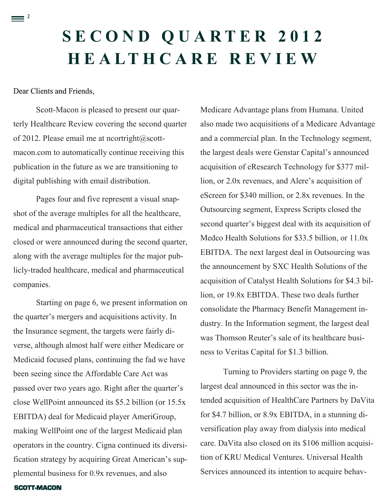# **S E C O N D Q U A R T E R 2 0 1 2 H E A L T H C A R E R E V I E W**

# Dear Clients and Friends,

 $\equiv$ <sup>2</sup>

Scott-Macon is pleased to present our quarterly Healthcare Review covering the second quarter of 2012. Please email me at [ncortright@scott](mailto:ncortright@scott-macon.com)[macon.com](mailto:ncortright@scott-macon.com) to automatically continue receiving this publication in the future as we are transitioning to digital publishing with email distribution.

Pages four and five represent a visual snapshot of the average multiples for all the healthcare, medical and pharmaceutical transactions that either closed or were announced during the second quarter, along with the average multiples for the major publicly-traded healthcare, medical and pharmaceutical companies.

Starting on page 6, we present information on the quarter's mergers and acquisitions activity. In the Insurance segment, the targets were fairly diverse, although almost half were either Medicare or Medicaid focused plans, continuing the fad we have been seeing since the Affordable Care Act was passed over two years ago. Right after the quarter's close WellPoint announced its \$5.2 billion (or 15.5x EBITDA) deal for Medicaid player AmeriGroup, making WellPoint one of the largest Medicaid plan operators in the country. Cigna continued its diversification strategy by acquiring Great American's supplemental business for 0.9x revenues, and also

Medicare Advantage plans from Humana. United also made two acquisitions of a Medicare Advantage and a commercial plan. In the Technology segment, the largest deals were Genstar Capital's announced acquisition of eResearch Technology for \$377 million, or 2.0x revenues, and Alere's acquisition of eScreen for \$340 million, or 2.8x revenues. In the Outsourcing segment, Express Scripts closed the second quarter's biggest deal with its acquisition of Medco Health Solutions for \$33.5 billion, or 11.0x EBITDA. The next largest deal in Outsourcing was the announcement by SXC Health Solutions of the acquisition of Catalyst Health Solutions for \$4.3 billion, or 19.8x EBITDA. These two deals further consolidate the Pharmacy Benefit Management industry. In the Information segment, the largest deal was Thomson Reuter's sale of its healthcare business to Veritas Capital for \$1.3 billion.

Turning to Providers starting on page 9, the largest deal announced in this sector was the intended acquisition of HealthCare Partners by DaVita for \$4.7 billion, or 8.9x EBITDA, in a stunning diversification play away from dialysis into medical care. DaVita also closed on its \$106 million acquisition of KRU Medical Ventures. Universal Health Services announced its intention to acquire behav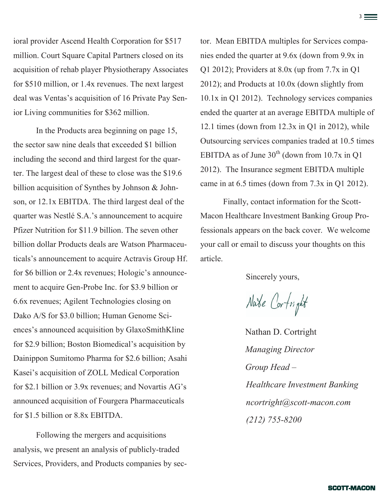ioral provider Ascend Health Corporation for \$517 million. Court Square Capital Partners closed on its acquisition of rehab player Physiotherapy Associates for \$510 million, or 1.4x revenues. The next largest deal was Ventas's acquisition of 16 Private Pay Senior Living communities for \$362 million.

In the Products area beginning on page 15, the sector saw nine deals that exceeded \$1 billion including the second and third largest for the quarter. The largest deal of these to close was the \$19.6 billion acquisition of Synthes by Johnson & Johnson, or 12.1x EBITDA. The third largest deal of the quarter was Nestlé S.A.'s announcement to acquire Pfizer Nutrition for \$11.9 billion. The seven other billion dollar Products deals are Watson Pharmaceuticals's announcement to acquire Actravis Group Hf. for \$6 billion or 2.4x revenues; Hologic's announcement to acquire Gen-Probe Inc. for \$3.9 billion or 6.6x revenues; Agilent Technologies closing on Dako A/S for \$3.0 billion; Human Genome Sciences's announced acquisition by GlaxoSmithKline for \$2.9 billion; Boston Biomedical's acquisition by Dainippon Sumitomo Pharma for \$2.6 billion; Asahi Kasei's acquisition of ZOLL Medical Corporation for \$2.1 billion or 3.9x revenues; and Novartis AG's announced acquisition of Fourgera Pharmaceuticals for \$1.5 billion or 8.8x EBITDA.

Following the mergers and acquisitions analysis, we present an analysis of publicly-traded Services, Providers, and Products companies by sector. Mean EBITDA multiples for Services companies ended the quarter at 9.6x (down from 9.9x in Q1 2012); Providers at 8.0x (up from 7.7x in Q1 2012); and Products at 10.0x (down slightly from 10.1x in Q1 2012). Technology services companies ended the quarter at an average EBITDA multiple of 12.1 times (down from 12.3x in Q1 in 2012), while Outsourcing services companies traded at 10.5 times EBITDA as of June  $30<sup>th</sup>$  (down from 10.7x in Q1) 2012). The Insurance segment EBITDA multiple came in at 6.5 times (down from 7.3x in Q1 2012).

<u>3. In the second contract of the second contract of the second contract of the second contract of the second contract of the second contract of the second contract of the second contract of the second contract of the seco</u>

Finally, contact information for the Scott-Macon Healthcare Investment Banking Group Professionals appears on the back cover. We welcome your call or email to discuss your thoughts on this article.

Sincerely yours,

Nate Cortright

Nathan D. Cortright *Managing Director Group Head – Healthcare Investment Banking ncortright@scott-macon.com (212) 755-8200*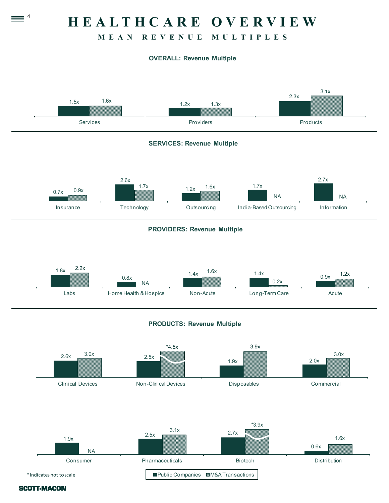# **H E A L T H C A R E O V E R V I E W**

# **M E A N R E V E N U E M U L T I P L E S**

# **OVERALL: Revenue Multiple**





SCOTT-MACON

 $\equiv$  4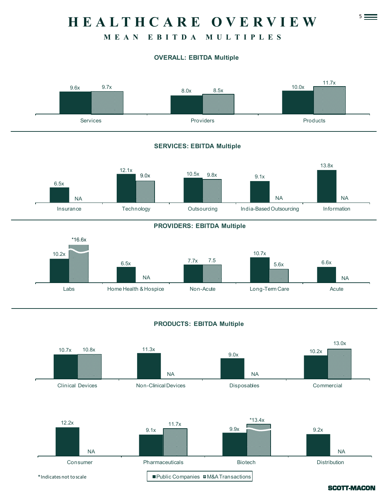# 5 **H E A L T H C A R E O V E R V I E W**

# **M E A N E B I T D A M U L T I P L E S**

### **OVERALL: EBITDA Multiple**



### **SERVICES: EBITDA Multiple**



#### **PROVIDERS: EBITDA Multiple**



### **PRODUCTS: EBITDA Multiple**

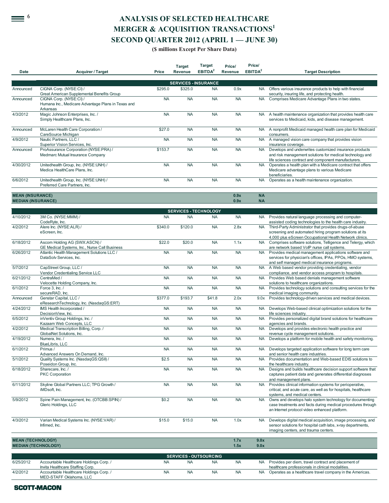# <sup>6</sup> **ANALYSIS OF SELECTED HEALTHCARE MERGER & ACQUISITION TRANSACTIONS<sup>1</sup> SECOND QUARTER 2012 (APRIL 1 — JUNE 30)**

#### **(\$ millions Except Per Share Data)**

| <b>Date</b>                                          | <b>Acquirer / Target</b>                                                                                               | Price     | <b>Target</b><br><b>Revenue</b> | <b>Target</b><br>EBITDA <sup>2</sup> | Price/<br><b>Revenue</b> | Price/<br>EBITDA <sup>2</sup> | <b>Target Description</b>                                                                                                                                                                                 |
|------------------------------------------------------|------------------------------------------------------------------------------------------------------------------------|-----------|---------------------------------|--------------------------------------|--------------------------|-------------------------------|-----------------------------------------------------------------------------------------------------------------------------------------------------------------------------------------------------------|
|                                                      |                                                                                                                        |           |                                 |                                      |                          |                               |                                                                                                                                                                                                           |
|                                                      |                                                                                                                        |           |                                 | <b>SERVICES - INSURANCE</b>          |                          |                               |                                                                                                                                                                                                           |
| Announced                                            | CIGNA Corp. (NYSE:CI) /<br>Great American Supplemental Benefits Group                                                  | \$295.0   | \$325.0                         | <b>NA</b>                            | 0.9x                     | <b>NA</b>                     | Offers various insurance products to help with financial<br>security, insuring life, and protecting health.                                                                                               |
| Announced                                            | CIGNA Corp. (NYSE:CI) /<br>Humana Inc., Medicare Advantage Plans in Texas and<br>Arkansas                              | <b>NA</b> | <b>NA</b>                       | <b>NA</b>                            | <b>NA</b>                | <b>NA</b>                     | Comprises Medicare Advantage Plans in two states.                                                                                                                                                         |
| 4/3/2012                                             | Magic Johnson Enterprises, Inc. /<br>Simply Healthcare Plans, Inc.                                                     | <b>NA</b> | <b>NA</b>                       | <b>NA</b>                            | <b>NA</b>                |                               | NA A health maintenance organization that provides health care<br>services to Medicaid, kids, and disease management.                                                                                     |
| Announced                                            | McLaren Health Care Corporation /<br>CareSource Michigan                                                               | \$27.0    | <b>NA</b>                       | <b>NA</b>                            | <b>NA</b>                | <b>NA</b>                     | A nonprofit Medicaid managed health care plan for Medicaid<br>consumers.                                                                                                                                  |
| 4/9/2012                                             | Nautic Partners, LLC /<br>Superior Vision Services, Inc.                                                               | <b>NA</b> | <b>NA</b>                       | <b>NA</b>                            | <b>NA</b>                | <b>NA</b>                     | A managed vision care company that provides vision<br>insurance coverage.                                                                                                                                 |
| Announced                                            | ProAssurance Corporation (NYSE:PRA) /<br>Medmarc Mutual Insurance Company                                              | \$153.7   | <b>NA</b>                       | <b>NA</b>                            | <b>NA</b>                | <b>NA</b>                     | Develops and underwrites customized insurance products<br>and risk management solutions for medical technology and<br>life sciences contract and component manufacturers.                                 |
| 4/30/2012                                            | Unitedhealth Group, Inc. (NYSE:UNH) /<br>Medica HealthCare Plans, Inc.                                                 | <b>NA</b> | <b>NA</b>                       | <b>NA</b>                            | <b>NA</b>                | <b>NA</b>                     | Operates a health plan with a Medicare contract that offers<br>Medicare advantage plans to various Medicare                                                                                               |
| 6/6/2012                                             | Unitedhealth Group, Inc. (NYSE:UNH) /<br>Preferred Care Partners, Inc.                                                 | <b>NA</b> | <b>NA</b>                       | <b>NA</b>                            | <b>NA</b>                | <b>NA</b>                     | beneficiaries.<br>Operates as a health maintenance organization.                                                                                                                                          |
| <b>MEAN (INSURANCE)</b><br><b>MEDIAN (INSURANCE)</b> |                                                                                                                        |           |                                 |                                      | 0.9x<br>0.9x             | <b>NA</b><br><b>NA</b>        |                                                                                                                                                                                                           |
|                                                      |                                                                                                                        |           |                                 | <b>SERVICES - TECHNOLOGY</b>         |                          |                               |                                                                                                                                                                                                           |
| 4/10/2012                                            | 3M Co. (NYSE:MMM) /<br>CodeRyte, Inc.                                                                                  | <b>NA</b> | <b>NA</b>                       | <b>NA</b>                            | <b>NA</b>                | <b>NA</b>                     | Provides natural language processing and computer-<br>assisted coding technologies to the health care industry.                                                                                           |
| 4/2/2012                                             | Alere Inc. (NYSE:ALR) /<br>eScreen, Inc.                                                                               | \$340.0   | \$120.0                         | <b>NA</b>                            | 2.8x                     | <b>NA</b>                     | Third-Party Administrator that provides drugs-of-abuse<br>screening and automated hiring program solutions at its<br>4,000 plus eScreen Occupational Health Network clinics.                              |
| 6/18/2012                                            | Ascom Holding AG (SWX:ASCN) /                                                                                          | \$22.0    | \$20.0                          | <b>NA</b>                            | 1.1x                     | <b>NA</b>                     | Comprises software solutions, Telligence and Telergy, which                                                                                                                                               |
| 6/26/2012                                            | GE Medical Systems, Inc., Nurse Call Business<br>Atlantic Health Management Solutions LLC /<br>DataSolv Services, Inc. | <b>NA</b> | <b>NA</b>                       | <b>NA</b>                            | <b>NA</b>                | <b>NA</b>                     | are network based VoIP nurse call systems.<br>Provides medical management applications software and<br>services for physician's offices, IPAs, PPOs, HMO systems,                                         |
| 5/7/2012                                             | CapStreet Group, LLC /<br>Vendor Credentialing Service LLC                                                             | <b>NA</b> | <b>NA</b>                       | <b>NA</b>                            | <b>NA</b>                | <b>NA</b>                     | and self managed medical insurance programs.<br>A Web based vendor providing credentialing, vendor<br>compliance, and vendor access program to hospitals.                                                 |
| 6/21/2012                                            | CentraMed /<br>Velocette Holding Company, Inc.                                                                         | <b>NA</b> | <b>NA</b>                       | <b>NA</b>                            | <b>NA</b>                | <b>NA</b>                     | Provides Web based denials management software<br>solutions to healthcare organizations.                                                                                                                  |
| 6/1/2012                                             | Force 3. Inc. /<br>secureRAD, Inc.                                                                                     | <b>NA</b> | <b>NA</b>                       | <b>NA</b>                            | <b>NA</b>                | <b>NA</b>                     | Provides technology solutions and consulting services for the<br>medical imaging community.                                                                                                               |
| Announced                                            | Genstar Capital, LLC /<br>eResearchTechnology, Inc. (NasdaqGS:ERT)                                                     | \$377.0   | \$193.7                         | \$41.8                               | 2.0x                     | 9.0x                          | Provides technology-driven services and medical devices.                                                                                                                                                  |
| 4/24/2012                                            | IMS Health Incorporated /<br>DecisionView, Inc.                                                                        | <b>NA</b> | <b>NA</b>                       | <b>NA</b>                            | <b>NA</b>                | <b>NA</b>                     | Develops Web-based clinical optimization solutions for the<br>life sciences industry.                                                                                                                     |
| 6/5/2012                                             | inVentiv Group Holdings, Inc. /                                                                                        | <b>NA</b> | <b>NA</b>                       | <b>NA</b>                            | <b>NA</b>                | <b>NA</b>                     | Provides personalized digital brand solutions for healthcare                                                                                                                                              |
| 4/2/2012                                             | Kazaam Web Concepts, LLC<br>Medical Transcription Billing, Corp./                                                      | <b>NA</b> | <b>NA</b>                       | <b>NA</b>                            | <b>NA</b>                | <b>NA</b>                     | agencies and brands.<br>Develops and provides electronic health practice and                                                                                                                              |
| 4/19/2012                                            | GlobalNet Solutions, Inc.<br>Numera, Inc. /                                                                            | <b>NA</b> | <b>NA</b>                       | <b>NA</b>                            | <b>NA</b>                |                               | revenue cycle management solutions.<br>NA Develops a platform for mobile health and safety monitoring.                                                                                                    |
| 6/1/2012                                             | BlueLibris, LLC<br>Primus /                                                                                            | NA        | NA.                             | NA                                   | NA                       |                               | NA Develops targeted application software for long term care                                                                                                                                              |
| 5/1/2012                                             | Advanced Answers On Demand, Inc.<br>Quality Systems Inc. (NasdaqGS:QSII) /                                             | \$2.5     | <b>NA</b>                       | <b>NA</b>                            | <b>NA</b>                | <b>NA</b>                     | and senior health care industries.<br>Provides documentation and Web-based EDIS solutions to                                                                                                              |
| 6/18/2012                                            | Poseidon Group, Inc.<br>Sharecare, Inc. /<br><b>PKC Corporation</b>                                                    | <b>NA</b> | <b>NA</b>                       | <b>NA</b>                            | <b>NA</b>                | <b>NA</b>                     | the healthcare industry.<br>Designs and builds healthcare decision support software that<br>captures patient data and generates differential diagnoses                                                    |
| 6/11/2012                                            | Skyline Global Partners LLC; TPG Growth /<br>iMDsoft, Inc.                                                             | <b>NA</b> | <b>NA</b>                       | <b>NA</b>                            | <b>NA</b>                | <b>NA</b>                     | and management plans.<br>Provides clinical information systems for perioperative,<br>critical, and acute care, as well as for hospitals, healthcare                                                       |
| 5/9/2012                                             | Spine Pain Management, Inc. (OTCBB:SPIN) /<br>Gleric Holdings, LLC                                                     | \$0.2     | <b>NA</b>                       | <b>NA</b>                            | <b>NA</b>                | <b>NA</b>                     | systems, and medical centers.<br>Owns and develops halo system technology for documenting<br>case treatments and facts during medical procedures through<br>an Internet protocol video enhanced platform. |
| 4/3/2012                                             | Varian Medical Systems Inc. (NYSE:VAR) /<br>Infimed, Inc.                                                              | \$15.0    | \$15.0                          | <b>NA</b>                            | 1.0x                     | <b>NA</b>                     | Develops digital medical acquisition, image processing, and<br>sensor solutions for hospital cath labs, x-ray departments,<br>imaging centers, and trauma centers.                                        |
| <b>MEAN (TECHNOLOGY)</b>                             | <b>MEDIAN (TECHNOLOGY)</b>                                                                                             |           |                                 |                                      | 1.7x<br>1.5x             | 9.0x<br>9.0x                  |                                                                                                                                                                                                           |
|                                                      |                                                                                                                        |           |                                 | <b>SERVICES - OUTSOURCING</b>        |                          |                               |                                                                                                                                                                                                           |
| 6/25/2012                                            | Accountable Healthcare Holdings Corp. /                                                                                | <b>NA</b> | <b>NA</b>                       | <b>NA</b>                            | <b>NA</b>                |                               | NA Provides per diem, travel contract and placement of                                                                                                                                                    |

Invita Healthcare Staffing Corp. healthcare professionals in clinical modalities. 4/2/2012 Accountable Healthcare Holdings Corp. / MED-STAFF Oklahoma, LLC NA NA NA NA NA NA Operates as a healthcare travel company in the Americas.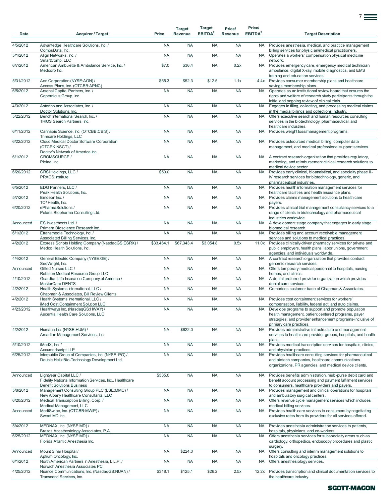| Date      | <b>Acquirer / Target</b>                                                                                                 | Price      | <b>Target</b><br>Revenue | <b>Target</b><br>EBITDA <sup>2</sup> | Price/<br>Revenue | Price/<br>EBITDA <sup>2</sup> | <b>Target Description</b>                                                                                                                                                                                  |
|-----------|--------------------------------------------------------------------------------------------------------------------------|------------|--------------------------|--------------------------------------|-------------------|-------------------------------|------------------------------------------------------------------------------------------------------------------------------------------------------------------------------------------------------------|
| 4/5/2012  | Advantedge Healthcare Solutions, Inc. /<br>CompuData, Inc.                                                               | <b>NA</b>  | <b>NA</b>                | <b>NA</b>                            | <b>NA</b>         | <b>NA</b>                     | Provides anesthesia, medical, and practice management<br>billing services for physician/medical practitioners.                                                                                             |
| 5/1/2012  | Align Networks, Inc. /<br>SmartComp, LLC                                                                                 | <b>NA</b>  | <b>NA</b>                | <b>NA</b>                            | <b>NA</b>         | <b>NA</b>                     | Operates a workers' compensation physical medicine<br>network.                                                                                                                                             |
| 6/7/2012  | American Ambulette & Ambulance Service, Inc. /<br>Medcorp Inc.                                                           | \$7.0      | \$36.4                   | <b>NA</b>                            | 0.2x              | <b>NA</b>                     | Provides emergency care, emergency medical technician,<br>ambulance, digital X-ray, mobile diagnostics, and EMS<br>training and education services.                                                        |
| 5/31/2012 | Aon Corporation (NYSE:AON) /                                                                                             | \$55.3     | \$52.3                   | \$12.5                               | 1.1x              | 4.4x                          | Provides consumer membership plans and healthcare                                                                                                                                                          |
| 6/5/2012  | Access Plans, Inc. (OTCBB:APNC)<br>Arsenal Capital Partners, Inc. /<br>Copernicus Group, Inc.                            | <b>NA</b>  | <b>NA</b>                | <b>NA</b>                            | <b>NA</b>         | <b>NA</b>                     | savings membership plans.<br>Operates as an institutional review board that ensures the<br>rights and welfare of research study participants through the<br>initial and ongoing review of clinical trials. |
| 4/3/2012  | Asterino and Associates, Inc. /<br>Doctor Solutions, Inc.                                                                | <b>NA</b>  | <b>NA</b>                | <b>NA</b>                            | <b>NA</b>         | <b>NA</b>                     | Engages in filing, collecting, and processing medical claims<br>in the medial billings and collections industry.                                                                                           |
| 5/22/2012 | Bench International Search, Inc. /<br>TRIOS Search Partners, Inc.                                                        | <b>NA</b>  | <b>NA</b>                | <b>NA</b>                            | <b>NA</b>         | <b>NA</b>                     | Offers executive search and human resources consulting<br>services in the biotechnology, pharmaceutical, and<br>healthcare industries.                                                                     |
| 6/11/2012 | Cannabis Science, Inc. (OTCBB:CBIS) /<br>Trimcare Holdings, LLC                                                          | <b>NA</b>  | <b>NA</b>                | <b>NA</b>                            | <b>NA</b>         | <b>NA</b>                     | Provides weight loss/management programs.                                                                                                                                                                  |
| 6/22/2012 | Cloud Medical Doctor Software Corporation<br>(OTCPK:NSCT)/<br>Doctor's Network of America Inc.                           | <b>NA</b>  | <b>NA</b>                | <b>NA</b>                            | <b>NA</b>         | <b>NA</b>                     | Provides outsourced medical billing, computer data<br>management, and medical professional support services.                                                                                               |
| 6/1/2012  | CROMSOURCE /<br>Pleiad, Inc.                                                                                             | <b>NA</b>  | <b>NA</b>                | <b>NA</b>                            | <b>NA</b>         | <b>NA</b>                     | A contract research organization that provides regulatory,<br>marketing, and reimbursement clinical research solutions to<br>medical device sector.                                                        |
| 6/20/2012 | CRSI Holdings, LLC /<br><b>PRACS</b> Institute                                                                           | \$50.0     | <b>NA</b>                | <b>NA</b>                            | <b>NA</b>         | <b>NA</b>                     | Provides early clinical, bioanalytical, and specialty phase II -<br>IV research services for biotechnology, generic, and<br>pharmaceutical industries.                                                     |
| 6/5/2012  | EDG Partners, LLC /<br>Peak Health Solutions, Inc.                                                                       | <b>NA</b>  | <b>NA</b>                | <b>NA</b>                            | <b>NA</b>         | <b>NA</b>                     | Provides health information management services for<br>healthcare facilities and health insurance plans.                                                                                                   |
| 5/7/2012  | Emdeon Inc. /<br>TC <sup>3</sup> Health, Inc.                                                                            | <b>NA</b>  | <b>NA</b>                | <b>NA</b>                            | <b>NA</b>         | <b>NA</b>                     | Provides claims management solutions to health care<br>payers.                                                                                                                                             |
| 6/20/2012 | ePharmaSolutions /<br>Polaris Biopharma Consulting Ltd.                                                                  | <b>NA</b>  | <b>NA</b>                | <b>NA</b>                            | <b>NA</b>         | <b>NA</b>                     | Provides clinical trial management consultancy services to a<br>range of clients in biotechnology and pharmaceutical<br>industries worldwide.                                                              |
| Announced | ES Investments Ltd./<br>Primera Bioscience Research Inc.                                                                 | <b>NA</b>  | <b>NA</b>                | <b>NA</b>                            | <b>NA</b>         | <b>NA</b>                     | A development stage company that engages in early stage<br>biomedical research.                                                                                                                            |
| 6/1/2012  | Etransmedia Technology, Inc. /<br>Associated Billing Services, Inc.                                                      | <b>NA</b>  | <b>NA</b>                | <b>NA</b>                            | <b>NA</b>         | <b>NA</b>                     | Provides billing and account receivable management<br>services and solutions to medical practices.                                                                                                         |
| 4/2/2012  | Express Scripts Holding Company (NasdaqGS:ESRX) /<br>Medco Health Solutions, Inc.                                        | \$33,464.1 | \$67,343.4               | \$3,054.8                            | 0.5x              | 11.0x                         | Provides clinically-driven pharmacy services for private and<br>public employers, health plans, labor unions, government<br>agencies, and individuals worldwide.                                           |
| 4/4/2012  | General Electric Company (NYSE:GE) /<br>SeqWright, Inc.                                                                  | <b>NA</b>  | <b>NA</b>                | <b>NA</b>                            | <b>NA</b>         | <b>NA</b>                     | A contract research organization that provides contract<br>genomic research services.                                                                                                                      |
| Announced | Gifted Nurses LLC /<br>Robison Medical Resource Group LLC                                                                | <b>NA</b>  | <b>NA</b>                | <b>NA</b>                            | <b>NA</b>         | <b>NA</b>                     | Offers temporary medical personnel to hospitals, nursing<br>homes, and clinics.                                                                                                                            |
| 4/10/2012 | Guardian Life Insurance Company of America /<br>MasterCare DENTS                                                         | <b>NA</b>  | <b>NA</b>                | <b>NA</b>                            | <b>NA</b>         | <b>NA</b>                     | A dental preferred provider organization which provides<br>dental care services.                                                                                                                           |
| 4/2/2012  | Health Systems International, LLC /<br>Chapman & Associates, Bill Review Clients                                         | <b>NA</b>  | <b>NA</b>                | <b>NA</b>                            | <b>NA</b>         | <b>NA</b>                     | Comprises customer base of Chapman & Associates.                                                                                                                                                           |
| 4/2/2012  | Health Systems International, LLC /<br>iMed Cost Containment Solution LLC                                                | <b>NA</b>  | <b>NA</b>                | <b>NA</b>                            | <b>NA</b>         | <b>NA</b>                     | Provides cost containment services for workers'<br>compensation, liability, federal act, and auto claims.                                                                                                  |
| 4/23/2012 | Healthways Inc. (NasdaqGS:HWAY) /<br>Ascentia Health Care Solutions, LLC                                                 | <b>NA</b>  | <b>NA</b>                | <b>NA</b>                            | <b>NA</b>         | <b>NA</b>                     | Develops programs to support and promote population<br>health management, patient centered programs, payer<br>strategies, and provider enhancement programs-inclusive of<br>primary care practices.        |
| 4/2/2012  | Humana Inc. (NYSE:HUM) /<br>Arcadian Management Services, Inc.                                                           | <b>NA</b>  | \$622.0                  | <b>NA</b>                            | <b>NA</b>         | <b>NA</b>                     | Provides administrative infrastructure and management<br>services to health care provider groups, hospitals, and health<br>plans.                                                                          |
| 5/10/2012 | iMedX, Inc./<br>Accumedscript LLP                                                                                        | <b>NA</b>  | <b>NA</b>                | <b>NA</b>                            | <b>NA</b>         | <b>NA</b>                     | Provides medical transcription services for hospitals, clinics,<br>and physician practices.                                                                                                                |
| 6/25/2012 | Interpublic Group of Companies, Inc. (NYSE:IPG) /<br>Double Helix Bio-Technology Development Ltd.                        | <b>NA</b>  | <b>NA</b>                | <b>NA</b>                            | <b>NA</b>         | <b>NA</b>                     | Provides healthcare consulting services for pharmaceutical<br>and biotech companies, healthcare communications<br>organizations, PR agencies, and medical device clients.                                  |
| Announced | Lightyear Capital LLC /<br>Fidelity National Information Services, Inc., Healthcare<br><b>Benefit Solutions Business</b> | \$335.0    | <b>NA</b>                | <b>NA</b>                            | <b>NA</b>         | <b>NA</b>                     | Provides benefits administration, multi-purse debit card and<br>benefit account processing and payment fulfillment services<br>to consumers, healthcare providers and payers.                              |
| 5/8/2012  | Management Consulting Group PLC (LSE:MMC) /<br>New Albany Healthcare Consultants, LLC                                    | <b>NA</b>  | <b>NA</b>                | <b>NA</b>                            | <b>NA</b>         | <b>NA</b>                     | Provides management and clinical operations for hospitals<br>and ambulatory surgical centers.                                                                                                              |
| 6/20/2012 | Medical Transcription Billing, Corp./<br>Medical Management, LLC                                                         | <b>NA</b>  | <b>NA</b>                | <b>NA</b>                            | <b>NA</b>         | <b>NA</b>                     | Offers revenue cycle management services which includes<br>medical billing services.                                                                                                                       |
| Announced | MediSwipe, Inc. (OTCBB:MWIP) /<br>Sweet MD Inc.                                                                          | <b>NA</b>  | <b>NA</b>                | <b>NA</b>                            | <b>NA</b>         | <b>NA</b>                     | Provides health care services to consumers by negotiating<br>exclusive rates from its providers for all services offered.                                                                                  |
| 5/4/2012  | MEDNAX, Inc. (NYSE:MD) /<br>Brazos Anesthesiology Associates, P.A.                                                       | <b>NA</b>  | <b>NA</b>                | <b>NA</b>                            | <b>NA</b>         | <b>NA</b>                     | Provides anesthesia administration services to patients,<br>hospitals, physicians, and co-workers.                                                                                                         |
| 6/25/2012 | MEDNAX, Inc. (NYSE:MD) /<br>Florida Atlantic Anesthesia Inc.                                                             | <b>NA</b>  | <b>NA</b>                | <b>NA</b>                            | <b>NA</b>         | <b>NA</b>                     | Offers anesthesia services for subspecialty areas such as<br>cardiology, orthopedics, endoscopy procedures and plastic<br>surgery.                                                                         |
| Announced | Mount Sinai Hospital /<br>Aptium Oncology, Inc.                                                                          | <b>NA</b>  | \$224.0                  | <b>NA</b>                            | <b>NA</b>         | <b>NA</b>                     | Offers consulting and interim management solutions to<br>hospitals and oncology practices.                                                                                                                 |
| 6/1/2012  | North American Partners In Anesthesia, L.L.P. /<br>Norwich Anesthesia Associates PC                                      | <b>NA</b>  | <b>NA</b>                | <b>NA</b>                            | <b>NA</b>         | <b>NA</b>                     | Offers anesthesiology services.                                                                                                                                                                            |
| 4/25/2012 | Nuance Communications, Inc. (NasdaqGS:NUAN) /<br>Transcend Services, Inc.                                                | \$318.1    | \$125.1                  | \$26.2                               | 2.5x              | 12.2x                         | Provides transcription and clinical documentation services to<br>the healthcare industry.                                                                                                                  |

7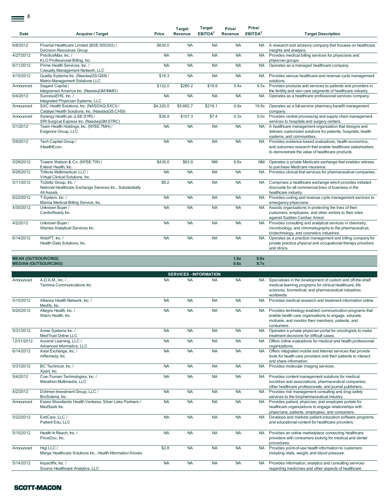$\equiv$ <sup>8</sup>

| Date                      | Acquirer / Target                                                                                 | Price     | <b>Target</b><br><b>Revenue</b> | <b>Target</b><br>EBITDA <sup>2</sup> | Price/<br>Revenue | Price/<br>EBITDA <sup>2</sup> | <b>Target Description</b>                                                                                                                                               |
|---------------------------|---------------------------------------------------------------------------------------------------|-----------|---------------------------------|--------------------------------------|-------------------|-------------------------------|-------------------------------------------------------------------------------------------------------------------------------------------------------------------------|
|                           |                                                                                                   |           |                                 |                                      |                   |                               |                                                                                                                                                                         |
| 6/8/2012                  | Piramal Healthcare Limited (BSE:500302) /<br><b>Decision Resources Group</b>                      | \$635.0   | <b>NA</b>                       | <b>NA</b>                            | <b>NA</b>         |                               | NA A research and advisory company that focuses on healthcare<br>insights and analysis.                                                                                 |
| 4/27/2012                 | PracticeMax, Inc. /<br>KLO Professional Billing, Inc.                                             | <b>NA</b> | <b>NA</b>                       | <b>NA</b>                            | <b>NA</b>         | <b>NA</b>                     | Provides medical billing services for physicians and<br>physician groups.                                                                                               |
| 6/11/2012                 | Prime Health Services, Inc. /<br>Casualty Management Network, LLC                                 | <b>NA</b> | <b>NA</b>                       | <b>NA</b>                            | <b>NA</b>         | <b>NA</b>                     | Operates as a managed healthcare company.                                                                                                                               |
| 4/15/2012                 | Quality Systems Inc. (NasdaqGS:QSII) /<br>Matrix Management Solutions LLC                         | \$16.3    | <b>NA</b>                       | <b>NA</b>                            | <b>NA</b>         | <b>NA</b>                     | Provides various healthcare and revenue cycle management<br>solutions.                                                                                                  |
| Announced                 | Sagard Capital /<br>Integramed America Inc. (NasdaqGM:INMD)                                       | \$122.0   | \$280.2                         | \$18.8                               | 0.4x              |                               | 6.5x Provides products and services to patients and providers in<br>the fertility and vein care segments of healthcare industry.                                        |
| 6/4/2012                  | SuccessEHS, Inc. /<br>Integrated Physician Systems, LLC                                           | <b>NA</b> | <b>NA</b>                       | <b>NA</b>                            | <b>NA</b>         | <b>NA</b>                     | Operates as a healthcare professional services company.                                                                                                                 |
| Announced                 | SXC Health Solutions, Inc. (NASDAQ:SXCI) /<br>Catalyst Health Solutions, Inc. (NasdaqGS:CHSI)     | \$4,320.0 | \$5,662.7                       | \$218.1                              | 0.8x              | 19.8x                         | Operates as a full-service pharmacy benefit management<br>company.                                                                                                      |
| Announced                 | Synergy Health plc (LSE:SYR) /<br>SRI Surgical Express Inc. (NasdaqGM:STRC)                       | \$36.9    | \$107.3                         | \$7.4                                | 0.3x              |                               | 5.0x Provides central processing and supply chain management<br>services to hospitals and surgery centers.                                                              |
| 5/1/2012                  | Team Health Holdings, Inc. (NYSE:TMH) /<br>Exigence Group, LLC                                    | <b>NA</b> | <b>NA</b>                       | <b>NA</b>                            | <b>NA</b>         | <b>NA</b>                     | A healthcare management organization that designs and<br>delivers customized solutions for patients, hospitals, health<br>systems, and communities.                     |
| 5/9/2012                  | Tech Capital Group /<br><b>iHealthEcon</b>                                                        | <b>NA</b> | <b>NA</b>                       | <b>NA</b>                            | <b>NA</b>         | <b>NA</b>                     | Provides evidence-based evaluations, health economics,<br>and outcomes research that enable healthcare stakeholders<br>to demonstrate the value of healthcare products. |
| 5/29/2012                 | Towers Watson & Co. (NYSE:TW) /<br>Extend Health, Inc.                                            | \$435.0   | \$63.9                          | <b>NM</b>                            | 6.8x              | <b>NM</b>                     | Operates a private Medicare exchange that enables retirees<br>to purchase Medicare insurance.                                                                           |
| 6/26/2012                 | Trifecta Multimedical, LLC /<br>Virtual Clinical Solutions, Inc.                                  | <b>NA</b> | <b>NA</b>                       | <b>NA</b>                            | <b>NA</b>         | <b>NA</b>                     | Provides clinical trial services for pharmaceutical companies.                                                                                                          |
| 5/11/2012                 | TriZetto Group, Inc. /<br>National Healthcare Exchange Services Inc., Substantially<br>All Assets | \$8.2     | <b>NA</b>                       | <b>NA</b>                            | <b>NA</b>         | <b>NA</b>                     | Comprises a healthcare exchange which provides initiated<br>discounts for all commercial lines of business in the<br>healthcare industry.                               |
| 6/22/2012                 | T-System, Inc. /<br>Marina Medical Billing Service, Inc.                                          | <b>NA</b> | <b>NA</b>                       | <b>NA</b>                            | <b>NA</b>         |                               | NA Provides coding and revenue cycle management services to<br>emergency physicians.                                                                                    |
| 4/30/2012                 | Unknown Buyer /<br>CardioReady Inc.                                                               | <b>NA</b> | <b>NA</b>                       | <b>NA</b>                            | <b>NA</b>         | <b>NA</b>                     | Assists organizations in protecting the lives of their<br>customers, employees, and other visitors to their sites<br>against Sudden Cardiac Arrest.                     |
| 4/2/2012                  | Unknown Buyer /<br>Warnex Analytical Services Inc.                                                | <b>NA</b> | <b>NA</b>                       | <b>NA</b>                            | <b>NA</b>         | <b>NA</b>                     | Provides consulting and analytical services in chemistry,<br>microbiology, and chromatography to the pharmaceutical,<br>biotechnology, and cosmetics industries.        |
| 6/14/2012                 | WebPT, Inc. /<br>Health Data Solutions, Inc.                                                      | <b>NA</b> | <b>NA</b>                       | <b>NA</b>                            | <b>NA</b>         | <b>NA</b>                     | Operates as a practice management and billing company for<br>private practice physical and occupational therapy providers<br>and clinics.                               |
|                           |                                                                                                   |           |                                 |                                      |                   |                               |                                                                                                                                                                         |
| <b>MEAN (OUTSOURCING)</b> |                                                                                                   |           |                                 |                                      | 1.6x              | 9.8x                          |                                                                                                                                                                         |

# **MEDIAN (OUTSOURCING) 0.6x 8.7x**

|            | <b>SERVICES - INFORMATION</b>                                            |           |           |           |           |           |                                                                                                                                                                                            |  |  |  |  |  |
|------------|--------------------------------------------------------------------------|-----------|-----------|-----------|-----------|-----------|--------------------------------------------------------------------------------------------------------------------------------------------------------------------------------------------|--|--|--|--|--|
|            |                                                                          |           |           |           |           |           |                                                                                                                                                                                            |  |  |  |  |  |
| Announced  | A.D.A.M., Inc. /<br>Taimma Communications Inc.                           | <b>NA</b> | <b>NA</b> | <b>NA</b> | <b>NA</b> | NA.       | Specializes in the development of custom and off-the-shelf<br>medical learning programs for clinical healthcare, life<br>sciences, biomedical, and pharmaceutical industries<br>worldwide. |  |  |  |  |  |
| 5/15/2012  | Alliance Health Network, Inc. /<br>Medify, Inc.                          | <b>NA</b> | <b>NA</b> | <b>NA</b> | <b>NA</b> | <b>NA</b> | Provides medical research and treatment information online.                                                                                                                                |  |  |  |  |  |
| 6/20/2012  | Altegra Health, Inc. /<br>Warm Health, Inc.                              | <b>NA</b> | <b>NA</b> | <b>NA</b> | <b>NA</b> | NA.       | Provides technology enabled communication programs that<br>enable health care organizations to engage, educate,<br>motivate, and monitor their members, patients, and<br>consumers.        |  |  |  |  |  |
| 5/31/2012  | Annai Systems Inc. /<br>MedTrust Online LLC                              | <b>NA</b> | <b>NA</b> | <b>NA</b> | <b>NA</b> | <b>NA</b> | Operates a private physician portal for oncologists to make<br>treatment decisions for difficult cases.                                                                                    |  |  |  |  |  |
| 12/31/2012 | Ascend Learning, LLC /<br>Advanced Informatics, LLC                      | <b>NA</b> | <b>NA</b> | <b>NA</b> | <b>NA</b> | <b>NA</b> | Offers online evaluations for medical and health professional<br>organizations.                                                                                                            |  |  |  |  |  |
| 6/14/2012  | Axial Exchange, Inc. /<br>mRemedy, Inc.                                  | <b>NA</b> | <b>NA</b> | <b>NA</b> | <b>NA</b> | <b>NA</b> | Offers integrated mobile and Internet services that provide<br>tools for health care providers and their patients to interact<br>and share information.                                    |  |  |  |  |  |
| 5/31/2012  | BC Technical, Inc. /<br>Xpert, Inc.                                      | <b>NA</b> | <b>NA</b> | <b>NA</b> | <b>NA</b> | <b>NA</b> | Provides molecular imaging services.                                                                                                                                                       |  |  |  |  |  |
| 5/4/2012   | Coe-Truman Technologies, Inc. /<br>Marathon Multimedia, LLC              | <b>NA</b> | <b>NA</b> | <b>NA</b> | <b>NA</b> | <b>NA</b> | Provides content management solutions for medical<br>societies and associations, pharmaceutical companies,<br>other healthcare professionals, and journal publishers.                      |  |  |  |  |  |
| 4/2/2012   | Dohmen Investment Group, LLC /<br>BioSoteria, Inc.                       | <b>NA</b> | <b>NA</b> | <b>NA</b> | <b>NA</b> | <b>NA</b> | Provides risk management consulting and drug safety<br>services to the biopharmaceutical industry.                                                                                         |  |  |  |  |  |
| Announced  | Essex Woodlands Health Ventures; Silver Lake Partners /<br>MedSeek Inc.  | <b>NA</b> | <b>NA</b> | <b>NA</b> | <b>NA</b> | <b>NA</b> | Provides patient, physician, and employee portals for<br>healthcare organizations to engage relationships with<br>physicians, patients, employees, and consumers.                          |  |  |  |  |  |
| 5/22/2012  | ExitCare, LLC /<br>Patient Edu, LLC                                      | <b>NA</b> | <b>NA</b> | <b>NA</b> | <b>NA</b> | <b>NA</b> | Develops and markets patient education software programs<br>and educational content for healthcare providers.                                                                              |  |  |  |  |  |
| 5/15/2012  | Health In Reach, Inc. /<br>PriceDoc, Inc.                                | <b>NA</b> | <b>NA</b> | <b>NA</b> | <b>NA</b> | NA.       | Provides an online marketplace connecting healthcare<br>providers with consumers looking for medical and dental<br>procedures.                                                             |  |  |  |  |  |
| Announced  | Higi LLC /<br>Merge Healthcare Solutions Inc., Health Information Kiosks | \$2.8     | <b>NA</b> | <b>NA</b> | <b>NA</b> | <b>NA</b> | Provides point-of-use health information to customers<br>including vitals, weight, and blood pressure.                                                                                     |  |  |  |  |  |
| 5/14/2012  | ImpactRx, Inc. /<br>Source Healthcare Analytics, LLC                     | <b>NA</b> | <b>NA</b> | <b>NA</b> | <b>NA</b> | <b>NA</b> | Provides information, analytics and consulting services<br>regarding medicines and other aspects of healthcare                                                                             |  |  |  |  |  |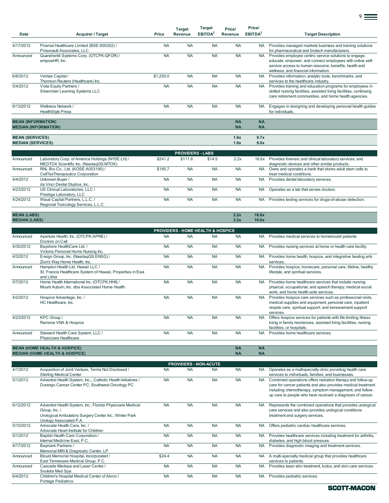| Date                                               | <b>Acquirer / Target</b>                                                                                                                                        | Price                  | <b>Target</b><br>Revenue                     | <b>Target</b><br>EBITDA <sup>2</sup> | Price/<br>Revenue      | Price/<br>EBITDA <sup>2</sup> | <b>Target Description</b>                                                                                                                                                                                                                           |
|----------------------------------------------------|-----------------------------------------------------------------------------------------------------------------------------------------------------------------|------------------------|----------------------------------------------|--------------------------------------|------------------------|-------------------------------|-----------------------------------------------------------------------------------------------------------------------------------------------------------------------------------------------------------------------------------------------------|
| 4/17/2012                                          | Piramal Healthcare Limited (BSE:500302) /<br>Pinsonault Associates, LLC                                                                                         | <b>NA</b>              | <b>NA</b>                                    | <b>NA</b>                            | <b>NA</b>              | <b>NA</b>                     | Provides managed markets business and training solutions<br>for pharmaceutical and biotech manufacturers.                                                                                                                                           |
| Announced                                          | Quandrant4 Systems Corp. (OTCPK:QFOR) /<br>empowHR, Inc.                                                                                                        | <b>NA</b>              | <b>NA</b>                                    | <b>NA</b>                            | <b>NA</b>              | <b>NA</b>                     | Provides employee centric service solutions to engage,<br>educate, empower, and connect employees with online self-<br>service access to human resource, benefits, health and                                                                       |
| 6/6/2012                                           | Veritas Capital /<br>Thomson Reuters (Healthcare) Inc.                                                                                                          | \$1,250.0              | <b>NA</b>                                    | <b>NA</b>                            | <b>NA</b>              | <b>NA</b>                     | wellness, and financial information.<br>Provides information, analytic tools, benchmarks, and<br>services to the healthcare industry.                                                                                                               |
| 5/4/2012                                           | Vista Equity Partners /<br>Silverchair Learning Systems LLC                                                                                                     | <b>NA</b>              | <b>NA</b>                                    | <b>NA</b>                            | <b>NA</b>              | <b>NA</b>                     | Provides training and education programs for employees in<br>skilled nursing facilities, assisted living facilities, continuing<br>care retirement communities, and home health agencies.                                                           |
| 6/13/2012                                          | Wellness Network /<br><b>HealthStvle Press</b>                                                                                                                  | <b>NA</b>              | <b>NA</b>                                    | <b>NA</b>                            | <b>NA</b>              | <b>NA</b>                     | Engages in designing and developing personal health guides<br>for individuals.                                                                                                                                                                      |
| <b>MEAN (INFORMATION)</b>                          | <b>MEDIAN (INFORMATION)</b>                                                                                                                                     |                        |                                              |                                      | <b>NA</b><br><b>NA</b> | <b>NA</b><br><b>NA</b>        |                                                                                                                                                                                                                                                     |
| <b>MEAN (SERVICES)</b><br><b>MEDIAN (SERVICES)</b> |                                                                                                                                                                 |                        |                                              |                                      | 1.6x<br>1.0x           | 9.7x<br>9.0x                  |                                                                                                                                                                                                                                                     |
|                                                    |                                                                                                                                                                 |                        | <b>PROVIDERS - LABS</b>                      |                                      |                        |                               |                                                                                                                                                                                                                                                     |
| Announced                                          | Laboratory Corp. of America Holdings (NYSE:LH) /<br>MEDTOX Scientific Inc. (NasdaqGS:MTOX)                                                                      | \$241.2                | \$111.6                                      | \$14.5                               | 2.2x                   |                               | 16.6x Provides forensic and clinical laboratory services, and<br>diagnostic devices and other similar products.                                                                                                                                     |
| Announced                                          | RNL Bio Co., Ltd. (KOSE:A003190) /<br>CellTexTherapeutics Corporation                                                                                           | \$185.7                | <b>NA</b>                                    | <b>NA</b>                            | <b>NA</b>              | <b>NA</b>                     | Owns and operates a bank that stores adult stem cells to<br>treat medical conditions.                                                                                                                                                               |
| 4/4/2012                                           | Unknown Buyer /<br>da Vinci Dental Studios, Inc.                                                                                                                | <b>NA</b>              | <b>NA</b>                                    | <b>NA</b>                            | <b>NA</b>              | <b>NA</b>                     | Provides dental laboratory services.                                                                                                                                                                                                                |
| 4/23/2012                                          | US Clinical Laboratories, LLC /<br>Prestige Laboratory, LLC                                                                                                     | <b>NA</b><br><b>NA</b> | <b>NA</b>                                    | <b>NA</b>                            | <b>NA</b>              | <b>NA</b>                     | Operates as a lab that serves doctors.                                                                                                                                                                                                              |
| 4/24/2012                                          | Waud Capital Partners, L.L.C. /<br>Regional Toxicology Services, L.L.C.                                                                                         |                        | <b>NA</b>                                    | <b>NA</b>                            | <b>NA</b>              | <b>NA</b>                     | Provides testing services for drugs-of-abuse detection.                                                                                                                                                                                             |
| <b>MEAN (LABS)</b><br><b>MEDIAN (LABS)</b>         |                                                                                                                                                                 |                        |                                              |                                      | 2.2x<br>2.2x           | 16.6x<br>16.6x                |                                                                                                                                                                                                                                                     |
|                                                    |                                                                                                                                                                 |                        | <b>PROVIDERS - HOME HEALTH &amp; HOSPICE</b> |                                      |                        |                               |                                                                                                                                                                                                                                                     |
| Announced                                          | Aperture Health, Inc. (OTCPK:APRE) /<br>Doctors on Call                                                                                                         | <b>NA</b>              | <b>NA</b>                                    | <b>NA</b>                            | <b>NA</b>              | <b>NA</b>                     | Provides medical services to homebound patients.                                                                                                                                                                                                    |
| 4/30/2012                                          | Bayshore HealthCare Ltd. /<br>Victoria Personal Home Nursing Inc.                                                                                               | <b>NA</b>              | <b>NA</b>                                    | <b>NA</b>                            | <b>NA</b>              | NA.                           | Provides nursing services at home or health care facility.                                                                                                                                                                                          |
| 4/3/2012                                           | Ensign Group, Inc. (NasdaqGS:ENSG) /<br>Zion's Way Home Health, Inc.                                                                                            | <b>NA</b>              | <b>NA</b>                                    | <b>NA</b>                            | <b>NA</b>              | <b>NA</b>                     | Provides home health, hospice, and integrative healing arts<br>services.                                                                                                                                                                            |
| Announced                                          | Hampton Health Ltd. Hawaii LLC /<br>St. Francis Healthcare System of Hawaii, Properties in Ewa<br>and Liliha                                                    | <b>NA</b>              | <b>NA</b>                                    | <b>NA</b>                            | <b>NA</b>              | <b>NA</b>                     | Provides hospice, homecare, personal care, lifeline, healthy<br>lifestyle, and spiritual services.                                                                                                                                                  |
| 5/7/2012                                           | Home Health International Inc. (OTCPK:HHII) /<br>Mount Auburn, Inc. dba Associated Home Health                                                                  | <b>NA</b>              | <b>NA</b>                                    | <b>NA</b>                            | <b>NA</b>              | <b>NA</b>                     | Provides home healthcare services that include nursing;<br>physical, occupational, and speech therapy; medical social<br>work; and home health aide services.                                                                                       |
| 4/2/2012                                           | Hospice Advantage, Inc. /<br>HC Healthcare, Inc.                                                                                                                | <b>NA</b>              | <b>NA</b>                                    | <b>NA</b>                            | <b>NA</b>              | <b>NA</b>                     | Provides hospice care services such as professional visits,<br>medical supplies and equipment, personal care, inpatient<br>respite care, spiritual support, and bereavement support<br>services.                                                    |
| 4/23/2012                                          | KPC Group /<br>Ramona VNA & Hospice                                                                                                                             | <b>NA</b>              | <b>NA</b>                                    | <b>NA</b>                            | <b>NA</b>              | <b>NA</b>                     | Offers hospice services for patients with life-limiting illness<br>living in family residences, assisted living facilities, nursing<br>facilities, or hospitals.                                                                                    |
| Announced                                          | Steward Health Care System, LLC /<br>Physicians Healthcare                                                                                                      | <b>NA</b>              | <b>NA</b>                                    | <b>NA</b>                            | <b>NA</b>              | <b>NA</b>                     | Provides home healthcare services.                                                                                                                                                                                                                  |
|                                                    | <b>MEAN (HOME HEALTH &amp; HOSPICE)</b><br><b>MEDIAN (HOME HEALTH &amp; HOSPICE)</b>                                                                            |                        |                                              |                                      | <b>NA</b><br><b>NA</b> | <b>NA</b><br><b>NA</b>        |                                                                                                                                                                                                                                                     |
|                                                    |                                                                                                                                                                 |                        | <b>PROVIDERS - NON-ACUTE</b>                 |                                      |                        |                               |                                                                                                                                                                                                                                                     |
| 4/1/2012                                           | Acquisition of Joint Venture, Terms Not Disclosed /<br><b>Sterling Medical Center</b>                                                                           | <b>NA</b>              | <b>NA</b>                                    | <b>NA</b>                            | <b>NA</b>              |                               | NA Operates as a multispecialty clinic providing health care<br>services to individuals, families, and businesses.                                                                                                                                  |
| 5/1/2012                                           | Adventist Health System, Inc.,; Catholic Health Initiatives /<br>Durango Cancer Center PC; Southwest Oncology PC                                                | <b>NA</b>              | <b>NA</b>                                    | <b>NA</b>                            | <b>NA</b>              | <b>NA</b>                     | Combined operations offers radiation therapy and follow-up<br>care for cancer patients and also provides medical treatment<br>including chemotherapy, symptom management, and follow-<br>up care to people who have received a diagnosis of cancer. |
| 6/12/2012                                          | Adventist Health System, Inc.; Florida Physicians Medical<br>Group, Inc. /<br>Urological Ambulatory Surgery Center Inc.; Winter Park<br>Urology Associated P.A. | <b>NA</b>              | <b>NA</b>                                    | <b>NA</b>                            | <b>NA</b>              | <b>NA</b>                     | Represents the combined operations that provides urological<br>care services and also provides urological conditions<br>treatment and surgery services.                                                                                             |
| 5/10/2012                                          | Advocate Health Care, Inc. /<br>Advocate Heart Institute for Children                                                                                           | <b>NA</b>              | <b>NA</b>                                    | <b>NA</b>                            | <b>NA</b>              | <b>NA</b>                     | Offers pediatric cardiac healthcare services.                                                                                                                                                                                                       |
| 5/1/2012                                           | Baptist Health Care Corporation /<br>Internal Medicine East, P.C.                                                                                               | <b>NA</b>              | <b>NA</b>                                    | <b>NA</b>                            | <b>NA</b>              | <b>NA</b>                     | Provides healthcare services including treatment for arthritis,<br>diabetes, and high blood pressure.                                                                                                                                               |
| 4/17/2012                                          | Baymark Partners /<br>Memorial MRI & Diagnostic Center, LP                                                                                                      | <b>NA</b>              | <b>NA</b>                                    | <b>NA</b>                            | <b>NA</b>              | <b>NA</b>                     | Provides diagnostic imaging and treatment services.                                                                                                                                                                                                 |
| Announced                                          | Blount Memorial Hospital, Incorporated /<br>East Tennessee Medical Group, P.C.                                                                                  | \$24.4                 | <b>NA</b>                                    | <b>NA</b>                            | <b>NA</b>              | <b>NA</b>                     | A multi-specialty medical group that provides healthcare<br>services to patients.                                                                                                                                                                   |
| Announced                                          | Cascade Medspa and Laser Centre /<br>Soulstis Med Spa                                                                                                           | <b>NA</b>              | <b>NA</b>                                    | <b>NA</b>                            | <b>NA</b>              | <b>NA</b>                     | Provides laser skin treatment, botox, and skin care services.                                                                                                                                                                                       |
| 6/4/2012                                           | Children's Hospital Medical Center of Akron /<br>Portage Pediatrics                                                                                             | <b>NA</b>              | <b>NA</b>                                    | <b>NA</b>                            | <b>NA</b>              | <b>NA</b>                     | Provides pediatric services.                                                                                                                                                                                                                        |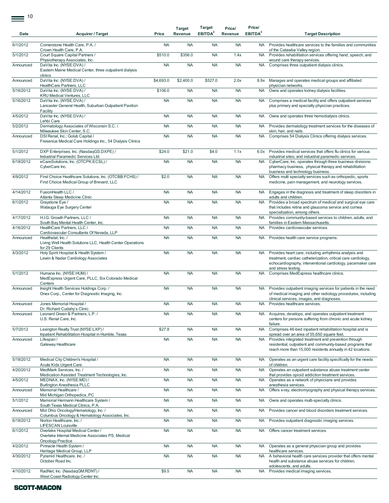$\equiv$ <sup>10</sup>

| Date      | <b>Acquirer / Target</b>                                                                                            | Price     | <b>Target</b><br>Revenue | Target<br>EBITDA <sup>2</sup> | Price/<br>Revenue | Price/<br>EBITDA <sup>2</sup> | <b>Target Description</b>                                                                                                                                                                                     |
|-----------|---------------------------------------------------------------------------------------------------------------------|-----------|--------------------------|-------------------------------|-------------------|-------------------------------|---------------------------------------------------------------------------------------------------------------------------------------------------------------------------------------------------------------|
| 6/1/2012  | Cornerstone Health Care, P.A. /<br>Crown Health Care, P.A.                                                          | <b>NA</b> | <b>NA</b>                | <b>NA</b>                     | <b>NA</b>         | <b>NA</b>                     | Provides healthcare services to the families and communities<br>of the Catawba Valley region.                                                                                                                 |
| 5/1/2012  | Court Square Capital Partners /<br>Physiotherapy Associates, Inc.                                                   | \$510.0   | \$356.0                  | <b>NA</b>                     | 1.4x              | <b>NA</b>                     | Provides rehabilitation services offering hand, speech, and<br>wound care therapy services.                                                                                                                   |
| Announced | DaVita Inc. (NYSE:DVA) /<br>Eastern Maine Medical Center, three outpatient dialysis<br>clinics                      | <b>NA</b> | <b>NA</b>                | <b>NA</b>                     | <b>NA</b>         | <b>NA</b>                     | Comprises three outpatient dialysis clinics.                                                                                                                                                                  |
| Announced | DaVita Inc. (NYSE:DVA) /                                                                                            | \$4,693.0 | \$2,400.0                | \$527.0                       | 2.0x              | 8.9x                          | Manages and operates medical groups and affiliated                                                                                                                                                            |
| 5/16/2012 | HealthCare Partners, LLC<br>DaVita Inc. (NYSE:DVA) /<br><b>KRU Medical Ventures, LLC</b>                            | \$106.0   | <b>NA</b>                | <b>NA</b>                     | <b>NA</b>         | <b>NA</b>                     | physician networks.<br>Owns and operates kidney dialysis facilities.                                                                                                                                          |
| 5/16/2012 | DaVita Inc. (NYSE:DVA) /<br>Lancaster General Health, Suburban Outpatient Pavilion                                  | <b>NA</b> | <b>NA</b>                | <b>NA</b>                     | <b>NA</b>         | <b>NA</b>                     | Comprises a medical facility and offers outpatient services<br>plus primary and specialty physician practices.                                                                                                |
| 4/5/2012  | Facility<br>DaVita Inc. (NYSE:DVA) /<br>Lehbi Care                                                                  | <b>NA</b> | <b>NA</b>                | <b>NA</b>                     | <b>NA</b>         | <b>NA</b>                     | Owns and operates three hemodialysis clinics.                                                                                                                                                                 |
| 5/2/2012  | Dermatology Associates of Wisconsin S.C. /<br>Milwaukee Skin Center, S.C.                                           | <b>NA</b> | <b>NA</b>                | <b>NA</b>                     | <b>NA</b>         | <b>NA</b>                     | Provides dermatology treatment services for the diseases of<br>skin, hair, and nails.                                                                                                                         |
| Announced | DSI Renal, Inc.; Golub Capital /<br>Fresenius Medical Care Holdings Inc., 54 Dialysis Clinics                       | <b>NA</b> | <b>NA</b>                | <b>NA</b>                     | <b>NA</b>         | <b>NA</b>                     | Comprises 54 Dialysis Clinics offering dialysis services.                                                                                                                                                     |
| 5/1/2012  | DXP Enterprises, Inc. (NasdaqGS:DXPE) /<br>Industrial Paramedic Services Ltd.                                       | \$24.0    | \$21.0                   | \$4.0                         | 1.1x              | 6.0x                          | Provides medical services that offers flu clinics for various<br>industrial sites; and industrial paramedic services.                                                                                         |
| 6/18/2012 | eCareSolutions, Inc. (OTCPK:ECSL) /<br>CyberCare Inc.                                                               | <b>NA</b> | <b>NA</b>                | <b>NA</b>                     | <b>NA</b>         | <b>NA</b>                     | CyberCare, Inc. operates through three business divisions:<br>pharmacy business, physical therapy and rehabilitation<br>business and technology business.                                                     |
| 4/9/2012  | First Choice Healthcare Solutions, Inc. (OTCBB:FCHS) /<br>First Choice Medical Group of Brevard, LLC                | \$2.0     | <b>NA</b>                | <b>NA</b>                     | <b>NA</b>         | <b>NA</b>                     | Offers multi specialty services such as orthopedic, sports<br>medicine, pain management, and neurology services.                                                                                              |
| 4/14/2012 | FusionHealth LLC /<br>Atlanta Sleep Medicine Clinic                                                                 | <b>NA</b> | <b>NA</b>                | <b>NA</b>                     | <b>NA</b>         | <b>NA</b>                     | Engages in the diagnosis and treatment of sleep disorders in<br>adults and children.                                                                                                                          |
| 6/1/2012  | Graystone Eye /<br>Watauga Eye Surgery Center                                                                       | <b>NA</b> | <b>NA</b>                | <b>NA</b>                     | <b>NA</b>         | <b>NA</b>                     | Provides a broad spectrum of medical and surgical eye care<br>that includes retina and glaucoma service and cornea<br>specialization, among others.                                                           |
| 4/17/2012 | H.I.G. Growth Partners, LLC /<br>South Bay Mental Health Center, Inc.                                               | <b>NA</b> | <b>NA</b>                | <b>NA</b>                     | <b>NA</b>         | <b>NA</b>                     | Provides community-based services to children, adults, and<br>families in Eastern Massachusetts.                                                                                                              |
| 4/16/2012 | HealthCare Partners, LLC /<br>Cardiovascular Consultants Of Nevada, LLP                                             | <b>NA</b> | <b>NA</b>                | <b>NA</b>                     | <b>NA</b>         | <b>NA</b>                     | Provides cardiovascular services.                                                                                                                                                                             |
| Announced | Healthstat, Inc. /<br>Living Well Health Solutions LLC, Health Center Operations<br>for 29 Clients                  | <b>NA</b> | <b>NA</b>                | <b>NA</b>                     | <b>NA</b>         | <b>NA</b>                     | Provides health care service programs.                                                                                                                                                                        |
| 4/3/2012  | Holy Spirit Hospital & Health System /<br>Lewin & Nadar Cardiology Associates                                       | <b>NA</b> | <b>NA</b>                | <b>NA</b>                     | <b>NA</b>         | <b>NA</b>                     | Provides heart care, including arrhythmia analysis and<br>treatment, cardiac catheterization, critical care cardiology,<br>echocardiography, interventional cardiology, pacemaker care<br>and stress testing. |
| 5/1/2012  | Humana Inc. (NYSE:HUM) /<br>MedExpress Urgent Care, PLLC, Six Colorado Medical<br>Centers                           | <b>NA</b> | <b>NA</b>                | <b>NA</b>                     | <b>NA</b>         | <b>NA</b>                     | Comprises MedExpress healthcare clinics.                                                                                                                                                                      |
| Announced | Insight Health Services Holdings Corp. /<br>Onex Corp., Center for Diagnostic Imaging, Inc.                         | <b>NA</b> | <b>NA</b>                | <b>NA</b>                     | <b>NA</b>         | <b>NA</b>                     | Provides outpatient imaging services for patients in the need<br>of medical imaging and other radiology procedures, including<br>clinical services, images, and diagnoses.                                    |
| Announced | Jones Memorial Hospital /<br>Dr. Richard Cudahy's Clinic                                                            | <b>NA</b> | <b>NA</b>                | <b>NA</b>                     | <b>NA</b>         | <b>NA</b>                     | Provides healthcare services.                                                                                                                                                                                 |
| Announced | Leonard Green & Partners, L.P. /<br>U.S. Renal Care, Inc.                                                           | <b>NA</b> | <b>NA</b>                | <b>NA</b>                     | <b>NA</b>         |                               | NA Acquires, develops, and operates outpatient treatment<br>centers for persons suffering from chronic and acute kidney<br>failure.                                                                           |
| 5/7/2012  | Lexington Realty Trust (NYSE:LXP) /<br>Inpatient Rehabilitation Hospital in Humble, Texas                           | \$27.8    | <b>NA</b>                | <b>NA</b>                     | <b>NA</b>         | <b>NA</b>                     | Comprises 46-bed inpatient rehabilitation hospital and is<br>spread over an area of 55,650 square feet.                                                                                                       |
| Announced | Lifespan/<br>Gateway Healthcare                                                                                     | <b>NA</b> | <b>NA</b>                | <b>NA</b>                     | <b>NA</b>         | <b>NA</b>                     | Provides integrated treatment and prevention through<br>residential, outpatient and community-based programs that<br>reach more than 15,000 residents annually in 42 locations.                               |
| 5/18/2012 | Medical City Children's Hospital /<br>Acute Kids Urgent Care                                                        | <b>NA</b> | <b>NA</b>                | <b>NA</b>                     | <b>NA</b>         | <b>NA</b>                     | Operates as an urgent care facility specifically for the needs<br>of children.                                                                                                                                |
| 4/20/2012 | MedMark Services, Inc. /<br>Medication Assisted Treatment Technologies, Inc.                                        | <b>NA</b> | <b>NA</b>                | <b>NA</b>                     | <b>NA</b>         | <b>NA</b>                     | Operates an outpatient substance abuse treatment center<br>that provides opioid addiction treatment services.                                                                                                 |
| 4/5/2012  | MEDNAX, Inc. (NYSE:MD) /<br><b>Burlington Anesthesia PLLC</b>                                                       | <b>NA</b> | <b>NA</b>                | <b>NA</b>                     | <b>NA</b>         | <b>NA</b>                     | Operates as a network of physicians and provides<br>anesthesia services.                                                                                                                                      |
| Announced | Memorial Healthcare /<br>Mid Michigan Orthopedics, PC                                                               | <b>NA</b> | <b>NA</b>                | <b>NA</b>                     | <b>NA</b>         | <b>NA</b>                     | Offers x-ray, electromyography and physical therapy services.                                                                                                                                                 |
| 5/1/2012  | Memorial Hermann Healthcare System /<br>South Texas Medical Clinics, P.A.                                           | <b>NA</b> | <b>NA</b>                | <b>NA</b>                     | <b>NA</b>         | <b>NA</b>                     | Owns and operates multi-specialty clinics.                                                                                                                                                                    |
| Announced | Mid Ohio Oncology/Hematology, Inc. /<br>Columbus Oncology & Hematology Associates, Inc.                             | <b>NA</b> | <b>NA</b>                | <b>NA</b>                     | <b>NA</b>         | <b>NA</b>                     | Provides cancer and blood disorders treatment services.                                                                                                                                                       |
| 6/18/2012 | Norton Healthcare, Inc. /<br>LIFESCAN Louisville                                                                    | <b>NA</b> | <b>NA</b>                | <b>NA</b>                     | <b>NA</b>         | NA                            | Provides outpatient diagnostic imaging services.                                                                                                                                                              |
| 6/1/2012  | Overlake Hospital Medical Center /<br>Overlake Internal Medicine Associates PS, Medical<br><b>Oncology Practice</b> | <b>NA</b> | <b>NA</b>                | <b>NA</b>                     | <b>NA</b>         | <b>NA</b>                     | Offers cancer treatment services.                                                                                                                                                                             |
| 4/2/2012  | Pinnacle Health System /<br>Heritage Medical Group, LLP                                                             | <b>NA</b> | <b>NA</b>                | <b>NA</b>                     | <b>NA</b>         | <b>NA</b>                     | Operates as a general physician group and provides<br>healthcare services.                                                                                                                                    |
| 4/30/2012 | Pyramid Healthcare, Inc. /<br>October Road Inc.                                                                     | <b>NA</b> | <b>NA</b>                | <b>NA</b>                     | <b>NA</b>         | <b>NA</b>                     | A behavioral health care services provider that offers mental<br>health and substance abuse services for children,<br>adolescents, and adults.                                                                |
| 4/10/2012 | RadNet, Inc. (NasdaqGM:RDNT) /<br>West Coast Radiology Center Inc.                                                  | \$9.5     | <b>NA</b>                | <b>NA</b>                     | <b>NA</b>         | <b>NA</b>                     | Provides medical imaging services.                                                                                                                                                                            |
|           |                                                                                                                     |           |                          |                               |                   |                               |                                                                                                                                                                                                               |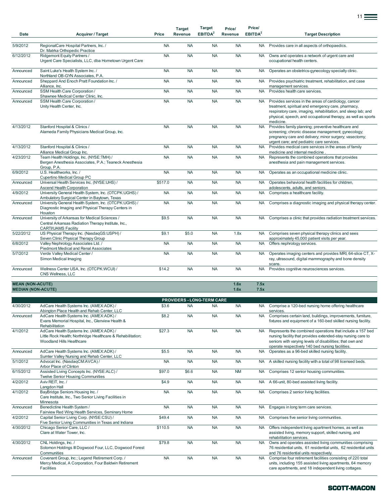| Date                                                 | <b>Acquirer / Target</b>                                                                                                            | Price     | <b>Target</b><br>Revenue | <b>Target</b><br>EBITDA <sup>2</sup> | Price/<br>Revenue | Price/<br>EBITDA <sup>2</sup> | <b>Target Description</b>                                                                                                                                                                                                                                 |
|------------------------------------------------------|-------------------------------------------------------------------------------------------------------------------------------------|-----------|--------------------------|--------------------------------------|-------------------|-------------------------------|-----------------------------------------------------------------------------------------------------------------------------------------------------------------------------------------------------------------------------------------------------------|
| 5/9/2012                                             | RegionalCare Hospital Partners, Inc. /                                                                                              | <b>NA</b> | <b>NA</b>                | <b>NA</b>                            | <b>NA</b>         | <b>NA</b>                     | Provides care in all aspects of orthopaedics.                                                                                                                                                                                                             |
|                                                      | Dr. Matrka Orthopedic Practice                                                                                                      |           |                          |                                      |                   |                               |                                                                                                                                                                                                                                                           |
| 6/12/2012                                            | Ridgemont Equity Partners /<br>Urgent Care Specialists, LLC, dba Hometown Urgent Care                                               | <b>NA</b> | <b>NA</b>                | <b>NA</b>                            | <b>NA</b>         | <b>NA</b>                     | Owns and operates a network of urgent care and<br>occupational health centers.                                                                                                                                                                            |
| Announced                                            | Saint Luke's Health System Inc. /<br>Northland OB-GYN Associates, P.A.                                                              | <b>NA</b> | <b>NA</b>                | <b>NA</b>                            | <b>NA</b>         | <b>NA</b>                     | Operates an obstetrics-gynecology specialty clinic.                                                                                                                                                                                                       |
| Announced                                            | Sheppard And Enoch Pratt Foundation Inc. /<br>Alliance, Inc.                                                                        | <b>NA</b> | <b>NA</b>                | <b>NA</b>                            | <b>NA</b>         | <b>NA</b>                     | Provides psychiatric treatment, rehabilitation, and case<br>management services.                                                                                                                                                                          |
| Announced                                            | SSM Health Care Corporation /<br>Shawnee Medical Center Clinic, Inc.                                                                | <b>NA</b> | <b>NA</b>                | <b>NA</b>                            | <b>NA</b>         | <b>NA</b>                     | Provides health care services.                                                                                                                                                                                                                            |
| Announced                                            | SSM Health Care Corporation /<br>Unity Health Center, Inc.                                                                          | <b>NA</b> | <b>NA</b>                | <b>NA</b>                            | <b>NA</b>         | <b>NA</b>                     | Provides services in the areas of cardiology, cancer<br>treatment, spiritual and emergency care, pharmacy,<br>respiratory care, imaging, rehabilitation, and sleep lab; and<br>physical, speech, and occupational therapy, as well as sports<br>medicine. |
| 4/13/2012                                            | Stanford Hospital & Clinics /<br>Alameda Family Physicians Medical Group, Inc.                                                      | <b>NA</b> | <b>NA</b>                | <b>NA</b>                            | <b>NA</b>         | <b>NA</b>                     | Provides family planning; preventive healthcare and<br>screening; chronic disease management; gynecology;<br>pregnancy care and delivery; minor surgery; vasectomy;<br>urgent care; and pediatric care services.                                          |
| 4/13/2012                                            | Stanford Hospital & Clinics /<br>Alliance Medical Group Inc.                                                                        | <b>NA</b> | <b>NA</b>                | <b>NA</b>                            | <b>NA</b>         | <b>NA</b>                     | Provides medical care services in the areas of family<br>medicine and internal medicine                                                                                                                                                                   |
| 4/23/2012                                            | Team Health Holdings, Inc. (NYSE:TMH) /<br>Bergen Anesthesia Associates, P.A.; Teaneck Anesthesia<br>Group, P.A.                    | <b>NA</b> | <b>NA</b>                | <b>NA</b>                            | <b>NA</b>         | <b>NA</b>                     | Represents the combined operations that provides<br>anesthesia and pain management services.                                                                                                                                                              |
| 6/9/2012                                             | U.S. Healthworks, Inc. /<br>Cupertino Medical Group PC                                                                              | <b>NA</b> | <b>NA</b>                | <b>NA</b>                            | <b>NA</b>         | <b>NA</b>                     | Operates as an occupational medicine clinic.                                                                                                                                                                                                              |
| Announced                                            | Universal Health Services Inc. (NYSE:UHS) /<br>Ascend Health Corporation                                                            | \$517.0   | <b>NA</b>                | <b>NA</b>                            | <b>NA</b>         | <b>NA</b>                     | Operates behavioral health facilities for children,<br>adolescents, adults, and seniors.                                                                                                                                                                  |
| 4/9/2012                                             | University General Health System, Inc. (OTCPK:UGHS) /<br>Ambulatory Surgical Center in Baytown, Texas                               | <b>NA</b> | <b>NA</b>                | <b>NA</b>                            | <b>NA</b>         | <b>NA</b>                     | Comprises a healthcare facility.                                                                                                                                                                                                                          |
| Announced                                            | University General Health System, Inc. (OTCPK:UGHS) /<br>Diagnostic Imaging and Physical Therapy Centers in<br>Houston              | <b>NA</b> | <b>NA</b>                | <b>NA</b>                            | <b>NA</b>         | <b>NA</b>                     | Comprises a diagnostic imaging and physical therapy center.                                                                                                                                                                                               |
| Announced                                            | University of Arkansas for Medical Sciences /<br>Central Arkansas Radiation Therapy Institute, Inc.,<br><b>CARTI/UAMS Facility</b>  | \$9.5     | <b>NA</b>                | <b>NA</b>                            | <b>NA</b>         | <b>NA</b>                     | Comprises a clinic that provides radiation treatment services.                                                                                                                                                                                            |
| 5/22/2012                                            | US Physical Therapy Inc. (NasdaqGS:USPH) /<br>Seven Clinic Physical Therapy Group                                                   | \$9.1     | \$5.0                    | <b>NA</b>                            | 1.8x              | <b>NA</b>                     | Comprises seven physical therapy clinics and sees<br>approximately 45,000 patient visits per year.                                                                                                                                                        |
| 6/8/2012                                             | Valley Nephrology Associates Ltd. /<br>Piedmont Medical and Renal Associates                                                        | <b>NA</b> | <b>NA</b>                | <b>NA</b>                            | <b>NA</b>         | <b>NA</b>                     | Offers nephrology services.                                                                                                                                                                                                                               |
| 5/7/2012                                             | Verde Valley Medical Center /<br>Simon Medical Imaging                                                                              | <b>NA</b> | <b>NA</b>                | <b>NA</b>                            | <b>NA</b>         | <b>NA</b>                     | Operates imaging centers and provides MRI, 64-slice CT, X-<br>ray, ultrasound, digital mammography and bone density<br>scans.                                                                                                                             |
| Announced                                            | Wellness Center USA, Inc. (OTCPK:WCUI) /<br>CNS Wellness, LLC                                                                       | \$14.2    | <b>NA</b>                | <b>NA</b>                            | <b>NA</b>         | <b>NA</b>                     | Provides cognitive neurosciences services.                                                                                                                                                                                                                |
| <b>MEAN (NON-ACUTE)</b><br><b>MEDIAN (NON-ACUTE)</b> |                                                                                                                                     |           |                          |                                      | 1.6x<br>1.6x      | 7.5x<br>7.5x                  |                                                                                                                                                                                                                                                           |
|                                                      |                                                                                                                                     |           |                          | <b>PROVIDERS - LONG-TERM CARE</b>    |                   |                               |                                                                                                                                                                                                                                                           |
| 4/30/2012                                            | AdCare Health Systems Inc. (AMEX:ADK) /<br>Abington Place Health and Rehab Center, LLC                                              | \$3.6     | <b>NA</b>                | <b>NA</b>                            | <b>NA</b>         |                               | NA Comprise a 120-bed nursing home offering healthcare<br>services.                                                                                                                                                                                       |
| Announced                                            | AdCare Health Systems Inc. (AMEX:ADK) /<br>Evans Memorial Hospital, Inc., Glenview Health &<br>Rehabilitation                       | \$8.2     | <b>NA</b>                | <b>NA</b>                            | <b>NA</b>         | <b>NA</b>                     | Comprises certain land, buildings, improvements, furniture,<br>fixtures and equipment of a 160-bed skilled nursing facility.                                                                                                                              |
| 4/1/2012                                             | AdCare Health Systems Inc. (AMEX:ADK) /<br>Little Rock Health; Northridge Healthcare & Rehabilitation;<br>Woodland Hills Healthcare | \$27.3    | <b>NA</b>                | <b>NA</b>                            | <b>NA</b>         | <b>NA</b>                     | Represents the combined operations that include a 157 bed<br>nursing facility that provides extended-stay nursing care to<br>seniors with varying levels of disabilities; that own and<br>operate respectively 140 bed nursing facilities.                |
| Announced                                            | AdCare Health Systems Inc. (AMEX:ADK) /<br>Sumter Valley Nursing and Rehab Center, LLC                                              | \$5.5     | <b>NA</b>                | <b>NA</b>                            | <b>NA</b>         | <b>NA</b>                     | Operates as a 96-bed skilled nursing facility.                                                                                                                                                                                                            |
| 5/1/2012                                             | Advocat Inc. (NasdaqCM:AVCA) /<br>Arbor Place of Clinton                                                                            | <b>NA</b> | <b>NA</b>                | <b>NA</b>                            | <b>NA</b>         | <b>NA</b>                     | A skilled nursing facility with a total of 98 licensed beds.                                                                                                                                                                                              |
| 6/15/2012                                            | Assisted Living Concepts Inc. (NYSE:ALC) /<br><b>Twelve Senior Housing Communities</b>                                              | \$97.0    | \$6.6                    | <b>NA</b>                            | <b>NM</b>         | <b>NA</b>                     | Comprises 12 senior housing communities.                                                                                                                                                                                                                  |
| 4/2/2012                                             | Aviv REIT, Inc. /<br>Langdon Hall                                                                                                   | \$4.9     | <b>NA</b>                | <b>NA</b>                            | <b>NA</b>         | <b>NA</b>                     | A 66-unit, 80-bed assisted living facility.                                                                                                                                                                                                               |
| 4/1/2012                                             | BayBridge Seniors Housing Inc. /<br>Care Institute, Inc., Two Senior Living Facilities in<br>Minnesota                              | <b>NA</b> | <b>NA</b>                | <b>NA</b>                            | <b>NA</b>         | <b>NA</b>                     | Comprises 2 senior living facilities.                                                                                                                                                                                                                     |

|           | Minnesota                                              |           |           |           |           |           |                                                                  |
|-----------|--------------------------------------------------------|-----------|-----------|-----------|-----------|-----------|------------------------------------------------------------------|
| Announced | Benedictine Health System /                            | <b>NA</b> | <b>NA</b> | <b>NA</b> | <b>NA</b> | <b>NA</b> | Engages in long term care services.                              |
|           | Fairview Red Wing Health Services, Seminary Home       |           |           |           |           |           |                                                                  |
| 4/2/2012  | Capital Senior Living Corp. (NYSE:CSU) /               | \$49.4    | <b>NA</b> | <b>NA</b> | <b>NA</b> | <b>NA</b> | Comprises five senior living communities.                        |
|           | Five Senior Living Communities in Texas and Indiana    |           |           |           |           |           |                                                                  |
| 4/30/2012 | Chicago Senior Care, LLC /                             | \$110.5   | <b>NA</b> | <b>NA</b> | <b>NA</b> | <b>NA</b> | Offers independent living apartment homes, as well as            |
|           | Clare at Water Tower, Inc.                             |           |           |           |           |           | assisted living, memory support, skilled nursing, and            |
|           |                                                        |           |           |           |           |           | rehabilitation services.                                         |
| 4/30/2012 | CNL Holdings, Inc. /                                   | \$79.8    | <b>NA</b> | <b>NA</b> | <b>NA</b> | <b>NA</b> | Owns and operates assisted living communities comprising         |
|           | Solomon Holdings III Dogwood Four, LLC, Dogwood Forest |           |           |           |           |           | 76 residential units, 61 residential units, 62 residential units |
|           | Communities                                            |           |           |           |           |           | and 76 residential units respectively.                           |
| Announced | Covenant Group, Inc.; Legend Retirement Corp. /        | <b>NA</b> | <b>NA</b> | <b>NA</b> | <b>NA</b> | <b>NA</b> | Comprise four retirement facilities consisting of 220 total      |
|           | Mercy Medical, A Corporation, Four Baldwin Retirement  |           |           |           |           |           | units, including 155 assisted living apartments, 64 memory       |
|           | <b>Facilities</b>                                      |           |           |           |           |           | care apartments, and 18 independent living cottages.             |
|           |                                                        |           |           |           |           |           |                                                                  |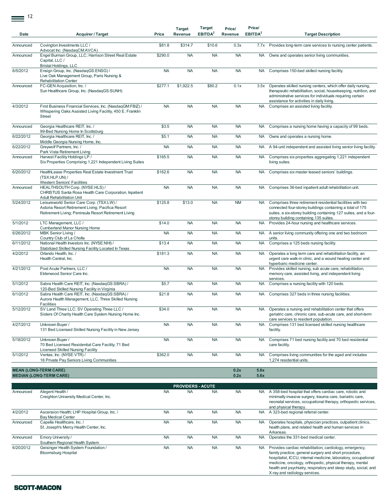$\equiv$ <sup>12</sup>

| Date      | <b>Acquirer / Target</b>                                                                                                                                | Price     | <b>Target</b><br>Revenue | <b>Target</b><br>EBITDA <sup>2</sup> | Price/<br>Revenue | Price/<br>EBITDA <sup>2</sup> | <b>Target Description</b>                                                                                                                                                                                                                                                                                                                          |
|-----------|---------------------------------------------------------------------------------------------------------------------------------------------------------|-----------|--------------------------|--------------------------------------|-------------------|-------------------------------|----------------------------------------------------------------------------------------------------------------------------------------------------------------------------------------------------------------------------------------------------------------------------------------------------------------------------------------------------|
| Announced | Covington Investments LLC /<br>Advocat Inc. (NasdaqCM:AVCA)                                                                                             | \$81.8    | \$314.7                  | \$10.6                               | 0.3x              |                               | 7.7x Provides long-term care services to nursing center patients.                                                                                                                                                                                                                                                                                  |
| Announced | Engel Burman Group, LLC; Harrison Street Real Estate<br>Capital, LLC /<br><b>Bristal Holdings, LLC</b>                                                  | \$290.0   | <b>NA</b>                | <b>NA</b>                            | <b>NA</b>         | <b>NA</b>                     | Owns and operates senior living communities.                                                                                                                                                                                                                                                                                                       |
| 6/5/2012  | Ensign Group, Inc. (NasdagGS:ENSG) /<br>Live Oak Management Group, Paris Nursing &<br>Rehabilitation Center                                             | <b>NA</b> | <b>NA</b>                | <b>NA</b>                            | <b>NA</b>         |                               | NA Comprises 150-bed skilled nursing facility.                                                                                                                                                                                                                                                                                                     |
| Announced | FC-GEN Acquisition, Inc. /<br>Sun Healthcare Group, Inc. (NasdaqGS:SUNH)                                                                                | \$277.1   | \$1,922.5                | \$80.2                               | 0.1x              |                               | 3.5x Operates skilled nursing centers, which offer daily nursing,<br>therapeutic rehabilitation, social, housekeeping, nutrition, and<br>administrative services for individuals requiring certain<br>assistance for activities in daily living.                                                                                                   |
| 4/3/2012  | First Business Financial Services, Inc. (NasdaqGM:FBIZ) /<br>Whispering Oaks Assisted Living Facility, 450 E. Franklin<br>Street                        | <b>NA</b> | <b>NA</b>                | <b>NA</b>                            | <b>NA</b>         | <b>NA</b>                     | Comprises an assisted living facility.                                                                                                                                                                                                                                                                                                             |
| Announced | Georgia Healthcare REIT, Inc. /<br>99-Bed Nursing Home In Scottsburg                                                                                    | \$3.5     | <b>NA</b>                | <b>NA</b>                            | <b>NA</b>         | NA.                           | Comprises a nursing home having a capacity of 99 beds.                                                                                                                                                                                                                                                                                             |
| 6/22/2012 | Georgia Healthcare REIT, Inc. /<br>Middle Georgia Nursing Home, Inc.                                                                                    | \$5.1     | <b>NA</b>                | <b>NA</b>                            | <b>NA</b>         | NA.                           | Owns and operates a nursing home.                                                                                                                                                                                                                                                                                                                  |
| 6/22/2012 | Greywolf Partners, Inc. /<br>Park Vista Retirement Living                                                                                               | <b>NA</b> | <b>NA</b>                | <b>NA</b>                            | <b>NA</b>         | NA.                           | A 94-unit independent and assisted living senior living facility.                                                                                                                                                                                                                                                                                  |
| Announced | Harvest Facility Holdings LP /<br>Six Properties Comprising 1,221 Independent Living Suites                                                             | \$165.5   | <b>NA</b>                | <b>NA</b>                            | <b>NA</b>         | <b>NA</b>                     | Comprises six properties aggregating 1,221 independent<br>living suites.                                                                                                                                                                                                                                                                           |
| 6/20/2012 | HealthLease Properties Real Estate Investment Trust<br>(TSX:HLP.UN) /<br><b>Western Seniors' Facilities</b>                                             | \$162.6   | <b>NA</b>                | <b>NA</b>                            | <b>NA</b>         | <b>NA</b>                     | Comprises six master leased seniors' buildings.                                                                                                                                                                                                                                                                                                    |
| Announced | HEALTHSOUTH Corp. (NYSE:HLS) /<br>CHRISTUS Santa Rosa Health Care Corporation, Inpatient<br>Adult Rehabilitation Unit                                   | <b>NA</b> | <b>NA</b>                | <b>NA</b>                            | <b>NA</b>         | <b>NA</b>                     | Comprises 36-bed inpatient adult rehabilitation unit.                                                                                                                                                                                                                                                                                              |
| 5/24/2012 | Leisureworld Senior Care Corp. (TSX:LW) /<br>Astoria Resort Retirement Living; Pacifica Resort<br>Retirement Living; Peninsula Resort Retirement Living | \$125.8   | \$13.0                   | <b>NA</b>                            | <b>NM</b>         | <b>NA</b>                     | Comprises three retirement residential facilities with two<br>connected four-storey buildings containing a total of 175<br>suites, a six-storey building containing 127 suites, and a four-<br>storey building containing 135 suites.                                                                                                              |
| 5/1/2012  | LTC Management, LLC /<br><b>Cumberland Manor Nursing Home</b>                                                                                           | \$14.0    | <b>NA</b>                | <b>NA</b>                            | <b>NA</b>         | <b>NA</b>                     | Provides 24-hour nursing and healthcare services.                                                                                                                                                                                                                                                                                                  |
| 6/26/2012 | MBK Senior Living /<br>Country Club of La Cholla                                                                                                        | <b>NA</b> | <b>NA</b>                | <b>NA</b>                            | <b>NA</b>         | NA.                           | A senior living community offering one and two bedroom<br>units.                                                                                                                                                                                                                                                                                   |
| 6/11/2012 | National Health Investors Inc. (NYSE:NHI) /<br>Stabilized Skilled Nursing Facility Located In Texas                                                     | \$13.4    | <b>NA</b>                | <b>NA</b>                            | <b>NA</b>         | <b>NA</b>                     | Comprises a 125 beds nursing facility.                                                                                                                                                                                                                                                                                                             |
| 4/2/2012  | Orlando Health, Inc. /<br>Health Central, Inc.                                                                                                          | \$181.3   | <b>NA</b>                | <b>NA</b>                            | <b>NA</b>         | <b>NA</b>                     | Operates a long term care and rehabilitation facility, an<br>urgent care walk-in clinic, and a wound healing center and<br>hyperbaric medicine center.                                                                                                                                                                                             |
| 4/21/2012 | Post Acute Partners, LLC /<br>Elderwood Senior Care Inc.                                                                                                | <b>NA</b> | <b>NA</b>                | <b>NA</b>                            | <b>NA</b>         | <b>NA</b>                     | Provides skilled nursing, sub acute care, rehabilitation,<br>memory care, assisted living, and independent living<br>services.                                                                                                                                                                                                                     |
| 5/1/2012  | Sabra Health Care REIT, Inc. (NasdaqGS:SBRA) /<br>120-Bed Skilled Nursing Facility in Virginia                                                          | \$5.7     | <b>NA</b>                | <b>NA</b>                            | <b>NA</b>         | <b>NA</b>                     | Comprises a nursing facility with 120 beds.                                                                                                                                                                                                                                                                                                        |
| 6/1/2012  | Sabra Health Care REIT, Inc. (NasdaqGS:SBRA) /<br>Aurora Health Management, LLC, Three Skilled Nursing<br><b>Facilities</b>                             | \$21.8    | <b>NA</b>                | <b>NA</b>                            | <b>NA</b>         | <b>NA</b>                     | Comprises 327 beds in three nursing facilities.                                                                                                                                                                                                                                                                                                    |
| 5/12/2012 | SV Land Three LLC; SV Operating Three LLC /<br>Sisters Of Charity Health Care System Nursing Home Inc.                                                  | \$34.0    | <b>NA</b>                | <b>NA</b>                            | <b>NA</b>         | <b>NA</b>                     | Operates a nursing and rehabilitation center that offers<br>geriatric care, chronic care, sub-acute care, and short-term<br>care services to resident population.                                                                                                                                                                                  |
| 4/27/2012 | Unknown Buyer /<br>131 Bed Licensed Skilled Nursing Facility in New Jersey                                                                              | <b>NA</b> | <b>NA</b>                | <b>NA</b>                            | <b>NA</b>         | NA                            | Comprises 131 bed licensed skilled nursing healthcare<br>facility.                                                                                                                                                                                                                                                                                 |
| 5/18/2012 | Unknown Buyer /<br>70 Bed Licensed Residential Care Facility; 71 Bed<br><b>Licensed Skilled Nursing Facility</b>                                        | <b>NA</b> | <b>NA</b>                | <b>NA</b>                            | <b>NA</b>         | <b>NA</b>                     | Comprises 71 bed nursing facility and 70 bed residential<br>care facility.                                                                                                                                                                                                                                                                         |
| 5/1/2012  | Ventas, Inc. (NYSE:VTR) /<br>16 Private Pay Seniors Living Communities                                                                                  | \$362.0   | <b>NA</b>                | <b>NA</b>                            | <b>NA</b>         | <b>NA</b>                     | Comprises living communities for the aged and includes<br>1.274 residential units.                                                                                                                                                                                                                                                                 |
|           | <b>MEAN (LONG-TERM CARE)</b><br><b>MEDIAN (LONG-TERM CARE)</b>                                                                                          |           |                          |                                      | 0.2x<br>0.2x      | 5.6x<br>5.6x                  |                                                                                                                                                                                                                                                                                                                                                    |
|           |                                                                                                                                                         |           | <b>PROVIDERS - ACUTE</b> |                                      |                   |                               |                                                                                                                                                                                                                                                                                                                                                    |
| Announced | Alegent Health /<br>Creighton University Medical Center, Inc.                                                                                           | <b>NA</b> | <b>NA</b>                | <b>NA</b>                            | <b>NA</b>         |                               | NA A 358-bed hospital that offers cardiac care, robotic and<br>minimally invasive surgery, trauma care, bariatric care,<br>neonatal services, occupational therapy, orthopedic services,                                                                                                                                                           |
| 4/2/2012  | Ascension Health; LHP Hospital Group, Inc. /<br><b>Bay Medical Center</b>                                                                               | <b>NA</b> | <b>NA</b>                | <b>NA</b>                            | <b>NA</b>         | <b>NA</b>                     | and physical therapy.<br>A 323-bed regional referral center.                                                                                                                                                                                                                                                                                       |
| Announced | Capella Healthcare, Inc. /<br>St. Joseph's Mercy Health Center, Inc.                                                                                    | <b>NA</b> | <b>NA</b>                | <b>NA</b>                            | <b>NA</b>         | <b>NA</b>                     | Operates hospitals, physician practices, outpatient clinics,<br>health plans, and related health and human services in<br>Arkansas.                                                                                                                                                                                                                |
| Announced | Emory University /<br>Southern Regional Health System                                                                                                   | <b>NA</b> | <b>NA</b>                | <b>NA</b>                            | <b>NA</b>         |                               | NA Operates the 331-bed medical center.                                                                                                                                                                                                                                                                                                            |
| 6/20/2012 | Geisinger Health System Foundation /<br><b>Bloomsburg Hospital</b>                                                                                      | <b>NA</b> | <b>NA</b>                | <b>NA</b>                            | <b>NA</b>         | NA.                           | Provides cardiac rehabilitation, cardiology, emergency,<br>family practice, general surgery and short procedure,<br>hospitalist, ICCU, internal medicine, laboratory, occupational<br>medicine, oncology, orthopedic, physical therapy, mental<br>health and psychiatry, respiratory and sleep study, social, and<br>X-ray and radiology services. |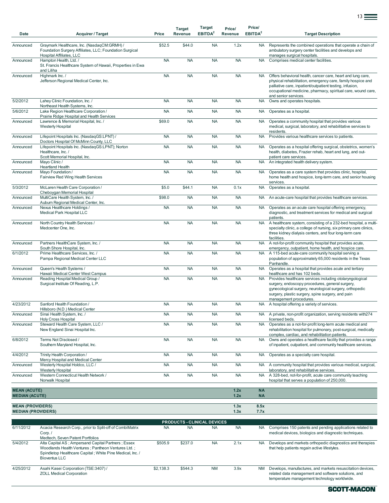| Date                                         | <b>Acquirer / Target</b>                                                                                                                                                                      | Price     | <b>Target</b><br>Revenue | Target<br>EBITDA <sup>2</sup>                   | Price/<br>Revenue | Price/<br>EBITDA <sup>2</sup> | <b>Target Description</b>                                                                                                                                                                                                                                                      |
|----------------------------------------------|-----------------------------------------------------------------------------------------------------------------------------------------------------------------------------------------------|-----------|--------------------------|-------------------------------------------------|-------------------|-------------------------------|--------------------------------------------------------------------------------------------------------------------------------------------------------------------------------------------------------------------------------------------------------------------------------|
| Announced                                    | Graymark Healthcare, Inc. (NasdaqCM:GRMH) /<br>Foundation Surgery Affiliates, LLC; Foundation Surgical<br>Hospital Affiliates, LLC                                                            | \$52.5    | \$44.0                   | <b>NA</b>                                       | 1.2x              | <b>NA</b>                     | Represents the combined operations that operate a chain of<br>ambulatory surgery center facilities and develops and<br>manages surgical hospitals.                                                                                                                             |
| Announced                                    | Hampton Health, Ltd. /<br>St. Francis Healthcare System of Hawaii, Properties in Ewa<br>and Liliha                                                                                            | <b>NA</b> | <b>NA</b>                | <b>NA</b>                                       | <b>NA</b>         | <b>NA</b>                     | Comprises medical center facilities.                                                                                                                                                                                                                                           |
| Announced                                    | Highmark Inc. /<br>Jefferson Regional Medical Center, Inc.                                                                                                                                    | <b>NA</b> | <b>NA</b>                | <b>NA</b>                                       | <b>NA</b>         | <b>NA</b>                     | Offers behavioral health, cancer care, heart and lung care,<br>physical rehabilitation, emergency care, family hospice and<br>palliative care, inpatient/outpatient testing, infusion,<br>occupational medicine, pharmacy, spiritual care, wound care,<br>and senior services. |
| 5/2/2012                                     | Lahey Clinic Foundation, Inc. /                                                                                                                                                               | <b>NA</b> | <b>NA</b>                | <b>NA</b>                                       | <b>NA</b>         | <b>NA</b>                     | Owns and operates hospitals.                                                                                                                                                                                                                                                   |
| 5/6/2012                                     | Northeast Health Systems, Inc.<br>Lake Region Healthcare Corporation /<br>Prairie Ridge Hospital and Health Services                                                                          | <b>NA</b> | <b>NA</b>                | <b>NA</b>                                       | <b>NA</b>         | <b>NA</b>                     | Operates as a hospital.                                                                                                                                                                                                                                                        |
| Announced                                    | Lawrence & Memorial Hospital, Inc. /<br><b>Westerly Hospital</b>                                                                                                                              | \$69.0    | <b>NA</b>                | <b>NA</b>                                       | <b>NA</b>         | <b>NA</b>                     | Operates a community hospital that provides various<br>medical, surgical, laboratory, and rehabilitative services to<br>residents.                                                                                                                                             |
| Announced                                    | Lifepoint Hospitals Inc. (NasdaqGS:LPNT) /<br>Doctors Hospital Of McMinn County, LLC                                                                                                          | <b>NA</b> | <b>NA</b>                | <b>NA</b>                                       | <b>NA</b>         | <b>NA</b>                     | Provides various healthcare services to patients.                                                                                                                                                                                                                              |
| Announced                                    | Lifepoint Hospitals Inc. (NasdaqGS:LPNT); Norton<br>Healthcare, Inc. /<br>Scott Memorial Hospital, Inc.                                                                                       | <b>NA</b> | <b>NA</b>                | <b>NA</b>                                       | <b>NA</b>         | <b>NA</b>                     | Operates as a hospital offering surgical, obstetrics, women's<br>health, diabetes, Frazier rehab, heart and lung, and out-<br>patient care services.                                                                                                                           |
| Announced                                    | Mayo Clinic /<br><b>Heartland Health</b>                                                                                                                                                      | <b>NA</b> | <b>NA</b>                | <b>NA</b>                                       | <b>NA</b>         | <b>NA</b>                     | An integrated health delivery system.                                                                                                                                                                                                                                          |
| Announced                                    | Mayo Foundation /<br>Fairview Red Wing Health Services                                                                                                                                        | <b>NA</b> | <b>NA</b>                | <b>NA</b>                                       | <b>NA</b>         | <b>NA</b>                     | Operates as a care system that provides clinic, hospital,<br>home health and hospice, long-term care, and senior housing<br>services.                                                                                                                                          |
| 5/3/2012                                     | McLaren Health Care Corporation /<br>Cheboygan Memorial Hospital                                                                                                                              | \$5.0     | \$44.1                   | <b>NA</b>                                       | 0.1x              | <b>NA</b>                     | Operates as a hospital.                                                                                                                                                                                                                                                        |
| Announced                                    | MultiCare Health System, Inc. /<br>Aubum Regional Medical Center, Inc.                                                                                                                        | \$98.0    | <b>NA</b>                | <b>NA</b>                                       | <b>NA</b>         | <b>NA</b>                     | An acute-care hospital that provides healthcare services.                                                                                                                                                                                                                      |
| Announced                                    | Nexus Healthcare Holdings /<br>Medical Park Hospital LLC                                                                                                                                      | <b>NA</b> | <b>NA</b>                | <b>NA</b>                                       | <b>NA</b>         | <b>NA</b>                     | Operates as an acute care hospital offering emergency,<br>diagnostic, and treatment services for medical and surgical<br>patients.                                                                                                                                             |
| Announced                                    | North Country Health Services /<br>Medcenter One, Inc.                                                                                                                                        | <b>NA</b> | <b>NA</b>                | <b>NA</b>                                       | <b>NA</b>         | <b>NA</b>                     | A healthcare system, consisting of a 232-bed hospital, a multi-<br>specialty clinic, a college of nursing, six primary care clinics,<br>three kidney dialysis centers, and four long-term care<br>facilities.                                                                  |
| Announced                                    | Partners HealthCare System, Inc. /<br>South Shore Hospital, Inc.                                                                                                                              | <b>NA</b> | <b>NA</b>                | <b>NA</b>                                       | <b>NA</b>         | <b>NA</b>                     | A not-for-profit community hospital that provides acute,<br>emergency, outpatient, home health, and hospice care.                                                                                                                                                              |
| 6/1/2012                                     | Prime Healthcare Services, Inc. /<br>Pampa Regional Medical Center LLC                                                                                                                        | <b>NA</b> | <b>NA</b>                | <b>NA</b>                                       | <b>NA</b>         | <b>NA</b>                     | A 115-bed acute-care community hospital serving a<br>population of approximately 65,000 residents in the Texas<br>Panhandle.                                                                                                                                                   |
| Announced                                    | Queen's Health Systems /<br>Hawaii Medical Center West Campus                                                                                                                                 | <b>NA</b> | <b>NA</b>                | <b>NA</b>                                       | <b>NA</b>         | <b>NA</b>                     | Operates as a hospital that provides acute and tertiary<br>healthcare and has 102 beds.                                                                                                                                                                                        |
| Announced                                    | Reading Hospital Medical Group /<br>Surgical Institute Of Reading, L.P.                                                                                                                       | <b>NA</b> | <b>NA</b>                | <b>NA</b>                                       | <b>NA</b>         | <b>NA</b>                     | Provides healthcare services including otolaryngological<br>surgery, endoscopy procedures, general surgery,<br>gynecological surgery, neurological surgery, orthopedic<br>surgery, plastic surgery, spine surgery, and pain<br>management procedures.                          |
| 4/23/2012                                    | Sanford Health Foundation /<br>Hillsboro (N.D.) Medical Center                                                                                                                                | <b>NA</b> | <b>NA</b>                | <b>NA</b>                                       | <b>NA</b>         |                               | NA A hospital offering a variety of services.                                                                                                                                                                                                                                  |
| Announced                                    | Sinai Health System, Inc. /<br><b>Holy Cross Hospital</b>                                                                                                                                     | <b>NA</b> | <b>NA</b>                | <b>NA</b>                                       | <b>NA</b>         |                               | NA A private, non-profit organization, serving residents with 274<br>licensed beds.                                                                                                                                                                                            |
| Announced                                    | Steward Health Care System, LLC /<br>New England Sinai Hospital Inc.                                                                                                                          | <b>NA</b> | <b>NA</b>                | <b>NA</b>                                       | <b>NA</b>         | <b>NA</b>                     | Operates as a not-for-profit long-term acute medical and<br>rehabilitation hospital for pulmonary, post-surgical, medically<br>complex, cardiac, and rehabilitation patients.                                                                                                  |
| 6/8/2012                                     | Terms Not Disclosed /<br>Southern Maryland Hospital, Inc.                                                                                                                                     | <b>NA</b> | <b>NA</b>                | <b>NA</b>                                       | <b>NA</b>         | <b>NA</b>                     | Owns and operates a healthcare facility that provides a range<br>of inpatient, outpatient, and community healthcare services.                                                                                                                                                  |
| 4/4/2012                                     | Trinity Health Corporation /<br>Mercy Hospital and Medical Center                                                                                                                             | <b>NA</b> | <b>NA</b>                | <b>NA</b>                                       | <b>NA</b>         | <b>NA</b>                     | Operates as a specialty care hospital.                                                                                                                                                                                                                                         |
| Announced                                    | Westerly Hospital Holdco, LLC /<br><b>Westerly Hospital</b>                                                                                                                                   | <b>NA</b> | <b>NA</b>                | <b>NA</b>                                       | <b>NA</b>         | <b>NA</b>                     | A community hospital that provides various medical, surgical,<br>laboratory, and rehabilitative services.                                                                                                                                                                      |
| Announced                                    | Western Connecticut Health Network /<br>Norwalk Hospital                                                                                                                                      | <b>NA</b> | <b>NA</b>                | <b>NA</b>                                       | <b>NA</b>         | <b>NA</b>                     | A 328-bed, not-for-profit, acute care community teaching<br>hospital that serves a population of 250,000.                                                                                                                                                                      |
| <b>MEAN (ACUTE)</b><br><b>MEDIAN (ACUTE)</b> |                                                                                                                                                                                               |           |                          |                                                 | 1.2x<br>1.2x      | <b>NA</b><br><b>NA</b>        |                                                                                                                                                                                                                                                                                |
| <b>MEAN (PROVIDERS)</b>                      |                                                                                                                                                                                               |           |                          |                                                 | 1.3x              | 8.5x                          |                                                                                                                                                                                                                                                                                |
| <b>MEDIAN (PROVIDERS)</b>                    |                                                                                                                                                                                               |           |                          |                                                 | 1.3x              | 7.7x                          |                                                                                                                                                                                                                                                                                |
| 6/11/2012                                    | Acacia Research Corp., prior to Split-off of CombiMatrix<br>Corp./<br>Medtech, Seven Patent Portfolios                                                                                        | <b>NA</b> | <b>NA</b>                | <b>PRODUCTS - CLINICAL DEVICES</b><br><b>NA</b> | <b>NA</b>         | <b>NA</b>                     | Comprises 150 patents and pending applications related to<br>medical devices, biologics and diagnostic techniques.                                                                                                                                                             |
| 5/4/2012                                     | Alta Capital AS; Ampersand Capital Partners; Essex<br>Woodlands Health Ventures; Pantheon Ventures Ltd.;<br>Spindletop Healthcare Capital; White Pine Medical, Inc. /<br><b>Bioventus LLC</b> | \$505.9   | \$237.0                  | <b>NA</b>                                       | 2.1x              | <b>NA</b>                     | Develops and markets orthopedic diagnostics and therapies<br>that help patients regain active lifestyles.                                                                                                                                                                      |
| 4/25/2012                                    | Asahi Kasei Corporation (TSE:3407) /<br><b>ZOLL Medical Corporation</b>                                                                                                                       | \$2,138.3 | \$544.3                  | <b>NM</b>                                       | 3.9x              | <b>NM</b>                     | Develops, manufactures, and markets resuscitation devices,<br>related data management and software solutions, and<br>temperature management technology worldwide.                                                                                                              |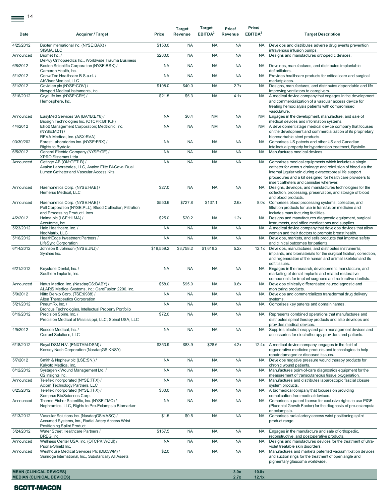| Date      | <b>Acquirer / Target</b>                                                                                                            | Price      | <b>Target</b><br>Revenue | <b>Target</b><br>EBITDA <sup>2</sup> | Price/<br>Revenue | Price/<br>EBITDA <sup>2</sup> | <b>Target Description</b>                                                                                                                                                                                                                                                                 |
|-----------|-------------------------------------------------------------------------------------------------------------------------------------|------------|--------------------------|--------------------------------------|-------------------|-------------------------------|-------------------------------------------------------------------------------------------------------------------------------------------------------------------------------------------------------------------------------------------------------------------------------------------|
| 4/25/2012 | Baxter International Inc. (NYSE:BAX) /<br>SIGMA, LLC                                                                                | \$150.0    | <b>NA</b>                | <b>NA</b>                            | <b>NA</b>         | <b>NA</b>                     | Develops and distributes adverse drug events prevention<br>intravenous infusion pumps.                                                                                                                                                                                                    |
| Announced | Biomet Inc. /<br>DePuy Orthopaedics Inc., Worldwide Trauma Business                                                                 | \$280.0    | <b>NA</b>                | <b>NA</b>                            | <b>NA</b>         | <b>NA</b>                     | Designs and manufactures orthopedic devices.                                                                                                                                                                                                                                              |
| 6/8/2012  | Boston Scientific Corporation (NYSE:BSX) /<br>Cameron Health, Inc.                                                                  | <b>NA</b>  | <b>NA</b>                | <b>NA</b>                            | <b>NA</b>         | <b>NA</b>                     | Develops, manufactures, and distributes implantable<br>defibrillators.                                                                                                                                                                                                                    |
| 5/1/2012  | ConvaTec Healthcare B S.a.r.l. /<br>AbViser Medical, LLC                                                                            | <b>NA</b>  | <b>NA</b>                | <b>NA</b>                            | <b>NA</b>         | <b>NA</b>                     | Provides healthcare products for critical care and surgical<br>marketplaces.                                                                                                                                                                                                              |
| 5/1/2012  | Covidien plc (NYSE:COV) /<br>Newport Medical Instruments, Inc.                                                                      | \$108.0    | \$40.0                   | <b>NA</b>                            | 2.7x              | <b>NA</b>                     | Designs, manufactures, and distributes dependable and life<br>improving ventilators to caregivers.                                                                                                                                                                                        |
| 5/16/2012 | CryoLife Inc. (NYSE:CRY) /<br>Hemosphere, Inc.                                                                                      | \$21.5     | \$5.3                    | <b>NA</b>                            | 4.1x              | <b>NA</b>                     | A medical device company that engages in the development<br>and commercialization of a vascular access device for<br>treating hemodialysis patients with compromised<br>vasculature.                                                                                                      |
| Announced | EasyMed Services SA (BAYB:EY6) /<br>Biosign Technologies Inc. (OTCPK:BITK.F)                                                        | <b>NA</b>  | \$0.4                    | <b>NM</b>                            | <b>NA</b>         | <b>NM</b>                     | Engages in the development, manufacture, and sale of<br>medical devices and information systems.                                                                                                                                                                                          |
| 4/4/2012  | Elliott Management Corporation; Medtronic, Inc.<br>(NYSE:MDT)/<br>REVA Medical, Inc. (ASX:RVA)                                      | <b>NA</b>  | <b>NA</b>                | <b>NM</b>                            | <b>NA</b>         | <b>NM</b>                     | A development stage medical device company that focuses<br>on the development and commercialization of its proprietary<br>bioresorbable stent products.                                                                                                                                   |
| 03/30/202 | Forest Laboratories Inc. (NYSE:FRX) /<br><b>Rights to Bystolic</b>                                                                  | <b>NA</b>  | <b>NA</b>                | <b>NA</b>                            | <b>NA</b>         | <b>NA</b>                     | Comprises US patents and other US and Canadian<br>intellectual property for hypertension treatment, Bystolic.                                                                                                                                                                             |
| 6/5/2012  | General Electric Company (NYSE:GE) /<br>XPRO Sistemas Ltda                                                                          | <b>NA</b>  | <b>NA</b>                | <b>NA</b>                            | <b>NA</b>         | <b>NA</b>                     | Manufactures medical devices.                                                                                                                                                                                                                                                             |
| Announced | Getinge AB (OM:GETIB) /<br>Avalon Laboratories, LLC, Avalon Elite Bi-Caval Dual<br>Lumen Catheter and Vascular Access Kits          | <b>NA</b>  | <b>NA</b>                | <b>NA</b>                            | <b>NA</b>         | <b>NA</b>                     | Comprises medical equipments which includes a single<br>catheter for venous drainage and reinfusion of blood via the<br>internal jugular vein during extracorporeal life support<br>procedures and a kit designed for health care providers to<br>insert catheters and cannulae wherever. |
| Announced | Haemonetics Corp. (NYSE:HAE) /<br>Hemerus Medical, LLC                                                                              | \$27.0     | <b>NA</b>                | <b>NA</b>                            | <b>NA</b>         | <b>NA</b>                     | Designs, develops, and manufactures technologies for the<br>collection, processing, preservation, and storage of blood<br>and blood products.                                                                                                                                             |
| Announced | Haemonetics Corp. (NYSE:HAE) /<br>Pall Corporation (NYSE:PLL), Blood Collection, Filtration<br>and Processing Product Lines         | \$550.6    | \$727.8                  | \$137.1                              | 2.6x              | 8.0x                          | Comprises blood processing systems, collection, and<br>filtration products for use in transfusion medicine and<br>includes manufacturing facilities.                                                                                                                                      |
| 4/2/2012  | Halma plc (LSE:HLMA) /<br>Accutome, Inc.                                                                                            | \$25.0     | \$20.2                   | <b>NA</b>                            | 1.2x              | <b>NA</b>                     | Designs and manufactures diagnostic equipment, surgical<br>instruments, and office medications and supplies.                                                                                                                                                                              |
| 5/23/2012 | Halo Healthcare, Inc. /<br>NeoMatrix, LLC                                                                                           | <b>NA</b>  | <b>NA</b>                | <b>NA</b>                            | <b>NA</b>         | <b>NA</b>                     | A medical device company that develops devices that allow<br>women and their doctors to promote breast health.                                                                                                                                                                            |
| 5/16/2012 | HealthEdge Investment Partners /<br>LifeSync Corporation                                                                            | <b>NA</b>  | <b>NA</b>                | <b>NA</b>                            | <b>NA</b>         | <b>NA</b>                     | Develops, markets, and sells products that improve safety<br>and clinical outcomes for patients.                                                                                                                                                                                          |
| 6/14/2012 | Johnson & Johnson (NYSE: JNJ) /<br>Synthes Inc.                                                                                     | \$19,559.2 | \$3,758.2                | \$1,618.2                            | 5.2x              | 12.1x                         | Develops, manufactures, and distributes instruments,<br>implants, and biomaterials for the surgical fixation, correction,<br>and regeneration of the human and animal skeleton and its<br>soft tissues.                                                                                   |
| 6/21/2012 | Keystone Dental, Inc. /<br>Southern Implants, Inc.                                                                                  | <b>NA</b>  | <b>NA</b>                | <b>NA</b>                            | <b>NA</b>         | <b>NA</b>                     | Engages in the research, development, manufacture, and<br>marketing of dental implants and related restorative<br>components for implant surgeons and restorative dentists.                                                                                                               |
| Announced | Natus Medical Inc. (NasdaqGS:BABY) /<br>ALARIS Medical Systems, Inc.; CareFusion 2200, Inc.                                         | \$58.0     | \$95.0                   | <b>NA</b>                            | 0.6x              | <b>NA</b>                     | Develops clinically differentiated neurodiagnostic and<br>monitoring products.                                                                                                                                                                                                            |
| 5/9/2012  | Nitto Denko Corp. (TSE:6988) /<br>Altea Therapeutics Corporation                                                                    | <b>NA</b>  | <b>NA</b>                | <b>NA</b>                            | <b>NA</b>         | <b>NA</b>                     | Develops and commercializes transdermal drug delivery<br>systems.                                                                                                                                                                                                                         |
| 5/21/2012 | PneumRx, Inc. /<br>Broncus Technologies, Intellectual Property Portfolio                                                            | <b>NA</b>  | <b>NA</b>                | <b>NA</b>                            | <b>NA</b>         | <b>NA</b>                     | Comprises key patents and domain names.                                                                                                                                                                                                                                                   |
| 6/19/2012 | Precision Spine, Inc. /<br>Precision Medical of Mississippi, LLC; Spinal USA, LLC                                                   | \$72.0     | <b>NA</b>                | <b>NA</b>                            | <b>NA</b>         | <b>NA</b>                     | Represents combined operations that manufactures and<br>distributes spinal therapy products and also develops and<br>provides medical devices.                                                                                                                                            |
| 4/5/2012  | Roscoe Medical, Inc. /<br>Current Solutions, LLC                                                                                    | <b>NA</b>  | <b>NA</b>                | <b>NA</b>                            | <b>NA</b>         | <b>NA</b>                     | Supplies electrotherapy and pain management devices and<br>accessories for electrotherapy providers and patients.                                                                                                                                                                         |
| 6/18/2012 | Royal DSM N.V. (ENXTAM:DSM) /<br>Kensey Nash Corporation (NasdaqGS:KNSY)                                                            | \$353.9    | \$83.9                   | \$28.6                               | 4.2x              |                               | 12.4x A medical device company, engages in the field of<br>regenerative medicine products and technologies to help<br>repair damaged or diseased tissues.                                                                                                                                 |
| 5/7/2012  | Smith & Nephew plc (LSE:SN.) /<br>Kalypto Medical, Inc.                                                                             | <b>NA</b>  | <b>NA</b>                | <b>NA</b>                            | <b>NA</b>         | <b>NA</b>                     | Develops negative pressure wound therapy products for<br>chronic wound patients.                                                                                                                                                                                                          |
| 6/12/2012 | Systagenix Wound Management Ltd. /<br>O2 Insights Inc.                                                                              | <b>NA</b>  | <b>NA</b>                | <b>NA</b>                            | <b>NA</b>         | <b>NA</b>                     | Manufactures point-of-care diagnostics equipment for the<br>measurement of transcutaneous tissue oxygenation.                                                                                                                                                                             |
| Announced | Teleflex Incorporated (NYSE:TFX) /<br>Axiom Technology Partners, LLC                                                                | <b>NA</b>  | <b>NA</b>                | <b>NA</b>                            | <b>NA</b>         | <b>NA</b>                     | Manufactures and distributes laparoscopic fascial closure<br>system products.                                                                                                                                                                                                             |
| 6/25/2012 | Teleflex Incorporated (NYSE:TFX) /<br>Semprus BioSciences Corp.                                                                     | \$30.0     | <b>NA</b>                | <b>NA</b>                            | <b>NA</b>         | <b>NA</b>                     | A biomedical company that focuses on providing<br>complication-free medical devices.                                                                                                                                                                                                      |
| Announced | Thermo Fisher Scientific, Inc. (NYSE:TMO) /<br>Nephromics, LLC, Rights to Pre-Eclampsia Biomarker                                   | <b>NA</b>  | <b>NA</b>                | <b>NA</b>                            | <b>NA</b>         | <b>NA</b>                     | Comprises a patent license for exclusive rights to use PIGF<br>(Placental Growth Factor) for the diagnosis of pre-eclampsia<br>or eclampsia.                                                                                                                                              |
| 6/13/2012 | Vascular Solutions Inc. (NasdaqGS:VASC) /<br>Accumed Systems, Inc., Radial Artery Access Wrist<br><b>Positioning Splint Product</b> | \$1.5      | \$0.5                    | <b>NA</b>                            | <b>NA</b>         | <b>NA</b>                     | Comprises radial artery access wrist positioning splint<br>product range.                                                                                                                                                                                                                 |
| 5/24/2012 | Water Street Healthcare Partners /<br>BREG, Inc.                                                                                    | \$157.5    | <b>NA</b>                | <b>NA</b>                            | <b>NA</b>         | <b>NA</b>                     | Engages in the manufacture and sale of orthopedic,<br>reconstructive, and postoperative products.                                                                                                                                                                                         |
| Announced | Wellness Center USA, Inc. (OTCPK:WCUI) /<br>Psoria-Shield Inc.                                                                      | <b>NA</b>  | <b>NA</b>                | <b>NA</b>                            | <b>NA</b>         | <b>NA</b>                     | Designs and manufactures devices for the treatment of ultra-<br>violet treatable skin disorders.                                                                                                                                                                                          |
| Announced | Westhouse Medical Services Plc (DB:5WM) /<br>Sunridge International, Inc., Substantially All Assets                                 | \$2.0      | <b>NA</b>                | <b>NA</b>                            | <b>NA</b>         | <b>NA</b>                     | Manufactures and markets patented vacuum fixation devices<br>and suction rings for the treatment of open angle and<br>pigmentary glaucoma worldwide.                                                                                                                                      |
|           | <b>MEAN (CLINICAL DEVICES)</b><br><b>MEDIAN (CLINICAL DEVICES)</b>                                                                  |            |                          |                                      | 3.0x<br>2.7x      | 10.8x<br>12.1x                |                                                                                                                                                                                                                                                                                           |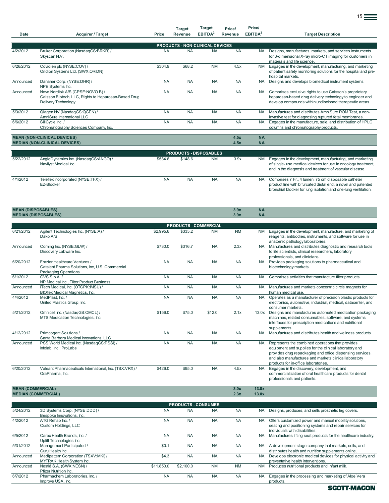|                           |                                                                                                                 |           | <b>Target</b>                 | <b>Target</b>       | Price/       | Price/                 |                                                                                                                                                                                        |  |  |  |  |  |  |
|---------------------------|-----------------------------------------------------------------------------------------------------------------|-----------|-------------------------------|---------------------|--------------|------------------------|----------------------------------------------------------------------------------------------------------------------------------------------------------------------------------------|--|--|--|--|--|--|
| <b>Date</b>               | <b>Acquirer / Target</b>                                                                                        | Price     | Revenue                       | EBITDA <sup>2</sup> | Revenue      | EBITDA <sup>2</sup>    | <b>Target Description</b>                                                                                                                                                              |  |  |  |  |  |  |
|                           | <b>PRODUCTS - NON-CLINICAL DEVICES</b>                                                                          |           |                               |                     |              |                        |                                                                                                                                                                                        |  |  |  |  |  |  |
| 4/2/2012                  | Bruker Corporation (NasdaqGS:BRKR) /<br>Skyscan N.V.                                                            | <b>NA</b> | <b>NA</b>                     | <b>NA</b>           | <b>NA</b>    | NA.                    | Designs, manufactures, markets, and services instruments<br>for 3-dimensional X-ray micro-CT imaging for customers in<br>materials and life science.                                   |  |  |  |  |  |  |
| 6/26/2012                 | Covidien plc (NYSE:COV) /<br>Oridion Systems Ltd. (SWX:ORIDN)                                                   | \$304.9   | \$68.2                        | <b>NM</b>           | 4.5x         | <b>NM</b>              | Engages in the development, manufacturing, and marketing<br>of patient safety monitoring solutions for the hospital and pre-<br>hospital markets.                                      |  |  |  |  |  |  |
| Announced                 | Danaher Corp. (NYSE:DHR) /<br>NPE Systems Inc.                                                                  | <b>NA</b> | <b>NA</b>                     | <b>NA</b>           | <b>NA</b>    | <b>NA</b>              | Designs and develops biomedical instrument systems.                                                                                                                                    |  |  |  |  |  |  |
| Announced                 | Novo Nordisk A/S (CPSE:NOVO B) /<br>Caisson Biotech, LLC, Rights to Heparosan-Based Drug<br>Delivery Technology | <b>NA</b> | <b>NA</b>                     | <b>NA</b>           | <b>NA</b>    | <b>NA</b>              | Comprises exclusive rights to use Caisson's proprietary<br>heparosan-based drug delivery technology to engineer and<br>develop compounds within undisclosed therapeutic areas.         |  |  |  |  |  |  |
| 5/3/2012                  | Qiagen NV (NasdaqGS:QGEN) /<br>AmniSure International LLC                                                       | <b>NA</b> | <b>NA</b>                     | <b>NA</b>           | <b>NA</b>    | <b>NA</b>              | Manufactures and distributes AmniSure ROM Test, a non-<br>invasive test for diagnosing ruptured fetal membranes.                                                                       |  |  |  |  |  |  |
| 6/6/2012                  | SiliCycle Inc./<br>Chromatography Sciences Company, Inc.                                                        | <b>NA</b> | <b>NA</b>                     | <b>NA</b>           | <b>NA</b>    | <b>NA</b>              | Engages in the manufacture, sale, and distribution of HPLC<br>columns and chromatography products.                                                                                     |  |  |  |  |  |  |
|                           |                                                                                                                 |           |                               |                     |              |                        |                                                                                                                                                                                        |  |  |  |  |  |  |
|                           | <b>MEAN (NON-CLINICAL DEVICES)</b><br><b>MEDIAN (NON-CLINICAL DEVICES)</b>                                      |           |                               |                     | 4.5x<br>4.5x | <b>NA</b><br><b>NA</b> |                                                                                                                                                                                        |  |  |  |  |  |  |
|                           |                                                                                                                 |           |                               |                     |              |                        |                                                                                                                                                                                        |  |  |  |  |  |  |
|                           |                                                                                                                 |           | <b>PRODUCTS - DISPOSABLES</b> |                     |              |                        |                                                                                                                                                                                        |  |  |  |  |  |  |
| 5/22/2012                 | AngioDynamics Inc. (NasdaqGS:ANGO) /<br>Navilyst Medical Inc.                                                   | \$584.6   | \$148.6                       | <b>NM</b>           | 3.9x         | <b>NM</b>              | Engages in the development, manufacturing, and marketing<br>of single- use medical devices for use in oncology treatment,<br>and in the diagnosis and treatment of vascular disease.   |  |  |  |  |  |  |
| 4/1/2012                  | Teleflex Incorporated (NYSE:TFX) /<br>EZ-Blocker                                                                | <b>NA</b> | <b>NA</b>                     | <b>NA</b>           | <b>NA</b>    | NA.                    | Comprises 7 Fr., 4 lumen, 75 cm disposable catheter<br>product line with bifurcated distal end, a novel and patented<br>bronchial blocker for lung isolation and one-lung ventilation. |  |  |  |  |  |  |
|                           |                                                                                                                 |           |                               |                     |              |                        |                                                                                                                                                                                        |  |  |  |  |  |  |
| <b>MEAN (DISPOSABLES)</b> | <b>MEDIAN (DISPOSABLES)</b>                                                                                     |           |                               |                     | 3.9x<br>3.9x | <b>NA</b><br><b>NA</b> |                                                                                                                                                                                        |  |  |  |  |  |  |
|                           |                                                                                                                 |           |                               |                     |              |                        |                                                                                                                                                                                        |  |  |  |  |  |  |

|                           |                                                                                                                 |           |                              |           |              |                        | and in the diagnosis and treatment of vascular disease.                                                                                                                                                                                                                  |
|---------------------------|-----------------------------------------------------------------------------------------------------------------|-----------|------------------------------|-----------|--------------|------------------------|--------------------------------------------------------------------------------------------------------------------------------------------------------------------------------------------------------------------------------------------------------------------------|
| 4/1/2012                  | Teleflex Incorporated (NYSE:TFX) /<br>EZ-Blocker                                                                | <b>NA</b> | <b>NA</b>                    | <b>NA</b> | <b>NA</b>    | <b>NA</b>              | Comprises 7 Fr., 4 lumen, 75 cm disposable catheter<br>product line with bifurcated distal end, a novel and patented<br>bronchial blocker for lung isolation and one-lung ventilation.                                                                                   |
|                           |                                                                                                                 |           |                              |           |              |                        |                                                                                                                                                                                                                                                                          |
| <b>MEAN (DISPOSABLES)</b> | <b>MEDIAN (DISPOSABLES)</b>                                                                                     |           |                              |           | 3.9x<br>3.9x | <b>NA</b><br><b>NA</b> |                                                                                                                                                                                                                                                                          |
|                           |                                                                                                                 |           |                              |           |              |                        |                                                                                                                                                                                                                                                                          |
|                           |                                                                                                                 |           | <b>PRODUCTS - COMMERCIAL</b> |           |              |                        |                                                                                                                                                                                                                                                                          |
| 6/21/2012                 | Agilent Technologies Inc. (NYSE:A) /<br>Dako A/S                                                                | \$2,995.6 | \$335.2                      | <b>NM</b> | <b>NM</b>    | <b>NM</b>              | Engages in the development, manufacture, and marketing of<br>reagents, antibodies, instruments, and software for use in<br>anatomic pathology laboratories.                                                                                                              |
| Announced                 | Corning Inc. (NYSE:GLW) /<br>Discovery Labware Inc.                                                             | \$730.0   | \$316.7                      | <b>NA</b> | 2.3x         | <b>NA</b>              | Manufactures and distributes diagnostic and research tools<br>to life scientists, clinical researchers, laboratory<br>professionals, and clinicians.                                                                                                                     |
| 6/20/2012                 | Frazier Healthcare Ventures /<br>Catalent Pharma Solutions, Inc, U.S. Commercial<br><b>Packaging Operations</b> | <b>NA</b> | <b>NA</b>                    | <b>NA</b> | <b>NA</b>    | <b>NA</b>              | Provides packaging solutions to pharmaceutical and<br>biotechnology markets.                                                                                                                                                                                             |
| 6/1/2012                  | GVS S.p.A./<br>NP Medical Inc., Filter Product Business                                                         | <b>NA</b> | <b>NA</b>                    | <b>NA</b> | <b>NA</b>    | <b>NA</b>              | Comprises activities that manufacture filter products.                                                                                                                                                                                                                   |
| Announced                 | iTech Medical, Inc. (OTCPK:IMSU) /<br><b>BIOflex Medical Magnetics, Inc.</b>                                    | <b>NA</b> | <b>NA</b>                    | <b>NA</b> | <b>NA</b>    | <b>NA</b>              | Manufactures and markets concentric circle magnets for<br>human medical use.                                                                                                                                                                                             |
| 4/4/2012                  | MedPlast, Inc. /<br>United Plastics Group, Inc.                                                                 | <b>NA</b> | <b>NA</b>                    | <b>NA</b> | <b>NA</b>    | <b>NA</b>              | Operates as a manufacturer of precision plastic products for<br>electronics, automotive, industrial, medical, datacenter, and<br>consumer markets.                                                                                                                       |
| 5/21/2012                 | Omnicell Inc. (NasdaqGS:OMCL) /<br>MTS Medication Technologies, Inc.                                            | \$156.0   | \$75.0                       | \$12.0    | 2.1x         | 13.0x                  | Designs and manufactures automated medication packaging<br>machines, related consumables, software, and systems<br>interfaces for prescription medications and nutritional<br>supplements.                                                                               |
| 4/12/2012                 | Primcogent Solutions /<br>Santa Barbara Medical Innovations, LLC                                                | <b>NA</b> | <b>NA</b>                    | <b>NA</b> | <b>NA</b>    | <b>NA</b>              | Manufactures and distributes health and wellness products.                                                                                                                                                                                                               |
| Announced                 | PSS World Medical Inc. (NasdaqGS:PSSI) /<br>Infolab, Inc.; ProLabs                                              | <b>NA</b> | <b>NA</b>                    | <b>NA</b> | <b>NA</b>    | <b>NA</b>              | Represents the combined operations that provides<br>equipment and supplies for the clinical laboratory and<br>provides drug repackaging and office dispensing services,<br>and also manufactures and markets clinical laboratory<br>products for in-office laboratories. |
| 6/20/2012                 | Valeant Pharmaceuticals International, Inc. (TSX:VRX) /<br>OraPharma, Inc.                                      | \$426.0   | \$95.0                       | <b>NA</b> | 4.5x         | <b>NA</b>              | Engages in the discovery, development, and<br>commercialization of oral healthcare products for dental<br>professionals and patients.                                                                                                                                    |

**MEAN (COMMERCIAL) 3.0x 13.0x MEDIAN (COMMERCIAL) 2.3x 13.0x**

| <b>PRODUCTS - CONSUMER</b> |                                                                          |            |           |           |           |           |                                                                                                                                                     |  |  |  |  |  |
|----------------------------|--------------------------------------------------------------------------|------------|-----------|-----------|-----------|-----------|-----------------------------------------------------------------------------------------------------------------------------------------------------|--|--|--|--|--|
| 5/24/2012                  | 3D Systems Corp. (NYSE:DDD) /<br>Bespoke Innovations, Inc.               | <b>NA</b>  | <b>NA</b> | <b>NA</b> | <b>NA</b> | <b>NA</b> | Designs, produces, and sells prosthetic leg covers.                                                                                                 |  |  |  |  |  |
| 4/2/2012                   | ATG Rehab Inc. /<br>Custom Holdings, LLC                                 | <b>NA</b>  | <b>NA</b> | <b>NA</b> | <b>NA</b> | <b>NA</b> | Offers customized power and manual mobility solutions,<br>seating and positioning systems and repair services for<br>individuals with disabilities. |  |  |  |  |  |
| 6/5/2012                   | Carex Health Brands, Inc. /<br>Uplift Technologies Inc.                  | <b>NA</b>  | <b>NA</b> | <b>NA</b> | <b>NA</b> | <b>NA</b> | Manufactures lifting seat products for the healthcare industry.                                                                                     |  |  |  |  |  |
| 5/31/2012                  | Management Participated /<br>Guru Health Inc.                            | \$0.1      | <b>NA</b> | <b>NA</b> | <b>NA</b> | <b>NA</b> | A development-stage company that markets, sells, and<br>distributes health and nutrition supplements online.                                        |  |  |  |  |  |
| Announced                  | Medipattern Corporation (TSXV:MKI) /<br><b>MYTRAK Health System Inc.</b> | \$4.3      | <b>NA</b> | <b>NA</b> | <b>NA</b> | <b>NA</b> | Develops electronic medical devices for physical activity and<br>preventative health interventions.                                                 |  |  |  |  |  |
| Announced                  | Nestlé S.A. (SWX:NESN) /<br>Pfizer Nutrition Inc.                        | \$11,850.0 | \$2,100.0 | <b>NM</b> | <b>NM</b> | <b>NM</b> | Produces nutritional products and infant milk.                                                                                                      |  |  |  |  |  |
| 6/7/2012                   | Pharmachem Laboratories, Inc. /<br>Improve USA, Inc.                     | <b>NA</b>  | <b>NA</b> | <b>NA</b> | <b>NA</b> | <b>NA</b> | Engages in the processing and marketing of Aloe Vera<br>products.                                                                                   |  |  |  |  |  |

na matangan sa kabupatèn Ing Kabupatèn Ing Kabupatèn Ing Kabupatèn Ing Kabupatèn Ing Kabupatèn Ing Kabupatèn I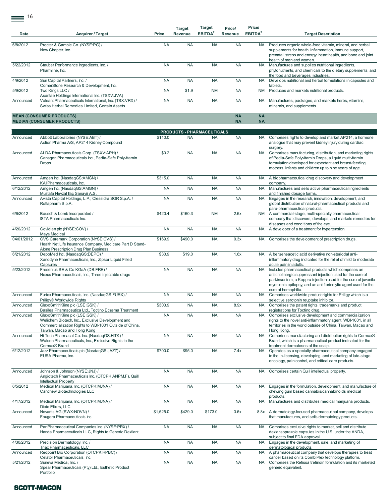$\equiv$  16

| Date       | <b>Acquirer / Target</b>                                                                                                                                                                               | Price     | <b>Target</b><br>Revenue | <b>Target</b><br>EBITDA <sup>2</sup> | Price/<br>Revenue      | Price/<br>EBITDA <sup>2</sup> | <b>Target Description</b>                                                                                                                                                                                                                                                    |
|------------|--------------------------------------------------------------------------------------------------------------------------------------------------------------------------------------------------------|-----------|--------------------------|--------------------------------------|------------------------|-------------------------------|------------------------------------------------------------------------------------------------------------------------------------------------------------------------------------------------------------------------------------------------------------------------------|
| 6/8/2012   | Procter & Gamble Co. (NYSE:PG) /<br>New Chapter, Inc.                                                                                                                                                  | <b>NA</b> | <b>NA</b>                | <b>NA</b>                            | <b>NA</b>              | <b>NA</b>                     | Produces organic whole-food vitamin, mineral, and herbal<br>supplements for health, inflammation, immune support,<br>prenatal, stress and energy, heart health, and bone and joint                                                                                           |
| 5/22/2012  | Stauber Performance Ingredients, Inc. /<br>Pharmline, Inc.                                                                                                                                             | <b>NA</b> | <b>NA</b>                | <b>NA</b>                            | <b>NA</b>              | <b>NA</b>                     | health of men and women.<br>Manufactures and supplies nutritional ingredients,<br>phytonutrients, and chemicals to the dietary supplements, and<br>the food and beverages industries.                                                                                        |
| 4/9/2012   | Sun Capital Partners, Inc. /                                                                                                                                                                           | <b>NA</b> | <b>NA</b>                | <b>NA</b>                            | <b>NA</b>              | <b>NA</b>                     | Develops nutritional and herbal formulations in capsules and                                                                                                                                                                                                                 |
| 5/9/2012   | CornerStone Research & Development, Inc.<br>Two Kings LLC /                                                                                                                                            | <b>NA</b> | \$1.9                    | <b>NM</b>                            | <b>NA</b>              | <b>NM</b>                     | tablets.<br>Produces and markets nutritional products.                                                                                                                                                                                                                       |
| Announced  | Asantae Holdings International Inc. (TSXV:JVA)<br>Valeant Pharmaceuticals International, Inc. (TSX:VRX) /<br>Swiss Herbal Remedies Limited, Certain Assets                                             | <b>NA</b> | <b>NA</b>                | <b>NA</b>                            | <b>NA</b>              | NA.                           | Manufactures, packages, and markets herbs, vitamins,<br>minerals, and supplements.                                                                                                                                                                                           |
|            | <b>MEAN (CONSUMER PRODUCTS)</b><br><b>MEDIAN (CONSUMER PRODUCTS)</b>                                                                                                                                   |           |                          |                                      | <b>NA</b><br><b>NA</b> | <b>NA</b><br><b>NA</b>        |                                                                                                                                                                                                                                                                              |
|            |                                                                                                                                                                                                        |           |                          | PRODUCTS - PHARMACEUTICALS           |                        |                               |                                                                                                                                                                                                                                                                              |
| Announced  | Abbott Laboratories (NYSE:ABT) /<br>Action Pharma A/S, AP214 Kidney Compound                                                                                                                           | \$110.0   | <b>NA</b>                | <b>NA</b>                            | <b>NA</b>              | <b>NA</b>                     | Comprises rights to develop and market AP214, a hormone<br>analogue that may prevent kidney injury during cardiac<br>surgery.                                                                                                                                                |
| Announced  | ALDA Pharmaceuticals Corp. (TSXV:APH) /<br>Canagen Pharmaceuticals Inc., Pedia-Safe Polyvitamin<br><b>Drops</b>                                                                                        | \$0.2     | <b>NA</b>                | <b>NA</b>                            | <b>NA</b>              | <b>NA</b>                     | Comprises manufacturing, distribution, and marketing rights<br>of Pedia-Safe Polyvitamin Drops, a liquid multivitamin<br>formulation developed for expectant and breast-feeding<br>mothers, infants and children up to nine years of age.                                    |
| Announced  | Amgen Inc. (NasdagGS:AMGN) /<br>KAI Pharmaceuticals, Inc.                                                                                                                                              | \$315.0   | <b>NA</b>                | <b>NA</b>                            | <b>NA</b>              | <b>NA</b>                     | A biopharmaceutical drug discovery and development<br>company.                                                                                                                                                                                                               |
| 6/12/2012  | Amgen Inc. (NasdaqGS:AMGN) /<br>Mustafa Nevzat Ilac Sanayii A.S.                                                                                                                                       | <b>NA</b> | <b>NA</b>                | <b>NA</b>                            | <b>NA</b>              | <b>NA</b>                     | Manufactures and sells active pharmaceutical ingredients                                                                                                                                                                                                                     |
| Announced  | Avista Capital Holdings, L.P.; Clessidra SGR S.p.A. /<br>Rottapharm S.p.A.                                                                                                                             | <b>NA</b> | <b>NA</b>                | <b>NA</b>                            | <b>NA</b>              | <b>NA</b>                     | and finished dosage forms.<br>Engages in the research, innovation, development, and<br>global distribution of natural-pharmaceutical products and                                                                                                                            |
| 6/6/2012   | Bausch & Lomb Incorporated /<br>ISTA Pharmaceuticals Inc.                                                                                                                                              | \$420.4   | \$160.3                  | <b>NM</b>                            | 2.6x                   | <b>NM</b>                     | para-pharmaceutical products.<br>A commercial-stage, multi-specialty pharmaceutical<br>company that discovers, develops, and markets remedies for<br>diseases and conditions of the eye.                                                                                     |
| 4/20/2012  | Covidien plc (NYSE:COV) /                                                                                                                                                                              | <b>NA</b> | <b>NA</b>                | <b>NA</b>                            | <b>NA</b>              | <b>NA</b>                     | A developer of a treatment for hypertension.                                                                                                                                                                                                                                 |
| 04/01/2012 | Maya Medical<br>CVS Caremark Corporation (NYSE:CVS) /<br>Health Net Life Insurance Company, Medicare Part D Stand-                                                                                     | \$169.9   | \$490.0                  | <b>NA</b>                            | 0.3x                   | <b>NA</b>                     | Comprises the development of prescription drugs.                                                                                                                                                                                                                             |
| 6/21/2012  | Alone Prescription Drug Plan Business<br>DepoMed Inc. (NasdaqGS:DEPO) /<br>Xanodyne Pharmaceuticals, Inc., Zipsor Liquid Filled<br>Capsules                                                            | \$30.9    | \$19.0                   | <b>NA</b>                            | 1.6x                   | <b>NA</b>                     | A benzeneacetic acid derivative non-steriodal anti-<br>inflammatory drug indicated for the relief of mild to moderate<br>acute pain in adults.                                                                                                                               |
| 5/23/2012  | Fresenius SE & Co KGaA (DB:FRE) /<br>Nexus Pharmaceuticals, Inc., Three injectable drugs                                                                                                               | <b>NA</b> | <b>NA</b>                | <b>NA</b>                            | <b>NA</b>              | <b>NA</b>                     | Includes pharmaceutical products which comprises an<br>anticholinergic suppressant injection used for the cure of<br>parkinsonism; a Keppra injection used for the cure of juvenile<br>myoclonic epilepsy; and an antifibrinolytic agent used for the<br>cure of hemophilia. |
| Announced  | Furiex Pharmaceuticals, Inc. (NasdaqGS:FURX) /<br>Priligy® Worldwide Rights                                                                                                                            | <b>NA</b> | <b>NA</b>                | <b>NA</b>                            | <b>NA</b>              | <b>NA</b>                     | Comprises worldwide product rights for Priligy which is a<br>selective serotonin reuptake inhibitor.                                                                                                                                                                         |
| Announced  | GlaxoSmithKline plc (LSE:GSK) /                                                                                                                                                                        | \$303.9   | <b>NA</b>                | <b>NA</b>                            | 8.9x                   | <b>NA</b>                     | Comprises the patent rights, trademarks and product                                                                                                                                                                                                                          |
| Announced  | Basilea Pharmaceutica Ltd., Toctino Eczema Treatment<br>GlaxoSmithKline plc (LSE:GSK) /<br>Welichem Biotech, Inc., Exclusive Development and<br>Commercialization Rights to WBI-1001 Outside of China, | <b>NA</b> | <b>NA</b>                | <b>NA</b>                            | <b>NA</b>              | <b>NA</b>                     | registrations for Toctino drug.<br>Comprises exclusive development and commercialization<br>rights to the novel anti-inflammatory agent, WBI-1001, in all<br>territories in the world outside of China, Taiwan, Macao and                                                    |
| Announced  | Taiwan, Macao and Hong Kong<br>Hi Tech Pharmacal Co. Inc. (NasdagGS:HITK) /<br>Watson Pharmaceuticals, Inc., Exclusive Rights to the<br>Cormax® Brand                                                  | <b>NA</b> | <b>NA</b>                | <b>NA</b>                            | <b>NA</b>              | <b>NA</b>                     | Hong Kong.<br>Comprises manufacturing and distribution rights to Cormax®<br>Brand, which is a pharmaceutical product indicated for the<br>treatment dermatoses of the scalp.                                                                                                 |
| 6/12/2012  | Jazz Pharmaceuticals plc (NasdaqGS:JAZZ) /<br>EUSA Pharma, Inc.                                                                                                                                        | \$700.0   | \$95.0                   | <b>NA</b>                            | 7.4x                   | <b>NA</b>                     | Operates as a specialty pharmaceutical company engaged<br>in the in-licensing, developing, and marketing of late-stage<br>oncology, pain control, and critical care products.                                                                                                |
| Announced  | Johnson & Johnson (NYSE:JNJ) /<br>Angiotech Pharmaceuticals Inc. (OTCPK:ANPM.F), Quill<br>Intellectual Property                                                                                        | <b>NA</b> | <b>NA</b>                | <b>NA</b>                            | <b>NA</b>              | <b>NA</b>                     | Comprises certain Quill intellectual property.                                                                                                                                                                                                                               |
| 6/5/2012   | Medical Marijuana, Inc. (OTCPK:MJNA) /<br>Canchew Biotechnologies LLC                                                                                                                                  | <b>NA</b> | <b>NA</b>                | <b>NA</b>                            | <b>NA</b>              | <b>NA</b>                     | Engages in the formulation, development, and manufacture of<br>chewing gum based cannabis/cannabinoids medical<br>products.                                                                                                                                                  |
| 4/17/2012  | Medical Marijuana, Inc. (OTCPK:MJNA) /<br>Dixie Elixirs, LLC                                                                                                                                           | <b>NA</b> | <b>NA</b>                | <b>NA</b>                            | <b>NA</b>              | <b>NA</b>                     | Manufactures and distributes medical marijuana products.                                                                                                                                                                                                                     |
| Announced  | Novartis AG (SWX:NOVN) /<br>Fougera Pharmaceuticals Inc.                                                                                                                                               | \$1,525.0 | \$429.0                  | \$173.0                              | 3.6x                   | 8.8x                          | A dermatology-focused pharmaceutical company, develops<br>that manufactures, and sells dermatology products.                                                                                                                                                                 |
| Announced  | Par Pharmaceutical Companies Inc. (NYSE:PRX) /<br>Handa Pharmaceuticals LLC, Rights to Generic Dexilant                                                                                                | <b>NA</b> | <b>NA</b>                | <b>NA</b>                            | <b>NA</b>              | <b>NA</b>                     | Comprises exclusive rights to market, sell and distribute<br>dexlansoprazole capsules in the U.S. under the ANDA,<br>subject to final FDA approval.                                                                                                                          |
| 4/30/2012  | Precision Dermatology, Inc. /                                                                                                                                                                          | <b>NA</b> | <b>NA</b>                | <b>NA</b>                            | <b>NA</b>              | <b>NA</b>                     | Engages in the development, sale, and marketing of                                                                                                                                                                                                                           |
| Announced  | Triax Pharmaceuticals, LLC<br>Redpoint Bio Corporation (OTCPK:RPBC) /                                                                                                                                  | <b>NA</b> | <b>NA</b>                | <b>NA</b>                            | <b>NA</b>              | <b>NA</b>                     | dermatological products.<br>A pharmaceutical company that develops therapies to treat                                                                                                                                                                                        |
| 5/21/2012  | Celator Pharmaceuticals, Inc.<br>Suneva Medical, Inc. /<br>Spear Pharmaceuticals (Pty) Ltd., Esthetic Product<br>Portfolio                                                                             | <b>NA</b> | <b>NA</b>                | <b>NA</b>                            | <b>NA</b>              | <b>NA</b>                     | cancer based on its CombiPlex technology platform.<br>Comprises the Refissa tretinoin formulation and its marketed<br>generic equivalent.                                                                                                                                    |

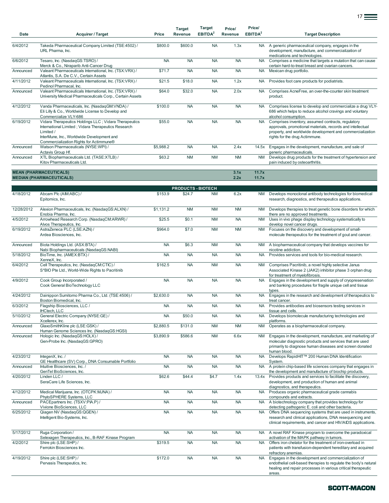| Date       | Acquirer / Target                                                                                                                                                                                                   | Price     | <b>Target</b><br>Revenue  | Target<br>EBITDA <sup>2</sup> | Price/<br>Revenue | Price/<br>EBITDA <sup>2</sup> | <b>Target Description</b>                                                                                                                                                                                       |
|------------|---------------------------------------------------------------------------------------------------------------------------------------------------------------------------------------------------------------------|-----------|---------------------------|-------------------------------|-------------------|-------------------------------|-----------------------------------------------------------------------------------------------------------------------------------------------------------------------------------------------------------------|
| 6/4/2012   | Takeda Pharmaceutical Company Limited (TSE:4502) /<br>URL Pharma, Inc.                                                                                                                                              | \$800.0   | \$600.0                   | <b>NA</b>                     | 1.3x              | NA.                           | A generic pharmaceutical company, engages in the<br>development, manufacture, and commercialization of<br>medications and technologies.                                                                         |
| 6/6/2012   | Tesaro, Inc. (NasdaqGS:TSRO) /<br>Merck & Co., Niraparib Anti-Cancer Drug                                                                                                                                           | <b>NA</b> | <b>NA</b>                 | <b>NA</b>                     | <b>NA</b>         | <b>NA</b>                     | Comprises a medicine that targets a mutation that can cause<br>certain hard-to-treat breast and ovarian cancers.                                                                                                |
| Announced  | Valeant Pharmaceuticals International, Inc. (TSX:VRX) /<br>Atlantis, S.A. De C.V., Certain Assets                                                                                                                   | \$71.7    | <b>NA</b>                 | <b>NA</b>                     | <b>NA</b>         | <b>NA</b>                     | Mexican drug portfolio.                                                                                                                                                                                         |
| 4/11/2012  | Valeant Pharmaceuticals International, Inc. (TSX:VRX) /<br>Pedinol Pharmacal, Inc.                                                                                                                                  | \$21.5    | \$18.0                    | <b>NA</b>                     | 1.2x              | NA                            | Provides foot care products for podiatrists.                                                                                                                                                                    |
| Announced  | Valeant Pharmaceuticals International, Inc. (TSX:VRX) /<br>University Medical Pharmaceuticals Corp., Certain Assets                                                                                                 | \$64.0    | \$32.0                    | <b>NA</b>                     | 2.0x              | <b>NA</b>                     | Comprises AcneFree, an over-the-counter skin treatment<br>product.                                                                                                                                              |
| 4/12/2012  | Vanda Pharmaceuticals, Inc. (NasdaqGM:VNDA) /<br>Eli Lilly & Co., Worldwide License to Develop and<br>Commercialize VLY-686                                                                                         | \$100.0   | <b>NA</b>                 | <b>NA</b>                     | <b>NA</b>         | NA                            | Comprises license to develop and commercialize a drug VLY-<br>686 which helps to reduce alcohol cravings and voluntary<br>alcohol consumption.                                                                  |
| 6/19/2012  | Vidara Therapeutics Holdings LLC ; Vidara Therapeutics<br>International Limited; Vidara Therapeutics Research<br>Limited /<br>InterMune, Inc., Worldwide Development and<br>Commercialization Rights for Actimmune® | \$55.0    | <b>NA</b>                 | <b>NA</b>                     | <b>NA</b>         | <b>NA</b>                     | Comprises inventory, assumed contracts, regulatory<br>approvals, promotional materials, records and intellectual<br>property, and worldwide development and commercialization<br>rights for the drug Actimmune. |
| Announced  | Watson Pharmaceuticals (NYSE:WPI) /<br>Actavis Group Hf.                                                                                                                                                            | \$5,988.2 | <b>NA</b>                 | <b>NA</b>                     | 2.4x              | 14.5x                         | Engages in the development, manufacture, and sale of<br>generic pharmaceuticals.                                                                                                                                |
| Announced  | XTL Biopharmaceuticals Ltd. (TASE:XTLB) /<br>Kitov Pharmaceuticals Ltd.                                                                                                                                             | \$63.2    | <b>NM</b>                 | <b>NM</b>                     | <b>NM</b>         | <b>NM</b>                     | Develops drug products for the treatment of hypertension and<br>pain induced by osteoarthritis.                                                                                                                 |
|            | <b>MEAN (PHARMACEUTICALS)</b><br><b>MEDIAN (PHARMACEUTICALS)</b>                                                                                                                                                    |           |                           |                               | 3.1x<br>2.2x      | 11.7x<br>11.7x                |                                                                                                                                                                                                                 |
|            |                                                                                                                                                                                                                     |           | <b>PRODUCTS - BIOTECH</b> |                               |                   |                               |                                                                                                                                                                                                                 |
| 4/18/2012  | Abcam Plc (AIM:ABC) /<br>Epitomics, Inc.                                                                                                                                                                            | \$153.9   | \$24.7                    | <b>NM</b>                     | 6.2x              | <b>NM</b>                     | Develops monoclonal antibody technologies for biomedical<br>research, diagnostics, and therapeutics applications.                                                                                               |
| 12/28/2012 | Alexion Pharmaceuticals, Inc. (NasdaqGS:ALXN) /<br>Enobia Pharma, Inc.                                                                                                                                              | \$1,131.2 | <b>NM</b>                 | <b>NM</b>                     | <b>NM</b>         | <b>NM</b>                     | Develops therapies to treat genetic bone disorders for which<br>there are no approved treatments.                                                                                                               |
| 4/5/2012   | Arrowhead Research Corp. (NasdaqCM:ARWR) /<br>Alvos Therapeutics, Inc.                                                                                                                                              | \$25.5    | \$0.1                     | <b>NM</b>                     | <b>NA</b>         | <b>NM</b>                     | Uses in vivo phage display technology systematically to<br>develop novel cancer drugs.                                                                                                                          |
| 6/19/2012  | AstraZeneca PLC (LSE:AZN) /<br>Ardea Biosciences, Inc.                                                                                                                                                              | \$964.0   | \$7.0                     | <b>NM</b>                     | <b>NM</b>         | <b>NM</b>                     | Focuses on the discovery and development of small-<br>molecule therapeutics for the treatment of gout and cancer.                                                                                               |
| Announced  | Biota Holdings Ltd. (ASX:BTA) /<br>Nabi Biopharmaceuticals (NasdaqGS:NABI)                                                                                                                                          | <b>NA</b> | \$6.3                     | <b>NM</b>                     | <b>NA</b>         | <b>NM</b>                     | A biopharmaceutical company that develops vaccines for<br>nicotine addiction.                                                                                                                                   |
| 5/18/2012  | BioTime, Inc. (AMEX:BTX) /<br>XenneX, Inc.                                                                                                                                                                          | <b>NA</b> | <b>NA</b>                 | <b>NA</b>                     | <b>NA</b>         | <b>NA</b>                     | Provides services and tools for bio-medical research.                                                                                                                                                           |
| 6/4/2012   | Cell Therapeutics, Inc. (NasdaqCM:CTIC) /<br>S*BIO Pte Ltd., World-Wide Rights to Pacritinib                                                                                                                        | \$162.5   | <b>NA</b>                 | <b>NM</b>                     | <b>NA</b>         | <b>NM</b>                     | Comprises Pacritinib, a novel highly selective Janus<br>Associated Kinase 2 (JAK2) inhibitor phase 3 orphan drug<br>for treatment of myelofibrosis.                                                             |
| 4/9/2012   | Cook Group Incorporated /<br>Cook General BioTechnology LLC                                                                                                                                                         | <b>NA</b> | <b>NA</b>                 | <b>NA</b>                     | <b>NA</b>         | <b>NA</b>                     | Engages in the development and supply of cryopreservation<br>and banking procedures for fragile unique cell and tissue<br>types.                                                                                |
| 4/24/2012  | Dainippon Sumitomo Pharma Co., Ltd. (TSE:4506) /<br>Boston Biomedical, Inc.                                                                                                                                         | \$2,630.0 | <b>NA</b>                 | <b>NA</b>                     | <b>NA</b>         | <b>NA</b>                     | Engages in the research and development of therapeutics to<br>treat cancer.                                                                                                                                     |
| 6/3/2012   | Flagship Biosciences, LLC /<br><b>IHCtech, LLC</b>                                                                                                                                                                  | <b>NA</b> | <b>NA</b>                 | <b>NA</b>                     | <b>NA</b>         | <b>NA</b>                     | Provides antibodies and biosensors testing services in<br>tissue and cells.                                                                                                                                     |
| 5/10/2012  | General Electric Company (NYSE:GE) /<br>Xcellerex, Inc.                                                                                                                                                             | <b>NA</b> | \$50.0                    | <b>NA</b>                     | <b>NA</b>         | NA                            | Develops biomolecule manufacturing technologies and<br>platforms.                                                                                                                                               |
| Announced  | GlaxoSmithKline plc (LSE:GSK) /<br>Human Genome Sciences Inc. (NasdaqGS:HGSI)                                                                                                                                       | \$2,880.5 | \$131.0                   | <b>NM</b>                     | <b>NM</b>         | <b>NM</b>                     | Operates as a biopharmaceutical company.                                                                                                                                                                        |
| Announced  | Hologic Inc. (NasdagGS:HOLX) /<br>Gen-Probe Inc. (NasdaqGS:GPRO)                                                                                                                                                    | \$3,890.9 | \$586.6                   | <b>NM</b>                     | 6.6x              | <b>NM</b>                     | Engages in the development, manufacture, and marketing of<br>molecular diagnostic products and services that are used<br>primarily to diagnose human diseases and screen donated<br>human blood.                |
| 4/23/2012  | IntegenX, Inc. /<br>GE Healthcare (SV) Corp., DNA Consumable Portfolio                                                                                                                                              | <b>NA</b> | <b>NA</b>                 | <b>NA</b>                     | <b>NA</b>         | <b>NA</b>                     | Develops RapidHIT™ 200 Human DNA Identification<br>System.                                                                                                                                                      |
| Announced  | Intuitive Biosciences, Inc. /<br>GenTel BioSciences, Inc.                                                                                                                                                           | <b>NA</b> | <b>NA</b>                 | <b>NA</b>                     | <b>NA</b>         | <b>NA</b>                     | A protein chip-based life sciences company that engages in<br>the development and manufacture of biochip products.                                                                                              |
| 4/20/2012  | Linden LLC /<br>SeraCare Life Sciences, Inc.                                                                                                                                                                        | \$62.6    | \$44.4                    | \$4.7                         | 1.4x              | 13.4x                         | Provides products and services to facilitate the discovery,<br>development, and production of human and animal<br>diagnostics, and therapeutics.                                                                |
| 4/12/2012  | Medical Marijuana, Inc. (OTCPK:MJNA) /<br>PhytoSPHERE Systems, LLC                                                                                                                                                  | <b>NA</b> | <b>NA</b>                 | <b>NA</b>                     | <b>NA</b>         | <b>NA</b>                     | Produces organic pharmaceutical grade cannabis<br>compounds and extracts.                                                                                                                                       |
| Announced  | PACEpartners Inc. (TSXV:PIA.P) /<br>Vivione BioSciences, LLC                                                                                                                                                        | <b>NA</b> | <b>NA</b>                 | <b>NA</b>                     | <b>NA</b>         |                               | NA A biotechnology company that provides technology for<br>detecting pathogenic E. coli and other bacteria.                                                                                                     |
| 6/25/2012  | Qiagen NV (NasdaqGS:QGEN) /<br>Intelligent Bio-Systems, Inc.                                                                                                                                                        | <b>NA</b> | <b>NA</b>                 | <b>NA</b>                     | <b>NA</b>         | NA.                           | Offers DNA sequencing systems that are used in instruments,<br>research and clinical applications, DNA resequencing and<br>clinical requirements, and cancer and HIV/AIDS applications.                         |
| 5/17/2012  | Ruga Corporation /<br>Selexagen Therapeutics, Inc., B-RAF Kinase Program                                                                                                                                            | <b>NA</b> | <b>NA</b>                 | <b>NA</b>                     | <b>NA</b>         | <b>NA</b>                     | A novel RAF Kinase program to overcome the paradoxical<br>activation of the MAPK pathway in tumors.                                                                                                             |
| 4/2/2012   | Shire plc (LSE:SHP) /<br>Ferrokin Biosciences Inc.                                                                                                                                                                  | \$319.5   | <b>NA</b>                 | <b>NA</b>                     | <b>NA</b>         | <b>NA</b>                     | Offers iron chelator for the treatment of iron-overload in<br>patients with transfusion-dependent hereditary and acquired<br>refractory anemias.                                                                |
| 4/19/2012  | Shire plc (LSE:SHP) /<br>Pervasis Therapeutics, Inc.                                                                                                                                                                | \$172.0   | <b>NA</b>                 | <b>NA</b>                     | <b>NA</b>         | <b>NA</b>                     | Engages in the development and commercialization of<br>endothelial cell-based therapies to regulate the body's natural<br>healing and repair processes in various critical therapeutic<br>areas.                |

17 and 20 and 20 and 20 and 20 and 20 and 20 and 20 and 20 and 20 and 20 and 20 and 20 and 20 and 20 and 20 an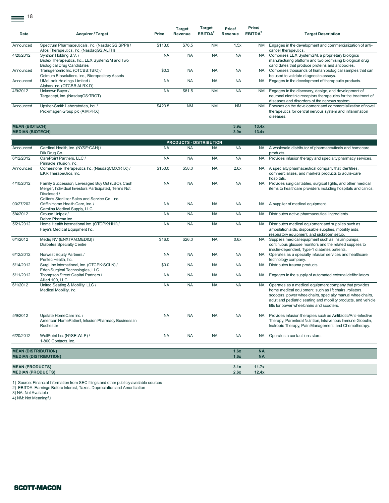$\equiv$ <sup>18</sup>

| Date      | <b>Acquirer / Target</b>                         | Price     | <b>Target</b><br>Revenue | <b>Target</b><br>EBITDA <sup>2</sup> | Price/<br>Revenue | Price/<br>EBITDA <sup>2</sup> | <b>Target Description</b>                                      |
|-----------|--------------------------------------------------|-----------|--------------------------|--------------------------------------|-------------------|-------------------------------|----------------------------------------------------------------|
|           |                                                  |           |                          |                                      |                   |                               |                                                                |
| Announced | Spectrum Pharmaceuticals, Inc. (NasdaqGS:SPPI) / | \$113.0   | \$76.5                   | <b>NM</b>                            | 1.5x              | <b>NM</b>                     | Engages in the development and commercialization of anti-      |
|           | Allos Therapeutics, Inc. (NasdagGS:ALTH)         |           |                          |                                      |                   |                               | cancer therapeutics.                                           |
| 4/20/2012 | Synthon Holding B.V. /                           | <b>NA</b> | <b>NA</b>                | <b>NA</b>                            | <b>NA</b>         | <b>NA</b>                     | Comprises LEX SystemSM, a proprietary biologics                |
|           | Biolex Therapeutics, Inc., LEX SystemSM and Two  |           |                          |                                      |                   |                               | manufacturing platform and two promising biological drug       |
|           | <b>Biological Drug Candidates</b>                |           |                          |                                      |                   |                               | candidates that produce proteins and antibodies.               |
| Announced | Transgenomic Inc. (OTCBB:TBIO) /                 | \$0.3     | <b>NA</b>                | <b>NA</b>                            | <b>NA</b>         | <b>NA</b>                     | Comprises thousands of human biological samples that can       |
|           | Ocimum Biosolutions, Inc., Biorepository Assets  |           |                          |                                      |                   |                               | be used to validate diagnostic assays.                         |
| Announced | UMeLook Holdings Limited /                       | <b>NA</b> | <b>NA</b>                | <b>NA</b>                            | <b>NA</b>         | <b>NA</b>                     | Engages in the development of therapeutic products.            |
|           | Alpharx Inc. (OTCBB:ALRX.D)                      |           |                          |                                      |                   |                               |                                                                |
| 4/9/2012  | Unknown Buyer /                                  | <b>NA</b> | \$81.5                   | <b>NM</b>                            | <b>NA</b>         | <b>NM</b>                     | Engages in the discovery, design, and development of           |
|           | Targacept, Inc. (NasdagGS:TRGT)                  |           |                          |                                      |                   |                               | neuronal nicotinic receptors therapeutics for the treatment of |
|           |                                                  |           |                          |                                      |                   |                               | diseases and disorders of the nervous system.                  |
| Announced | Upsher-Smith Laboratories, Inc. /                | \$423.5   | <b>NM</b>                | <b>NM</b>                            | <b>NM</b>         | <b>NM</b>                     | Focuses on the development and commercialization of novel      |
|           | Proximagen Group plc (AIM:PRX)                   |           |                          |                                      |                   |                               | therapeutics for central nervous system and inflammation       |
|           |                                                  |           |                          |                                      |                   |                               | diseases.                                                      |

**MEAN (BIOTECH) 3.9x 13.4x MEDIAN (BIOTECH) 3.9x 13.4x**

|                                                    | <b>PRODUCTS - DISTRIBUTION</b>                                                                                                                                              |           |           |           |              |                        |                                                                                                                                                                                                                                                                                               |  |  |  |  |  |  |
|----------------------------------------------------|-----------------------------------------------------------------------------------------------------------------------------------------------------------------------------|-----------|-----------|-----------|--------------|------------------------|-----------------------------------------------------------------------------------------------------------------------------------------------------------------------------------------------------------------------------------------------------------------------------------------------|--|--|--|--|--|--|
| Announced                                          | Cardinal Health, Inc. (NYSE:CAH) /<br>Dik Drug Co.                                                                                                                          | <b>NA</b> | <b>NA</b> | <b>NA</b> | <b>NA</b>    |                        | NA A wholesale distributor of pharmaceuticals and homecare<br>products.                                                                                                                                                                                                                       |  |  |  |  |  |  |
| 6/12/2012                                          | CarePoint Partners, LLC /<br>Pinnacle Infusion, Inc.                                                                                                                        | <b>NA</b> | <b>NA</b> | <b>NA</b> | <b>NA</b>    | <b>NA</b>              | Provides infusion therapy and specialty pharmacy services.                                                                                                                                                                                                                                    |  |  |  |  |  |  |
| Announced                                          | Cornerstone Therapeutics Inc. (NasdaqCM:CRTX) /<br>EKR Therapeutics, Inc.                                                                                                   | \$150.0   | \$58.0    | <b>NA</b> | 2.6x         | <b>NA</b>              | A specialty pharmaceutical company that identifies,<br>commercializes, and markets products to acute-care<br>hospitals.                                                                                                                                                                       |  |  |  |  |  |  |
| 4/10/2012                                          | Family Succession, Leveraged Buy Out (LBO), Cash<br>Merger, Individual Investors Participated, Terms Not<br>Disclosed /<br>Collier's Sterilizer Sales and Service Co., Inc. | <b>NA</b> | <b>NA</b> | <b>NA</b> | <b>NA</b>    | <b>NA</b>              | Provides surgical tables, surgical lights, and other medical<br>items to healthcare providers including hospitals and clinics.                                                                                                                                                                |  |  |  |  |  |  |
| 03/27/202                                          | Griffin Home Health Care. Inc. /<br>Carolina Medical Supply, LLC                                                                                                            | <b>NA</b> | <b>NA</b> | <b>NA</b> | <b>NA</b>    | <b>NA</b>              | A supplier of medical equipment.                                                                                                                                                                                                                                                              |  |  |  |  |  |  |
| 5/4/2012                                           | Groupe Unipex /<br>Debro Pharma Inc.                                                                                                                                        | <b>NA</b> | <b>NA</b> | <b>NA</b> | <b>NA</b>    | <b>NA</b>              | Distributes active pharmaceutical ingredients.                                                                                                                                                                                                                                                |  |  |  |  |  |  |
| 5/21/2012                                          | Home Health International Inc. (OTCPK:HHII) /<br>Faya's Medical Equipment Inc.                                                                                              | <b>NA</b> | <b>NA</b> | <b>NA</b> | <b>NA</b>    | NA.                    | Distributes medical equipment and supplies such as<br>ambulation aids, disposable supplies, mobility aids,<br>respiratory equipment, and sickroom setup.                                                                                                                                      |  |  |  |  |  |  |
| 6/1/2012                                           | Medig NV (ENXTAM:MEDIQ) /<br><b>Diabetes Specialty Centre</b>                                                                                                               | \$16.0    | \$26.0    | <b>NA</b> | 0.6x         | <b>NA</b>              | Supplies medical equipment such as insulin pumps,<br>continuous glucose monitors and the related supplies to<br>insulin-dependent, Type-1 diabetes patients.                                                                                                                                  |  |  |  |  |  |  |
| 6/12/2012                                          | Norwest Equity Partners /<br>Pentec Health, Inc.                                                                                                                            | <b>NA</b> | <b>NA</b> | <b>NA</b> | <b>NA</b>    | <b>NA</b>              | Operates as a specialty infusion services and healthcare<br>technology company.                                                                                                                                                                                                               |  |  |  |  |  |  |
| 5/14/2012                                          | SurgLine International, Inc. (OTCPK:SGLN) /<br>Eden Surgical Technologies, LLC                                                                                              | \$0.0     | <b>NA</b> | <b>NA</b> | <b>NA</b>    | <b>NA</b>              | Distributes trauma products.                                                                                                                                                                                                                                                                  |  |  |  |  |  |  |
| 5/11/2012                                          | Thompson Street Capital Partners /<br>Allied 100, LLC                                                                                                                       | <b>NA</b> | <b>NA</b> | <b>NA</b> | <b>NA</b>    | <b>NA</b>              | Engages in the supply of automated external defibrillators.                                                                                                                                                                                                                                   |  |  |  |  |  |  |
| 6/1/2012                                           | United Seating & Mobility, LLC /<br>Medical Mobility, Inc.                                                                                                                  | <b>NA</b> | <b>NA</b> | <b>NA</b> | <b>NA</b>    | <b>NA</b>              | Operates as a medical equipment company that provides<br>home medical equipment, such as lift chairs, rollators,<br>scooters, power wheelchairs, specialty manual wheelchairs,<br>adult and pediatric seating and mobility products, and vehicle<br>lifts for power wheelchairs and scooters. |  |  |  |  |  |  |
| 5/9/2012                                           | Upstate HomeCare Inc. /<br>American HomePatient, Infusion Pharmacy Business in<br>Rochester                                                                                 | <b>NA</b> | <b>NA</b> | <b>NA</b> | <b>NA</b>    | <b>NA</b>              | Provides infusion therapies such as Antibiotic/Anti-infective<br>Therapy, Parenteral Nutrition, Intravenous Immune Globulin,<br>Inotropic Therapy, Pain Management, and Chemotherapy.                                                                                                         |  |  |  |  |  |  |
| 6/20/2012                                          | WellPoint Inc. (NYSE:WLP) /<br>1-800 Contacts, Inc.                                                                                                                         | <b>NA</b> | <b>NA</b> | <b>NA</b> | <b>NA</b>    | <b>NA</b>              | Operates a contact lens store.                                                                                                                                                                                                                                                                |  |  |  |  |  |  |
|                                                    |                                                                                                                                                                             |           |           |           |              |                        |                                                                                                                                                                                                                                                                                               |  |  |  |  |  |  |
| <b>MEAN (DISTRIBUTION)</b>                         | <b>MEDIAN (DISTRIBUTION)</b>                                                                                                                                                |           |           |           | 1.6x<br>1.6x | <b>NA</b><br><b>NA</b> |                                                                                                                                                                                                                                                                                               |  |  |  |  |  |  |
| <b>MEAN (PRODUCTS)</b><br><b>MEDIAN (PRODUCTS)</b> |                                                                                                                                                                             |           |           |           | 3.1x<br>2.6x | 11.7x<br>12.4x         |                                                                                                                                                                                                                                                                                               |  |  |  |  |  |  |

1) Source: Financial Information from SEC filings and other publicly-available sources

2) EBITDA: Earnings Before Interest, Taxes, Depreciation and Amortization 3) NA: Not Available

4) NM: Not Meaningful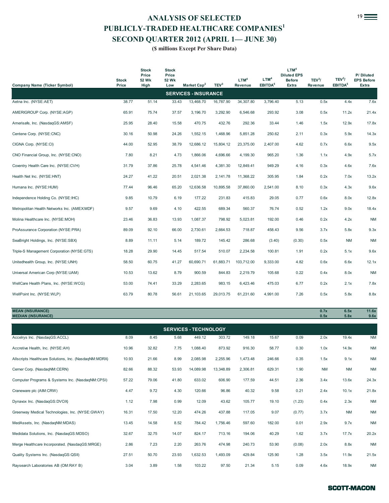# **ANALYSIS OF SELECTED**<sup>19</sup> **PUBLICLY-TRADED HEALTHCARE COMPANIES<sup>1</sup> SECOND QUARTER 2012 (APRIL 1— JUNE 30)**

| $\frac{1}{2}$<br>(\$ millions Except Per Share Data)                                                                                                                                                                                                                                                                                                                                                                                                                         |       |       |       |                             |           |            |          |        |      |           |           |  |
|------------------------------------------------------------------------------------------------------------------------------------------------------------------------------------------------------------------------------------------------------------------------------------------------------------------------------------------------------------------------------------------------------------------------------------------------------------------------------|-------|-------|-------|-----------------------------|-----------|------------|----------|--------|------|-----------|-----------|--|
| LTM <sup>4</sup><br><b>Stock</b><br><b>Stock</b><br><b>Diluted EPS</b><br>P/Diluted<br>Price<br>Price<br>LTM <sup>4</sup><br>TEV <sup>3</sup> /<br>LTM <sup>4</sup><br>TEV <sup>3</sup> /<br><b>EPS Before</b><br><b>Before</b><br><b>Stock</b><br>52 Wk<br>52 Wk<br>TEV <sup>3</sup><br>Market Cap <sup>2</sup><br>EBITDA <sup>5</sup><br>EBITDA <sup>5</sup><br><b>Company Name (Ticker Symbol)</b><br>Price<br>Revenue<br>Extra<br>Revenue<br><b>Extra</b><br>High<br>Low |       |       |       |                             |           |            |          |        |      |           |           |  |
|                                                                                                                                                                                                                                                                                                                                                                                                                                                                              |       |       |       | <b>SERVICES - INSURANCE</b> |           |            |          |        |      |           |           |  |
| Aetna Inc. (NYSE:AET)                                                                                                                                                                                                                                                                                                                                                                                                                                                        | 38.77 | 51.14 | 33.43 | 13,468.70                   | 16,787.90 | 34,307.80  | 3,796.40 | 5.13   | 0.5x | 4.4x      | 7.6x      |  |
| AMERIGROUP Corp. (NYSE:AGP)                                                                                                                                                                                                                                                                                                                                                                                                                                                  | 65.91 | 75.74 | 37.57 | 3,196.70                    | 3,292.90  | 6,546.68   | 293.92   | 3.08   | 0.5x | 11.2x     | 21.4x     |  |
| Amerisafe, Inc. (NasdaqGS:AMSF)                                                                                                                                                                                                                                                                                                                                                                                                                                              | 25.95 | 28.40 | 15.58 | 470.75                      | 432.76    | 292.36     | 33.44    | 1.46   | 1.5x | 12.9x     | 17.8x     |  |
| Centene Corp. (NYSE:CNC)                                                                                                                                                                                                                                                                                                                                                                                                                                                     | 30.16 | 50.98 | 24.26 | 1,552.15                    | 1,468.96  | 5,851.28   | 250.62   | 2.11   | 0.3x | 5.9x      | 14.3x     |  |
| CIGNA Corp. (NYSE:CI)                                                                                                                                                                                                                                                                                                                                                                                                                                                        | 44.00 | 52.95 | 38.79 | 12,686.12                   | 15,804.12 | 23,375.00  | 2,407.00 | 4.62   | 0.7x | 6.6x      | 9.5x      |  |
| CNO Financial Group, Inc. (NYSE:CNO)                                                                                                                                                                                                                                                                                                                                                                                                                                         | 7.80  | 8.21  | 4.73  | 1,866.06                    | 4,696.66  | 4,199.30   | 965.20   | 1.36   | 1.1x | 4.9x      | 5.7x      |  |
| Coventry Health Care Inc. (NYSE:CVH)                                                                                                                                                                                                                                                                                                                                                                                                                                         | 31.79 | 37.86 | 25.78 | 4,541.46                    | 4,381.30  | 12,849.41  | 949.29   | 4.16   | 0.3x | 4.6x      | 7.6x      |  |
| Health Net Inc. (NYSE:HNT)                                                                                                                                                                                                                                                                                                                                                                                                                                                   | 24.27 | 41.22 | 20.51 | 2,021.38                    | 2,141.78  | 11,368.22  | 305.95   | 1.84   | 0.2x | 7.0x      | 13.2x     |  |
| Humana Inc. (NYSE:HUM)                                                                                                                                                                                                                                                                                                                                                                                                                                                       | 77.44 | 96.46 | 65.20 | 12,636.58                   | 10,895.58 | 37,860.00  | 2,541.00 | 8.10   | 0.3x | 4.3x      | 9.6x      |  |
| Independence Holding Co. (NYSE:IHC)                                                                                                                                                                                                                                                                                                                                                                                                                                          | 9.85  | 10.79 | 6.19  | 177.22                      | 231.83    | 415.83     | 29.05    | 0.77   | 0.6x | 8.0x      | 12.8x     |  |
| Metropolitan Health Networks Inc. (AMEX:MDF)                                                                                                                                                                                                                                                                                                                                                                                                                                 | 9.57  | 9.69  | 4.10  | 422.55                      | 689.34    | 560.37     | 76.74    | 0.52   | 1.2x | 9.0x      | 18.4x     |  |
| Molina Healthcare Inc. (NYSE:MOH)                                                                                                                                                                                                                                                                                                                                                                                                                                            | 23.46 | 36.83 | 13.93 | 1,087.37                    | 798.92    | 5,023.81   | 192.00   | 0.46   | 0.2x | 4.2x      | <b>NM</b> |  |
| ProAssurance Corporation (NYSE:PRA)                                                                                                                                                                                                                                                                                                                                                                                                                                          | 89.09 | 92.10 | 66.00 | 2,730.61                    | 2,664.53  | 718.87     | 458.43   | 9.56   | 3.7x | 5.8x      | 9.3x      |  |
| SeaBright Holdings, Inc. (NYSE:SBX)                                                                                                                                                                                                                                                                                                                                                                                                                                          | 8.89  | 11.11 | 5.14  | 189.72                      | 145.42    | 286.68     | (3.40)   | (0.30) | 0.5x | <b>NM</b> | <b>NM</b> |  |
| Triple-S Management Corporation (NYSE:GTS)                                                                                                                                                                                                                                                                                                                                                                                                                                   | 18.28 | 29.90 | 14.45 | 517.54                      | 510.07    | 2,234.58   | 100.81   | 1.91   | 0.2x | 5.1x      | 9.6x      |  |
| Unitedhealth Group, Inc. (NYSE:UNH)                                                                                                                                                                                                                                                                                                                                                                                                                                          | 58.50 | 60.75 | 41.27 | 60,690.71                   | 61,883.71 | 103,712.00 | 9,333.00 | 4.82   | 0.6x | 6.6x      | 12.1x     |  |
| Universal American Corp (NYSE:UAM)                                                                                                                                                                                                                                                                                                                                                                                                                                           | 10.53 | 13.62 | 8.79  | 900.59                      | 844.83    | 2,219.79   | 105.68   | 0.22   | 0.4x | 8.0x      | <b>NM</b> |  |
| WellCare Health Plans, Inc. (NYSE:WCG)                                                                                                                                                                                                                                                                                                                                                                                                                                       | 53.00 | 74.41 | 33.29 | 2,283.65                    | 983.15    | 6,423.46   | 475.03   | 6.77   | 0.2x | 2.1x      | 7.8x      |  |
| WellPoint Inc. (NYSE:WLP)                                                                                                                                                                                                                                                                                                                                                                                                                                                    | 63.79 | 80.78 | 56.61 | 21,103.65                   | 29,013.75 | 61,231.60  | 4,991.00 | 7.26   | 0.5x | 5.8x      | 8.8x      |  |

**MEAN (INSURANCE) 0.7x 6.5x 11.6x MEDIAN (INSURANCE) 0.5x 5.8x 9.6x**

| <b>SERVICES - TECHNOLOGY</b>                                                                                                       |       |       |       |           |           |          |        |        |           |           |           |  |  |  |
|------------------------------------------------------------------------------------------------------------------------------------|-------|-------|-------|-----------|-----------|----------|--------|--------|-----------|-----------|-----------|--|--|--|
| 2.0x<br>Accelrys Inc. (NasdaqGS:ACCL)<br>8.09<br>5.68<br>303.72<br>15.67<br>0.09<br>19.4x<br><b>NM</b><br>8.45<br>449.12<br>149.18 |       |       |       |           |           |          |        |        |           |           |           |  |  |  |
| Accretive Health, Inc. (NYSE:AH)                                                                                                   | 10.96 | 32.82 | 7.75  | 1,088.40  | 873.92    | 916.30   | 58.77  | 0.30   | 1.0x      | 14.9x     | <b>NM</b> |  |  |  |
| Allscripts Healthcare Solutions, Inc. (NasdagNM:MDRX)                                                                              | 10.93 | 21.66 | 8.99  | 2,085.98  | 2,255.96  | 1,473.48 | 246.66 | 0.35   | 1.5x      | 9.1x      | <b>NM</b> |  |  |  |
| Cerner Corp. (NasdaqNM:CERN)                                                                                                       | 82.66 | 88.32 | 53.93 | 14,089.98 | 13,348.89 | 2,306.81 | 629.31 | 1.90   | <b>NM</b> | <b>NM</b> | <b>NM</b> |  |  |  |
| Computer Programs & Systems Inc. (NasdaqNM:CPSI)                                                                                   | 57.22 | 79.06 | 41.80 | 633.02    | 606.90    | 177.59   | 44.51  | 2.36   | 3.4x      | 13.6x     | 24.3x     |  |  |  |
| Craneware plc (AIM:CRW)                                                                                                            | 4.47  | 9.72  | 4.30  | 120.66    | 96.86     | 40.32    | 9.58   | 0.21   | 2.4x      | 10.1x     | 21.8x     |  |  |  |
| Dynavox Inc. (NasdaqGS:DVOX)                                                                                                       | 1.12  | 7.98  | 0.99  | 12.09     | 43.62     | 105.77   | 19.10  | (1.23) | 0.4x      | 2.3x      | <b>NM</b> |  |  |  |
| Greenway Medical Technologies, Inc. (NYSE:GWAY)                                                                                    | 16.31 | 17.50 | 12.20 | 474.26    | 437.88    | 117.05   | 9.07   | (0.77) | 3.7x      | <b>NM</b> | <b>NM</b> |  |  |  |
| MedAssets, Inc. (NasdaqNM:MDAS)                                                                                                    | 13.45 | 14.58 | 8.52  | 784.42    | 1,756.46  | 597.60   | 182.00 | 0.01   | 2.9x      | 9.7x      | <b>NM</b> |  |  |  |
| Medidata Solutions, Inc. (NasdaqGS:MDSO)                                                                                           | 32.67 | 32.75 | 14.07 | 824.17    | 713.16    | 194.06   | 40.29  | 1.62   | 3.7x      | 17.7x     | 20.2x     |  |  |  |
| Merge Healthcare Incorporated. (NasdaqGS:MRGE)                                                                                     | 2.86  | 7.23  | 2.20  | 263.76    | 474.98    | 240.73   | 53.90  | (0.08) | 2.0x      | 8.8x      | <b>NM</b> |  |  |  |
| Quality Systems Inc. (NasdaqGS:QSII)                                                                                               | 27.51 | 50.70 | 23.93 | 1,632.53  | 1,493.09  | 429.84   | 125.90 | 1.28   | 3.5x      | 11.9x     | 21.5x     |  |  |  |
| Raysearch Laboratories AB (OM:RAY B)                                                                                               | 3.04  | 3.89  | 1.58  | 103.22    | 97.50     | 21.34    | 5.15   | 0.09   | 4.6x      | 18.9x     | <b>NM</b> |  |  |  |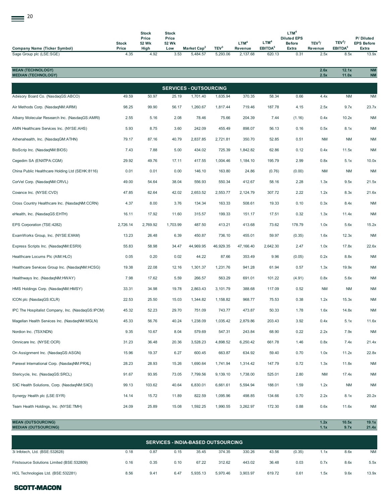| <b>Company Name (Ticker Symbol)</b>                      | <b>Stock</b><br>Price | <b>Stock</b><br>Price<br>52 Wk<br>High | <b>Stock</b><br>Price<br>52 Wk<br>Low | Market Cap <sup>2</sup>       | TEV <sup>3</sup> | LTM <sup>4</sup><br>Revenue | LTM <sup>4</sup><br>EBITDA <sup>5</sup> | LTM <sup>4</sup><br><b>Diluted EPS</b><br><b>Before</b><br>Extra | TEV <sup>3</sup> /<br>Revenue | TEV <sup>3</sup> /<br>EBITDA <sup>5</sup> | P/Diluted<br><b>EPS Before</b><br><b>Extra</b> |
|----------------------------------------------------------|-----------------------|----------------------------------------|---------------------------------------|-------------------------------|------------------|-----------------------------|-----------------------------------------|------------------------------------------------------------------|-------------------------------|-------------------------------------------|------------------------------------------------|
| Sage Group plc (LSE:SGE)                                 | 4.35                  | 4.92                                   | 3.53                                  | 5,484.57                      | 5,293.06         | 2,137.68                    | 620.13                                  | 0.31                                                             | 2.5x                          | 8.5x                                      | 13.9x                                          |
| <b>MEAN (TECHNOLOGY)</b><br><b>MEDIAN (TECHNOLOGY)</b>   |                       |                                        |                                       |                               |                  |                             |                                         |                                                                  | 2.6x<br>2.5x                  | 12.1x<br>11.0x                            | <b>NM</b><br><b>NM</b>                         |
|                                                          |                       |                                        |                                       | <b>SERVICES - OUTSOURCING</b> |                  |                             |                                         |                                                                  |                               |                                           |                                                |
| Advisory Board Co. (NasdaqGS:ABCO)                       | 49.59                 | 50.97                                  | 25.19                                 | 1,701.40                      | 1,635.94         | 370.35                      | 58.34                                   | 0.66                                                             | 4.4x                          | <b>NM</b>                                 | <b>NM</b>                                      |
| Air Methods Corp. (NasdaqNM:AIRM)                        | 98.25                 | 99.90                                  | 56.17                                 | 1,260.67                      | 1,817.44         | 719.46                      | 187.78                                  | 4.15                                                             | 2.5x                          | 9.7x                                      | 23.7x                                          |
| Albany Molecular Research Inc. (NasdaqGS:AMRI)           | 2.55                  | 5.16                                   | 2.08                                  | 78.46                         | 75.66            | 204.39                      | 7.44                                    | (1.16)                                                           | 0.4x                          | 10.2x                                     | <b>NM</b>                                      |
| AMN Healthcare Services Inc. (NYSE:AHS)                  | 5.93                  | 8.75                                   | 3.60                                  | 242.09                        | 455.49           | 898.07                      | 56.13                                   | 0.16                                                             | 0.5x                          | 8.1x                                      | <b>NM</b>                                      |
| Athenahealth, Inc. (NasdaqGM:ATHN)                       | 79.17                 | 87.16                                  | 40.79                                 | 2,837.85                      | 2,721.81         | 350.70                      | 52.85                                   | 0.51                                                             | <b>NM</b>                     | <b>NM</b>                                 | <b>NM</b>                                      |
| BioScrip Inc. (NasdaqNM:BIOS)                            | 7.43                  | 7.88                                   | 5.00                                  | 434.02                        | 725.39           | 1,842.82                    | 62.86                                   | 0.12                                                             | 0.4x                          | 11.5x                                     | <b>NM</b>                                      |
| Cegedim SA (ENXTPA:CGM)                                  | 29.92                 | 49.76                                  | 17.11                                 | 417.55                        | 1,004.46         | 1,184.10                    | 195.79                                  | 2.99                                                             | 0.8x                          | 5.1x                                      | 10.0x                                          |
| China Public Healthcare Holding Ltd (SEHK:8116)          | 0.01                  | 0.01                                   | 0.00                                  | 146.10                        | 163.80           | 24.86                       | (0.76)                                  | (0.00)                                                           | <b>NM</b>                     | ΝM                                        | <b>NM</b>                                      |
| CorVel Corp. (NasdaqNM:CRVL)                             | 49.00                 | 54.64                                  | 38.04                                 | 556.93                        | 550.34           | 412.67                      | 58.16                                   | 2.28                                                             | 1.3x                          | 9.5x                                      | 21.5x                                          |
| Covance Inc. (NYSE:CVD)                                  | 47.85                 | 62.64                                  | 42.02                                 | 2,653.52                      | 2,553.77         | 2,124.79                    | 307.72                                  | 2.22                                                             | 1.2x                          | 8.3x                                      | 21.6x                                          |
| Cross Country Healthcare Inc. (NasdaqNM:CCRN)            | 4.37                  | 8.00                                   | 3.76                                  | 134.34                        | 163.33           | 508.61                      | 19.33                                   | 0.10                                                             | 0.3x                          | 8.4x                                      | <b>NM</b>                                      |
| eHealth, Inc. (NasdaqGS:EHTH)                            | 16.11                 | 17.92                                  | 11.60                                 | 315.57                        | 199.33           | 151.17                      | 17.51                                   | 0.32                                                             | 1.3x                          | 11.4x                                     | <b>NM</b>                                      |
| EPS Corporation (TSE:4282)                               | 2,726.14              | 2,769.92                               | 1,703.99                              | 487.50                        | 413.21           | 413.68                      | 73.62                                   | 178.79                                                           | 1.0x                          | 5.6x                                      | 15.2x                                          |
| ExamWorks Group, Inc. (NYSE:EXAM)                        | 13.23                 | 26.48                                  | 6.39                                  | 450.87                        | 736.10           | 455.01                      | 59.97                                   | (0.35)                                                           | 1.6x                          | 12.3x                                     | <b>NM</b>                                      |
| Express Scripts Inc. (NasdaqNM:ESRX)                     | 55.83                 | 58.98                                  | 34.47                                 | 44,969.95                     | 46,929.35        | 47,166.40                   | 2,642.30                                | 2.47                                                             | 1.0x                          | 17.8x                                     | 22.6x                                          |
| Healthcare Locums Plc (AIM:HLO)                          | 0.05                  | 0.20                                   | 0.02                                  | 44.22                         | 87.66            | 353.49                      | 9.96                                    | (0.05)                                                           | 0.2x                          | 8.8x                                      | <b>NM</b>                                      |
| Healthcare Services Group Inc. (NasdaqNM:HCSG)           | 19.38                 | 22.08                                  | 12.16                                 | 1,301.37                      | 1,231.76         | 941.28                      | 61.94                                   | 0.57                                                             | 1.3x                          | 19.9x                                     | <b>NM</b>                                      |
| Healthways Inc. (NasdaqNM:HWAY)                          | 7.98                  | 17.62                                  | 5.59                                  | 266.57                        | 563.29           | 691.01                      | 101.22                                  | (4.91)                                                           | 0.8x                          | 5.6x                                      | NM                                             |
| HMS Holdings Corp. (NasdaqNM:HMSY)                       | 33.31                 | 34.98                                  | 19.78                                 | 2,863.43                      | 3,101.79         | 388.68                      | 117.09                                  | 0.52                                                             | <b>NM</b>                     | <b>NM</b>                                 | <b>NM</b>                                      |
| ICON plc (NasdaqGS:ICLR)                                 | 22.53                 | 25.50                                  | 15.03                                 | 1,344.82                      | 1,158.82         | 968.77                      | 75.53                                   | 0.38                                                             | 1.2x                          | 15.3x                                     | <b>NM</b>                                      |
| IPC The Hospitalist Company, Inc. (NasdaqGS:IPCM)        | 45.32                 | 52.23                                  | 29.70                                 | 751.09                        | 743.77           | 473.87                      | 50.33                                   | 1.78                                                             | 1.6x                          | 14.8x                                     | <b>NM</b>                                      |
| Magellan Health Services Inc. (NasdaqNM:MGLN)            | 45.33                 | 56.76                                  | 40.24                                 | 1,238.09                      | 1,035.42         | 2,879.86                    | 203.43                                  | 3.92                                                             | 0.4x                          | 5.1x                                      | 11.6x                                          |
| Nordion Inc. (TSX:NDN)                                   | 9.35                  | 10.67                                  | 8.04                                  | 579.69                        | 547.31           | 243.84                      | 68.90                                   | 0.22                                                             | 2.2x                          | 7.9x                                      | <b>NM</b>                                      |
| Omnicare Inc. (NYSE:OCR)                                 | 31.23                 | 36.48                                  | 20.36                                 | 3,528.23                      | 4,898.52         | 6,250.42                    | 661.78                                  | 1.46                                                             | 0.8x                          | 7.4x                                      | 21.4x                                          |
| On Assignment Inc. (NasdaqGS:ASGN)                       | 15.96                 | 19.37                                  | 6.27                                  | 600.45                        | 663.87           | 634.92                      | 59.40                                   | 0.70                                                             | 1.0x                          | 11.2x                                     | 22.8x                                          |
| Parexel International Corp. (NasdaqNM:PRXL)              | 28.23                 | 28.93                                  | 15.26                                 | 1,690.64                      | 1,741.94         | 1,314.42                    | 147.79                                  | 0.72                                                             | 1.3x                          | 11.8x                                     | <b>NM</b>                                      |
| Stericycle, Inc. (NasdaqGS:SRCL)                         | 91.67                 | 93.95                                  | 73.05                                 | 7,799.56                      | 9,139.10         | 1,738.00                    | 525.01                                  | 2.80                                                             | <b>NM</b>                     | 17.4x                                     | <b>NM</b>                                      |
| SXC Health Solutions, Corp. (NasdaqNM:SXCI)              | 99.13                 | 103.62                                 | 40.64                                 | 6,830.01                      | 6,661.61         | 5,594.94                    | 188.01                                  | 1.59                                                             | 1.2x                          | <b>NM</b>                                 | <b>NM</b>                                      |
| Synergy Health plc (LSE:SYR)                             | 14.14                 | 15.72                                  | 11.89                                 | 822.59                        | 1,095.96         | 498.85                      | 134.66                                  | 0.70                                                             | 2.2x                          | 8.1x                                      | 20.2x                                          |
| Team Health Holdings, Inc. (NYSE:TMH)                    | 24.09                 | 25.89                                  | 15.08                                 | 1,592.25                      | 1,990.55         | 3,262.97                    | 172.30                                  | 0.88                                                             | 0.6x                          | 11.6x                                     | <b>NM</b>                                      |
| <b>MEAN (OUTSOURCING)</b><br><b>MEDIAN (OUTSOURCING)</b> |                       |                                        |                                       |                               |                  |                             |                                         |                                                                  | 1.2x<br>1.1x                  | 10.5x<br>9.7x                             | 19.1x<br>21.4x                                 |

| <b>SERVICES - INDIA-BASED OUTSOURCING</b>  |      |      |      |          |          |          |        |        |      |      |           |
|--------------------------------------------|------|------|------|----------|----------|----------|--------|--------|------|------|-----------|
| 3i Infotech, Ltd. (BSE:532628)             | 0.18 | 0.87 | 0.15 | 35.45    | 374.35   | 330.26   | 43.56  | (0.35) | 1.1x | 8.6x | <b>NM</b> |
| Firstsource Solutions Limited (BSE:532809) | 0.16 | 0.35 | 0.10 | 67.22    | 312.62   | 443.02   | 36.48  | 0.03   | 0.7x | 8.6x | 5.5x      |
| HCL Technologies Ltd. (BSE:532281)         | 8.56 | 9.41 | 6.47 | 5.935.13 | 5.970.46 | 3.903.97 | 619.72 | 0.61   | 1.5x | 9.6x | 13.9x     |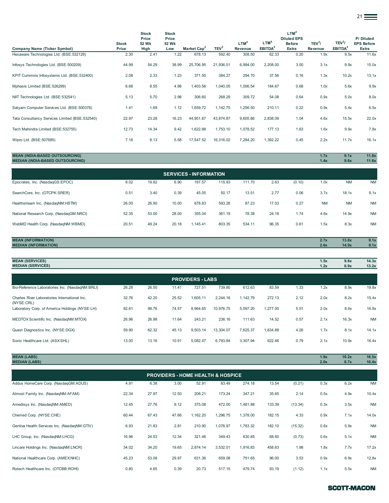|                                                |                       |                                        |                                       |                         |                  |                             |                                         |                                                                  |                                      |                                           | $21 \equiv$                             |
|------------------------------------------------|-----------------------|----------------------------------------|---------------------------------------|-------------------------|------------------|-----------------------------|-----------------------------------------|------------------------------------------------------------------|--------------------------------------|-------------------------------------------|-----------------------------------------|
| Company Name (Ticker Symbol)                   | <b>Stock</b><br>Price | <b>Stock</b><br>Price<br>52 Wk<br>High | <b>Stock</b><br>Price<br>52 Wk<br>Low | Market Cap <sup>2</sup> | TEV <sup>3</sup> | LTM <sup>4</sup><br>Revenue | LTM <sup>4</sup><br>EBITDA <sup>5</sup> | LTM <sup>4</sup><br><b>Diluted EPS</b><br><b>Before</b><br>Extra | TEV <sup>3</sup> /<br><b>Revenue</b> | TEV <sup>3</sup> /<br>EBITDA <sup>5</sup> | P/Diluted<br><b>EPS Before</b><br>Extra |
| Hexaware Technologies Ltd. (BSE:532129)        | 2.30                  | 2.41                                   | 1.22                                  | 678.13                  | 592.40           | 308.50                      | 62.33                                   | 0.20                                                             | 1.9x                                 | 9.5x                                      | 11.6x                                   |
| Infosys Technologies Ltd. (BSE:500209)         | 44.99                 | 54.29                                  | 38.99                                 | 25,706.95               | 21,936.01        | 6,994.00                    | 2,208.00                                | 3.00                                                             | 3.1x                                 | 9.9x                                      | 15.0x                                   |
| KPIT Cummins Infosystems Ltd. (BSE:532400)     | 2.08                  | 2.33                                   | 1.23                                  | 371.50                  | 384.27           | 294.70                      | 37.56                                   | 0.16                                                             | 1.3x                                 | 10.2x                                     | 13.1x                                   |
| Mphasis Limited (BSE:526299)                   | 6.68                  | 8.55                                   | 4.98                                  | 1,403.56                | 1,040.05         | 1,006.54                    | 184.67                                  | 0.68                                                             | 1.0x                                 | 5.6x                                      | 9.9x                                    |
| NIIT Technologies Ltd. (BSE:532541)            | 5.13                  | 5.70                                   | 2.98                                  | 306.60                  | 268.29           | 309.72                      | 54.08                                   | 0.64                                                             | 0.9x                                 | 5.0x                                      | 8.0x                                    |
| Satyam Computer Services Ltd. (BSE:500376)     | 1.41                  | 1.69                                   | 1.12                                  | 1,659.72                | 1,142.75         | 1,256.50                    | 210.11                                  | 0.22                                                             | 0.9x                                 | 5.4x                                      | 6.5x                                    |
| Tata Consultancy Services Limited (BSE:532540) | 22.97                 | 23.28                                  | 16.23                                 | 44,951.87               | 43,874.87        | 9,605.86                    | 2,838.09                                | 1.04                                                             | 4.6x                                 | 15.5x                                     | 22.0x                                   |
| Tech Mahindra Limited (BSE:532755)             | 12.73                 | 14.34                                  | 9.42                                  | 1,622.88                | 1,753.10         | 1,078.52                    | 177.13                                  | 1.63                                                             | 1.6x                                 | 9.9x                                      | 7.8x                                    |
| Wipro Ltd. (BSE:507685)                        | 7.18                  | 8.13                                   | 5.58                                  | 17,547.52               | 16,316.02        | 7,284.20                    | 1,392.22                                | 0.45                                                             | 2.2x                                 | 11.7x                                     | 16.1x                                   |

**MEAN (INDIA-BASED OUTSOURCING) 1.7x 9.1x 11.8x MEDIAN (INDIA-BASED OUTSOURCING) 1.4x 9.6x 11.6x**

| <b>SERVICES - INFORMATION</b>           |       |       |       |          |        |        |       |        |           |           |           |  |
|-----------------------------------------|-------|-------|-------|----------|--------|--------|-------|--------|-----------|-----------|-----------|--|
| Epocrates, Inc. (NasdagGS:EPOC)         | 8.02  | 19.82 | 6.90  | 197.57   | 115.93 | 111.70 | 2.63  | (0.10) | 1.0x      | <b>NM</b> | <b>NM</b> |  |
| SearchCore, Inc. (OTCPK:SRER)           | 0.51  | 3.40  | 0.39  | 45.05    | 50.17  | 13.51  | 2.77  | 0.06   | 3.7x      | 18.1x     | 9.1x      |  |
| Healthstream Inc. (NasdagNM:HSTM)       | 26.00 | 26.90 | 10.00 | 678.83   | 593.28 | 87.23  | 17.03 | 0.27   | <b>NM</b> | <b>NM</b> | <b>NM</b> |  |
| National Research Corp. (NasdaqGM:NRCI) | 52.35 | 53.00 | 28.00 | 355.04   | 361.19 | 78.38  | 24.18 | 1.74   | 4.6x      | 14.9x     | <b>NM</b> |  |
| WebMD Health Corp. (NasdaqNM:WBMD)      | 20.51 | 49.24 | 20.18 | 1.145.41 | 803.35 | 534.11 | 96.35 | 0.61   | 1.5x      | 8.3x      | <b>NM</b> |  |

| <b>MEAN (INFORMATION)</b>                           | $27 - 7$<br>2.1 <sub>A</sub> | 13.8x | $-9.1h$          |
|-----------------------------------------------------|------------------------------|-------|------------------|
| <b>FORMATION)</b><br><b>MEDIAN</b><br><b>I</b> (INI | 2.6x                         | 14.9x | 9.1 <sub>A</sub> |
|                                                     |                              |       |                  |

| <b>MEAN (SERVICES)</b>   | 1.5X           | 9.6x | 14.3x |
|--------------------------|----------------|------|-------|
| <b>MEDIAN (SERVICES)</b> | $\sim$<br>1.ZX | 8.9x | 13.2x |

| <b>PROVIDERS - LABS</b>                                     |       |       |       |          |           |          |          |      |      |       |           |  |  |
|-------------------------------------------------------------|-------|-------|-------|----------|-----------|----------|----------|------|------|-------|-----------|--|--|
| Bio-Reference Laboratories Inc. (NasdaqNM:BRLI)             | 26.28 | 26.50 | 11.41 | 727.51   | 739.80    | 612.63   | 83.59    | 1.33 | 1.2x | 8.9x  | 19.8x     |  |  |
| Charles River Laboratories International Inc.<br>(NYSE:CRL) | 32.76 | 42.20 | 25.52 | 1.605.11 | 2.244.16  | 1.142.79 | 272.13   | 2.12 | 2.0x | 8.2x  | 15.4x     |  |  |
| Laboratory Corp. of America Holdings (NYSE:LH)              | 92.61 | 99.76 | 74.57 | 8.964.65 | 10.976.75 | 5.597.20 | 1,277.00 | 5.51 | 2.0x | 8.6x  | 16.8x     |  |  |
| MEDTOX Scientific Inc. (NasdaqNM:MTOX)                      | 26.96 | 26.98 | 11.64 | 243.21   | 236.16    | 111.63   | 14.52    | 0.57 | 2.1x | 16.3x | <b>NM</b> |  |  |
| Quest Diagnostics Inc. (NYSE:DGX)                           | 59.90 | 62.32 | 45.13 | 9.503.14 | 13.304.07 | 7.625.37 | 1.634.88 | 4.26 | 1.7x | 8.1x  | 14.1x     |  |  |
| Sonic Healthcare Ltd. (ASX:SHL)                             | 13.00 | 13.16 | 10.91 | 5.082.47 | 6.793.84  | 3.307.94 | 622.46   | 0.79 | 2.1x | 10.9x | 16.4x     |  |  |

**MEAN (LABS) 1.8x 10.2x 16.5x MEDIAN (LABS) 2.0x 8.7x 16.4x**

| <b>PROVIDERS - HOME HEALTH &amp; HOSPICE</b> |       |       |       |          |          |          |        |         |      |      |           |  |  |
|----------------------------------------------|-------|-------|-------|----------|----------|----------|--------|---------|------|------|-----------|--|--|
| Addus HomeCare Corp. (NasdaqGM:ADUS)         | 4.91  | 6.38  | 3.00  | 52.91    | 83.49    | 274.18   | 13.54  | (0.21)  | 0.3x | 6.2x | <b>NM</b> |  |  |
| Almost Family Inc. (NasdagNM:AFAM)           | 22.34 | 27.97 | 12.50 | 208.21   | 173.24   | 347.21   | 35.65  | 2.14    | 0.5x | 4.9x | 10.4x     |  |  |
| Amedisys Inc. (NasdagNM:AMED)                | 12.45 | 27.76 | 9.12  | 375.08   | 472.00   | 1,481.88 | 133.39 | (13.34) | 0.3x | 3.5x | <b>NM</b> |  |  |
| Chemed Corp. (NYSE:CHE)                      | 60.44 | 67.43 | 47.66 | 1,162.20 | 1,296.75 | 1,378.00 | 182.15 | 4.33    | 0.9x | 7.1x | 14.0x     |  |  |
| Gentiva Health Services Inc. (NasdagNM:GTIV) | 6.93  | 21.83 | 2.81  | 210.90   | 1,078.97 | 1,783.32 | 182.10 | (15.32) | 0.6x | 5.9x | <b>NM</b> |  |  |
| LHC Group, Inc. (NasdagNM:LHCG)              | 16.96 | 24.53 | 12.34 | 321.46   | 349.43   | 630.85   | 68.60  | (0.73)  | 0.6x | 5.1x | <b>NM</b> |  |  |
| Lincare Holdings Inc. (NasdagNM:LNCR)        | 34.02 | 34.20 | 19.65 | 2,874.14 | 3,532.01 | 1,916.83 | 458.63 | 1.98    | 1.8x | 7.7x | 17.2x     |  |  |
| National Healthcare Corp. (AMEX:NHC)         | 45.23 | 53.08 | 29.97 | 631.36   | 659.08   | 751.65   | 96.00  | 3.53    | 0.9x | 6.9x | 12.8x     |  |  |
| Rotech Healthcare Inc. (OTCBB:ROHI)          | 0.80  | 4.65  | 0.39  | 20.73    | 517.15   | 479.74   | 93.19  | (1.12)  | 1.1x | 5.5x | <b>NM</b> |  |  |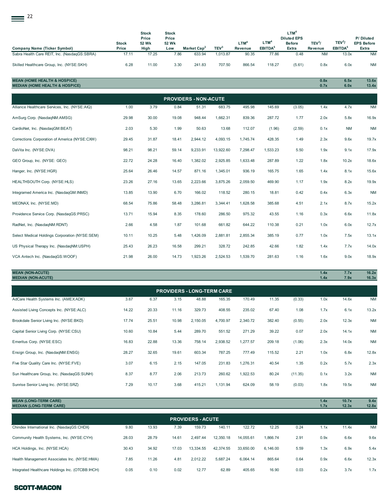| 22                                                                                   |                       |                                        |                                       |                              |                  |                             |                                         |                                                                  |                               |                                           |                                         |
|--------------------------------------------------------------------------------------|-----------------------|----------------------------------------|---------------------------------------|------------------------------|------------------|-----------------------------|-----------------------------------------|------------------------------------------------------------------|-------------------------------|-------------------------------------------|-----------------------------------------|
| <b>Company Name (Ticker Symbol)</b>                                                  | <b>Stock</b><br>Price | <b>Stock</b><br>Price<br>52 Wk<br>High | <b>Stock</b><br>Price<br>52 Wk<br>Low | Market Cap <sup>2</sup>      | TEV <sup>3</sup> | LTM <sup>4</sup><br>Revenue | LTM <sup>4</sup><br>EBITDA <sup>5</sup> | LTM <sup>4</sup><br><b>Diluted EPS</b><br><b>Before</b><br>Extra | TEV <sup>3</sup> /<br>Revenue | TEV <sup>3</sup> /<br>EBITDA <sup>5</sup> | P/Diluted<br><b>EPS Before</b><br>Extra |
| Sabra Health Care REIT, Inc. (NasdaqGS:SBRA)                                         | 17.11                 | 17.25                                  | 7.86                                  | 633.94                       | 1,013.87         | 90.35                       | 77.86                                   | 0.48                                                             | <b>NM</b>                     | 13.0x                                     | <b>NM</b>                               |
| Skilled Healthcare Group, Inc. (NYSE:SKH)                                            | 6.28                  | 11.00                                  | 3.30                                  | 241.83                       | 707.50           | 866.54                      | 118.27                                  | (5.61)                                                           | 0.8x                          | 6.0x                                      | <b>NM</b>                               |
| <b>MEAN (HOME HEALTH &amp; HOSPICE)</b><br><b>MEDIAN (HOME HEALTH &amp; HOSPICE)</b> |                       |                                        |                                       |                              |                  |                             |                                         |                                                                  | 0.8x<br>0.7x                  | 6.5x<br>6.0x                              | 13.6x<br>13.4x                          |
|                                                                                      |                       |                                        |                                       | <b>PROVIDERS - NON-ACUTE</b> |                  |                             |                                         |                                                                  |                               |                                           |                                         |
| Alliance Healthcare Services, Inc. (NYSE:AIQ)                                        | 1.00                  | 3.79                                   | 0.84                                  | 51.31                        | 683.75           | 495.98                      | 145.69                                  | (3.05)                                                           | 1.4x                          | 4.7x                                      | <b>NM</b>                               |
| AmSurg Corp. (NasdaqNM:AMSG)                                                         | 29.98                 | 30.00                                  | 19.08                                 | 948.44                       | 1,662.31         | 839.36                      | 287.72                                  | 1.77                                                             | 2.0x                          | 5.8x                                      | 16.9x                                   |
| CardioNet, Inc. (NasdagGM:BEAT)                                                      | 2.03                  | 5.30                                   | 1.99                                  | 50.63                        | 13.68            | 112.07                      | (1.96)                                  | (2.59)                                                           | 0.1x                          | <b>NM</b>                                 | <b>NM</b>                               |
| Corrections Corporation of America (NYSE:CXW)                                        | 29.45                 | 31.87                                  | 18.41                                 | 2,944.12                     | 4,093.15         | 1,745.74                    | 428.35                                  | 1.49                                                             | 2.3x                          | 9.6x                                      | 19.7x                                   |

| DaVita Inc. (NYSE:DVA)                         | 98.21 | 98.21 | 59.14 | 9,233.91 | 13,922.60 | 7,298.47 | 1,533.23 | 5.50 | 1.9x | 9.1x  | 17.9x     |
|------------------------------------------------|-------|-------|-------|----------|-----------|----------|----------|------|------|-------|-----------|
| GEO Group, Inc. (NYSE: GEO)                    | 22.72 | 24.28 | 16.40 | 1,382.02 | 2,925.85  | 1,633.48 | 287.89   | 1.22 | 1.8x | 10.2x | 18.6x     |
| Hanger, Inc. (NYSE:HGR)                        | 25.64 | 26.46 | 14.57 | 871.16   | 1,345.01  | 936.19   | 165.75   | 1.65 | 1.4x | 8.1x  | 15.6x     |
| HEALTHSOUTH Corp. (NYSE:HLS)                   | 23.26 | 27.16 | 13.65 | 2,223.66 | 3,875.26  | 2,059.50 | 469.90   | 1.17 | 1.9x | 8.2x  | 19.9x     |
| Integramed America Inc. (NasdagGM:INMD)        | 13.85 | 13.90 | 6.70  | 166.02   | 118.52    | 280.15   | 18.81    | 0.42 | 0.4x | 6.3x  | <b>NM</b> |
| MEDNAX, Inc. (NYSE:MD)                         | 68.54 | 75.86 | 58.48 | 3,286.81 | 3,344.41  | 1,628.58 | 385.68   | 4.51 | 2.1x | 8.7x  | 15.2x     |
| Providence Service Corp. (NasdagGS:PRSC)       | 13.71 | 15.94 | 8.35  | 178.60   | 286.50    | 975.32   | 43.55    | 1.16 | 0.3x | 6.6x  | 11.8x     |
| RadNet, Inc. (NasdagNM:RDNT)                   | 2.66  | 4.58  | 1.87  | 101.68   | 661.82    | 644.22   | 110.38   | 0.21 | 1.0x | 6.0x  | 12.7x     |
| Select Medical Holdings Corporation (NYSE:SEM) | 10.11 | 10.25 | 5.48  | ,426.09  | 2,881.81  | 2,855.34 | 385.19   | 0.77 | 1.0x | 7.5x  | 13.1x     |
| US Physical Therapy Inc. (NasdagNM:USPH)       | 25.43 | 26.23 | 16.58 | 299.21   | 328.72    | 242.85   | 42.66    | 1.82 | 1.4x | 7.7x  | 14.0x     |
| VCA Antech Inc. (NasdagGS:WOOF)                | 21.98 | 26.00 | 14.73 | 1,923.26 | 2,524.53  | 1,539.70 | 281.63   | 1.16 | 1.6x | 9.0x  | 18.9x     |
|                                                |       |       |       |          |           |          |          |      |      |       |           |

# **MEAN (NON-ACUTE) 1.4x 7.7x 16.2x MEDIAN (NON-ACUTE) 1.4x 7.9x 16.3x**

| 3.67  | 6.37  | 3.15  | 48.88    | 165.35   | 170.49   | 11.35                             | (0.33)  | 1.0x | 14.6x | <b>NM</b> |
|-------|-------|-------|----------|----------|----------|-----------------------------------|---------|------|-------|-----------|
| 14.22 | 20.33 | 11.16 | 329.73   | 408.55   | 235.02   | 67.40                             | 1.08    | 1.7x | 6.1x  | 13.2x     |
| 17.74 | 25.51 | 10.98 | 2,150.05 | 4,700.97 | 2,340.72 | 382.40                            | (0.55)  | 2.0x | 12.3x | <b>NM</b> |
| 10.60 | 10.84 | 5.44  | 289.70   | 551.52   | 271.29   | 39.22                             | 0.07    | 2.0x | 14.1x | <b>NM</b> |
| 16.83 | 22.88 | 13.36 | 758.14   | 2,938.52 | 1,277.57 | 209.18                            | (1.06)  | 2.3x | 14.0x | <b>NM</b> |
| 28.27 | 32.65 | 19.61 | 603.34   | 787.25   | 777.49   | 115.52                            | 2.21    | 1.0x | 6.8x  | 12.8x     |
| 3.07  | 6.15  | 2.15  | 147.05   | 231.83   | 1,276.31 | 40.54                             | 1.35    | 0.2x | 5.7x  | 2.3x      |
| 8.37  | 8.77  | 2.06  | 213.73   | 260.62   | 1,922.53 | 80.24                             | (11.35) | 0.1x | 3.2x  | <b>NM</b> |
| 7.29  | 10.17 | 3.68  | 415.21   | 1,131.94 | 624.09   | 58.19                             | (0.03)  | 1.8x | 19.5x | <b>NM</b> |
|       |       |       |          |          |          | <b>PROVIDERS - LONG-TERM CARE</b> |         |      |       |           |

| <b>PROVIDERS - ACUTE</b>                         |       |       |       |           |           |           |          |      |      |       |           |  |
|--------------------------------------------------|-------|-------|-------|-----------|-----------|-----------|----------|------|------|-------|-----------|--|
| Chindex International Inc. (NasdaqGS:CHDX)       | 9.80  | 13.93 | 7.39  | 159.73    | 140.11    | 122.72    | 12.25    | 0.24 | 1.1x | 11.4x | <b>NM</b> |  |
| Community Health Systems, Inc. (NYSE:CYH)        | 28.03 | 28.79 | 14.61 | 2.497.44  | 12.350.18 | 14.055.61 | 1.866.74 | 2.91 | 0.9x | 6.6x  | 9.6x      |  |
| HCA Holdings, Inc. (NYSE:HCA)                    | 30.43 | 34.92 | 17.03 | 13.334.55 | 42.374.55 | 33.650.00 | 6.146.00 | 5.59 | 1.3x | 6.9x  | 5.4x      |  |
| Health Management Associates Inc. (NYSE:HMA)     | 7.85  | 11.26 | 4.81  | 2.012.22  | 5.687.24  | 6.064.14  | 865.64   | 0.64 | 0.9x | 6.6x  | 12.3x     |  |
| Integrated Healthcare Holdings Inc. (OTCBB:IHCH) | 0.05  | 0.10  | 0.02  | 12.77     | 62.89     | 405.65    | 16.90    | 0.03 | 0.2x | 3.7x  | 1.7x      |  |

**MEAN (LONG-TERM CARE) 1.4x 10.7x 9.4x MEDIAN (LONG-TERM CARE) 1.7x 12.3x 12.8x**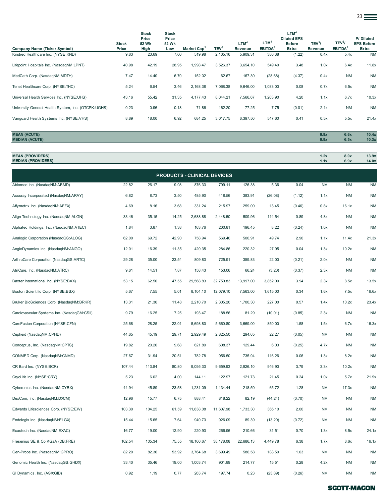|                                                     |                       |                                        |                                       |                         |                  |                             |                                         |                                                                  |                    |                                           | $23 \equiv$                             |
|-----------------------------------------------------|-----------------------|----------------------------------------|---------------------------------------|-------------------------|------------------|-----------------------------|-----------------------------------------|------------------------------------------------------------------|--------------------|-------------------------------------------|-----------------------------------------|
| Company Name (Ticker Symbol)                        | <b>Stock</b><br>Price | <b>Stock</b><br>Price<br>52 Wk<br>High | <b>Stock</b><br>Price<br>52 Wk<br>Low | Market Cap <sup>2</sup> | TEV <sup>3</sup> | LTM <sup>4</sup><br>Revenue | LTM <sup>4</sup><br>EBITDA <sup>5</sup> | LTM <sup>4</sup><br><b>Diluted EPS</b><br><b>Before</b><br>Extra | $TEV^3$<br>Revenue | TEV <sup>3</sup> /<br>EBITDA <sup>5</sup> | P/Diluted<br><b>EPS Before</b><br>Extra |
| Kindred Healthcare Inc. (NYSE:KND)                  | 9.83                  | 23.69                                  | 7.60                                  | 519.98                  | 2,105.16         | 5,909.31                    | 386.38                                  | (1.22)                                                           | 0.4x               | 5.4x                                      | <b>NM</b>                               |
| Lifepoint Hospitals Inc. (NasdaqNM:LPNT)            | 40.98                 | 42.19                                  | 28.95                                 | 1,998.47                | 3,526.37         | 3,654.10                    | 549.40                                  | 3.48                                                             | 1.0x               | 6.4x                                      | 11.8x                                   |
| MedCath Corp. (NasdagNM:MDTH)                       | 7.47                  | 14.40                                  | 6.70                                  | 152.02                  | 62.67            | 167.30                      | (28.68)                                 | (4.37)                                                           | 0.4x               | <b>NM</b>                                 | <b>NM</b>                               |
| Tenet Healthcare Corp. (NYSE:THC)                   | 5.24                  | 6.54                                   | 3.46                                  | 2,168.38                | 7,068.38         | 9,646.00                    | 1,083.00                                | 0.08                                                             | 0.7x               | 6.5x                                      | <b>NM</b>                               |
| Universal Health Services Inc. (NYSE:UHS)           | 43.16                 | 55.42                                  | 31.35                                 | 4,177.43                | 8,044.21         | 7,566.67                    | 1,203.90                                | 4.20                                                             | 1.1x               | 6.7x                                      | 10.3x                                   |
| University General Health System, Inc. (OTCPK:UGHS) | 0.23                  | 0.96                                   | 0.18                                  | 71.86                   | 162.20           | 77.25                       | 7.75                                    | (0.01)                                                           | 2.1x               | <b>NM</b>                                 | <b>NM</b>                               |
| Vanquard Health Systems Inc. (NYSE:VHS)             | 8.89                  | 18.00                                  | 6.92                                  | 684.25                  | 3,017.75         | 6,397.50                    | 547.60                                  | 0.41                                                             | 0.5x               | 5.5x                                      | 21.4x                                   |
|                                                     |                       |                                        |                                       |                         |                  |                             |                                         |                                                                  |                    |                                           |                                         |
| <b>MEAN (ACUTE)</b><br><b>MEDIAN (ACUTE)</b>        |                       |                                        |                                       |                         |                  |                             |                                         |                                                                  | 0.9x<br>0.9x       | 6.6x<br>6.5x                              | 10.4x<br>10.3x                          |

| <b>MEAN (PROVIDERS)</b><br><b>MEDIAN (PROVIDERS)</b> |        |        |       |                                    |           |           |          |        | 1.2x<br>1.1x | 8.0x<br>6.9x | 13.9x<br>14.0x |
|------------------------------------------------------|--------|--------|-------|------------------------------------|-----------|-----------|----------|--------|--------------|--------------|----------------|
|                                                      |        |        |       | <b>PRODUCTS - CLINICAL DEVICES</b> |           |           |          |        |              |              |                |
| Abiomed Inc. (NasdaqNM:ABMD)                         | 22.82  | 26.17  | 9.98  | 876.33                             | 799.11    | 126.38    | 5.36     | 0.04   | <b>NM</b>    | <b>NM</b>    | <b>NM</b>      |
| Accuray Incorporated (NasdaqNM:ARAY)                 | 6.82   | 8.73   | 3.50  | 485.90                             | 418.56    | 383.91    | (26.08)  | (1.12) | 1.1x         | <b>NM</b>    | <b>NM</b>      |
| Affymetrix Inc. (NasdaqNM:AFFX)                      | 4.69   | 8.16   | 3.68  | 331.24                             | 215.97    | 259.00    | 13.45    | (0.46) | 0.8x         | 16.1x        | <b>NM</b>      |
| Align Technology Inc. (NasdaqNM:ALGN)                | 33.46  | 35.15  | 14.25 | 2,688.88                           | 2,448.50  | 509.96    | 114.54   | 0.89   | 4.8x         | <b>NM</b>    | <b>NM</b>      |
| Alphatec Holdings, Inc. (NasdaqNM:ATEC)              | 1.84   | 3.87   | 1.38  | 163.76                             | 200.81    | 196.45    | 8.22     | (0.24) | 1.0x         | <b>NM</b>    | <b>NM</b>      |
| Analogic Corporation (NasdaqGS:ALOG)                 | 62.00  | 69.72  | 42.90 | 758.94                             | 569.40    | 500.91    | 49.74    | 2.90   | 1.1x         | 11.4x        | 21.3x          |
| AngioDynamics Inc. (NasdaqNM:ANGO)                   | 12.01  | 16.39  | 11.35 | 420.35                             | 284.86    | 220.32    | 27.95    | 0.04   | 1.3x         | 10.2x        | <b>NM</b>      |
| ArthroCare Corporation (NasdaqGS:ARTC)               | 29.28  | 35.00  | 23.54 | 809.83                             | 725.91    | 359.83    | 22.00    | (0.21) | 2.0x         | <b>NM</b>    | <b>NM</b>      |
| AtriCure, Inc. (NasdaqNM:ATRC)                       | 9.61   | 14.51  | 7.87  | 158.43                             | 153.06    | 66.24     | (3.20)   | (0.37) | 2.3x         | <b>NM</b>    | <b>NM</b>      |
| Baxter International Inc. (NYSE:BAX)                 | 53.15  | 62.50  | 47.55 | 29,568.83                          | 32,750.83 | 13,997.00 | 3,852.00 | 3.94   | 2.3x         | 8.5x         | 13.5x          |
| Boston Scientific Corp. (NYSE:BSX)                   | 5.67   | 7.55   | 5.01  | 8,104.10                           | 12,079.10 | 7,563.00  | 1,615.00 | 0.34   | 1.6x         | 7.5x         | 16.6x          |
| Bruker BioSciences Corp. (NasdaqNM:BRKR)             | 13.31  | 21.30  | 11.48 | 2,210.70                           | 2,305.20  | 1,700.30  | 227.00   | 0.57   | 1.4x         | 10.2x        | 23.4x          |
| Cardiovascular Systems Inc. (NasdaqGM:CSII)          | 9.79   | 16.25  | 7.25  | 193.47                             | 188.56    | 81.29     | (10.01)  | (0.85) | 2.3x         | <b>NM</b>    | <b>NM</b>      |
| CareFusion Corporation (NYSE:CFN)                    | 25.68  | 28.25  | 22.01 | 5,698.80                           | 5,660.80  | 3,669.00  | 850.00   | 1.58   | 1.5x         | 6.7x         | 16.3x          |
| Cepheid (NasdaqNM:CPHD)                              | 44.65  | 45.19  | 29.71 | 2,929.49                           | 2,825.50  | 294.65    | 22.27    | (0.05) | <b>NM</b>    | <b>NM</b>    | <b>NM</b>      |
| Conceptus, Inc. (NasdaqNM:CPTS)                      | 19.82  | 20.20  | 9.68  | 621.89                             | 608.37    | 129.44    | 6.03     | (0.25) | 4.7x         | <b>NM</b>    | <b>NM</b>      |
| CONMED Corp. (NasdaqNM:CNMD)                         | 27.67  | 31.94  | 20.51 | 782.78                             | 956.50    | 735.94    | 116.26   | 0.06   | 1.3x         | 8.2x         | <b>NM</b>      |
| CR Bard Inc. (NYSE:BCR)                              | 107.44 | 113.84 | 80.80 | 9,095.33                           | 9,659.93  | 2,926.10  | 946.90   | 3.79   | 3.3x         | 10.2x        | <b>NM</b>      |
| CryoLife Inc. (NYSE:CRY)                             | 5.23   | 6.02   | 4.00  | 144.11                             | 122.97    | 121.73    | 21.45    | 0.24   | 1.0x         | 5.7x         | 21.9x          |
| Cyberonics Inc. (NasdaqNM:CYBX)                      | 44.94  | 45.89  | 23.58 | 1,231.09                           | 1,134.44  | 218.50    | 65.72    | 1.28   | <b>NM</b>    | 17.3x        | <b>NM</b>      |
| DexCom, Inc. (NasdaqNM:DXCM)                         | 12.96  | 15.77  | 6.75  | 888.41                             | 818.22    | 82.19     | (44.24)  | (0.70) | <b>NM</b>    | <b>NM</b>    | <b>NM</b>      |
| Edwards Lifesciences Corp. (NYSE:EW)                 | 103.30 | 104.25 | 61.59 | 11,838.08                          | 11,607.98 | 1,733.30  | 365.10   | 2.00   | <b>NM</b>    | <b>NM</b>    | <b>NM</b>      |
| Endologix Inc. (NasdaqNM:ELGX)                       | 15.44  | 15.65  | 7.64  | 940.73                             | 926.09    | 89.39     | (13.20)  | (0.72) | <b>NM</b>    | <b>NM</b>    | <b>NM</b>      |
| Exactech Inc. (NasdaqNM:EXAC)                        | 16.77  | 19.00  | 12.90 | 220.93                             | 266.96    | 210.66    | 31.51    | 0.70   | 1.3x         | 8.5x         | 24.1x          |
| Fresenius SE & Co KGaA (DB:FRE)                      | 102.54 | 105.34 | 75.55 | 18,166.67                          | 38,178.08 | 22,686.13 | 4,449.78 | 6.38   | 1.7x         | 8.6x         | 16.1x          |
| Gen-Probe Inc. (NasdaqNM:GPRO)                       | 82.20  | 82.36  | 53.92 | 3,764.68                           | 3,699.49  | 586.58    | 183.50   | 1.03   | <b>NM</b>    | <b>NM</b>    | <b>NM</b>      |
| Genomic Health Inc. (NasdaqGS:GHDX)                  | 33.40  | 35.46  | 19.00 | 1,003.74                           | 901.89    | 214.77    | 15.51    | 0.28   | 4.2x         | <b>NM</b>    | <b>NM</b>      |
| GI Dynamics, Inc. (ASX:GID)                          | 0.92   | 1.19   | 0.77  | 263.74                             | 197.74    | 0.23      | (23.89)  | (0.26) | <b>NM</b>    | <b>NM</b>    | <b>NM</b>      |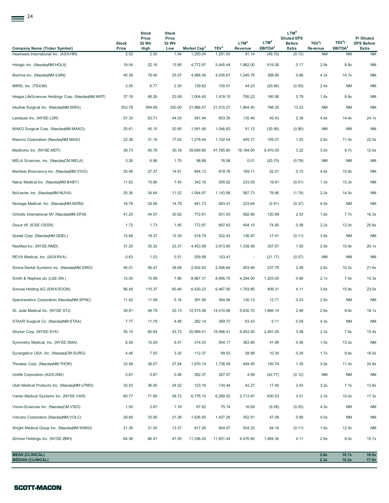| <b>Company Name (Ticker Symbol)</b>                 | <b>Stock</b><br>Price | <b>Stock</b><br>Price<br>52 Wk<br>High | <b>Stock</b><br>Price<br>52 Wk<br>Low | Market Cap <sup>2</sup> | TEV <sup>3</sup> | LTM <sup>4</sup><br>Revenue | LTM <sup>4</sup><br>EBITDA <sup>5</sup> | LTM <sup>4</sup><br><b>Diluted EPS</b><br><b>Before</b><br>Extra | TEV <sup>3</sup> /<br>Revenue | TEV <sup>3</sup> /<br>EBITDA <sup>5</sup> | P/Diluted<br><b>EPS Before</b><br>Extra |
|-----------------------------------------------------|-----------------------|----------------------------------------|---------------------------------------|-------------------------|------------------|-----------------------------|-----------------------------------------|------------------------------------------------------------------|-------------------------------|-------------------------------------------|-----------------------------------------|
| Heartware International Inc. (ASX:HIN)              | 2.52                  | 2.55                                   | 1.54                                  | 1,250.04                | 1,201.93         | 91.14                       | (49.16)                                 | (0.13)                                                           | <b>NM</b>                     | <b>NM</b>                                 | <b>NM</b>                               |
| Hologic Inc. (NasdaqNM:HOLX)                        | 18.04                 | 22.16                                  | 13.90                                 | 4,772.97                | 5,445.44         | 1,862.00                    | 619.26                                  | 0.17                                                             | 2.9x                          | 8.8x                                      | <b>NM</b>                               |
| Illumina Inc. (NasdaqNM:ILMN)                       | 40.39                 | 79.40                                  | 25.57                                 | 4,986.06                | 4,535.67         | 1,045.79                    | 308.90                                  | 0.66                                                             | 4.3x                          | 14.7x                                     | <b>NM</b>                               |
| IMRIS, Inc. (TSXIM)                                 | 3.05                  | 6.77                                   | 2.25                                  | 139.62                  | 105.01           | 44.23                       | (20.46)                                 | (0.55)                                                           | 2.4x                          | <b>NM</b>                                 | <b>NM</b>                               |
| Integra LifeSciences Holdings Corp. (NasdaqNM:IART) | 37.18                 | 48.26                                  | 23.09                                 | 1,004.45                | 1,419.15         | 795.22                      | 160.56                                  | 0.79                                                             | 1.8x                          | 8.8x                                      | <b>NM</b>                               |
| Intuitive Surgical Inc. (NasdaqNM:ISRG)             | 553.79                | 594.89                                 | 320.00                                | 21,986.57               | 21,015.27        | 1,864.40                    | 788.30                                  | 13.23                                                            | <b>NM</b>                     | ΝM                                        | <b>NM</b>                               |
| Landauer Inc. (NYSE:LDR)                            | 57.33                 | 63.71                                  | 44.03                                 | 541.94                  | 653.35           | 135.46                      | 45.43                                   | 2.38                                                             | 4.8x                          | 14.4x                                     | 24.1x                                   |
| MAKO Surgical Corp. (NasdaqNM:MAKO)                 | 25.61                 | 45.15                                  | 20.90                                 | 1,091.86                | 1,046.82         | 91.12                       | (30.56)                                 | (0.90)                                                           | <b>NM</b>                     | <b>NM</b>                                 | <b>NM</b>                               |
| Masimo Corporation (NasdaqNM:MASI)                  | 22.38                 | 31.16                                  | 17.62                                 | 1,278.44                | 1,152.54         | 445.17                      | 105.01                                  | 1.02                                                             | 2.6x                          | 11.0x                                     | 22.0x                                   |
| Medtronic Inc. (NYSE:MDT)                           | 38.73                 | 40.78                                  | 30.18                                 | 39,699.80               | 47,785.80        | 16,184.00                   | 5,470.00                                | 3.22                                                             | 3.0x                          | 8.7x                                      | 12.0x                                   |
| MELA Sciences, Inc. (NasdaqCM:MELA)                 | 3.26                  | 6.96                                   | 1.75                                  | 98.88                   | 76.58            | 0.01                        | (20.70)                                 | (0.79)                                                           | <b>NM</b>                     | <b>NM</b>                                 | <b>NM</b>                               |
| Meridian Bioscience Inc. (NasdaqNM:VIVO)            | 20.46                 | 27.37                                  | 14.81                                 | 844.12                  | 819.78           | 169.11                      | 52.01                                   | 0.72                                                             | 4.8x                          | 15.8x                                     | <b>NM</b>                               |
| Natus Medical Inc. (NasdagNM:BABY)                  | 11.62                 | 15.80                                  | 7.43                                  | 342.16                  | 305.62           | 233.05                      | 19.91                                   | (0.51)                                                           | 1.3x                          | 15.3x                                     | <b>NM</b>                               |
| NuVasive, Inc. (NasdaqNM:NUVA)                      | 25.36                 | 34.64                                  | 11.02                                 | 1,094.97                | 1,143.98         | 567.73                      | 78.96                                   | (1.74)                                                           | 2.0x                          | 14.5x                                     | <b>NM</b>                               |
| Nxstage Medical, Inc. (NasdaqNM:NXTM)               | 16.76                 | 24.06                                  | 14.79                                 | 941.73                  | 883.41           | 223.64                      | (2.91)                                  | (0.37)                                                           | 4.0x                          | <b>NM</b>                                 | <b>NM</b>                               |
| Orthofix International NV (NasdaqNM:OFIX)           | 41.25                 | 44.57                                  | 30.82                                 | 772.61                  | 931.93           | 582.96                      | 120.99                                  | 2.53                                                             | 1.6x                          | 7.7x                                      | 16.3x                                   |
| Ossur Hf. (ICSE:OSSR)                               | 1.72                  | 1.73                                   | 1.45                                  | 772.97                  | 897.63           | 404.15                      | 74.90                                   | 0.08                                                             | 2.2x                          | 12.0x                                     | 20.8x                                   |
| Quidel Corp. (NasdaqNM:QDEL)                        | 15.68                 | 19.37                                  | 12.35                                 | 518.79                  | 522.43           | 136.97                      | 17.41                                   | (0.11)                                                           | 3.8x                          | <b>NM</b>                                 | <b>NM</b>                               |
| ResMed Inc. (NYSE:RMD)                              | 31.20                 | 35.32                                  | 23.37                                 | 4,453.99                | 3,913.90         | 1,338.48                    | 357.57                                  | 1.55                                                             | 2.9x                          | 10.9x                                     | 20.1x                                   |
| REVA Medical, Inc. (ASX:RVA)                        | 0.63                  | 1.02                                   | 0.51                                  | 209.99                  | 153.41           |                             | (21.17)                                 | (0.07)                                                           | <b>NM</b>                     | <b>NM</b>                                 | <b>NM</b>                               |
| Sirona Dental Systems Inc. (NasdaqNM:SIRO)          | 45.01                 | 56.47                                  | 38.69                                 | 2,502.83                | 2,506.64         | 953.46                      | 237.79                                  | 2.08                                                             | 2.6x                          | 10.5x                                     | 21.6x                                   |
| Smith & Nephew plc (LSE:SN.)                        | 10.00                 | 10.98                                  | 7.86                                  | 8,967.31                | 8,995.75         | 4,294.00                    | 1,203.00                                | 0.66                                                             | 2.1x                          | 7.5x                                      | 15.3x                                   |
| Sonova Holding AG (SWX:SOON)                        | 96.49                 | 110.37                                 | 60.46                                 | 6,420.23                | 6,467.90         | 1,793.85                    | 409.31                                  | 4.11                                                             | 3.6x                          | 15.8x                                     | 23.5x                                   |
| Spectranetics Corporation (NasdaqNM:SPNC)           | 11.42                 | 11.58                                  | 5.16                                  | 391.56                  | 364.56           | 130.13                      | 12.71                                   | 0.03                                                             | 2.8x                          | <b>NM</b>                                 | <b>NM</b>                               |
| St. Jude Medical Inc. (NYSE:STJ)                    | 39.91                 | 49.79                                  | 32.13                                 | 12,515.06               | 14,410.06        | 5,630.70                    | 1,666.14                                | 2.48                                                             | 2.6x                          | 8.6x                                      | 16.1x                                   |
| STAAR Surgical Co. (NasdaqNM:STAA)                  | 7.77                  | 11.79                                  | 4.48                                  | 282.14                  | 269.72           | 63.43                       | 5.11                                    | 0.04                                                             | 4.3x                          | <b>NM</b>                                 | $\mathsf{N}\mathsf{M}$                  |
| Stryker Corp. (NYSE:SYK)                            | 55.10                 | 60.64                                  | 43.73                                 | 20,989.41               | 19,466.41        | 8,453.00                    | 2,491.00                                | 3.58                                                             | 2.3x                          | 7.8x                                      | 15.4x                                   |
| Symmetry Medical, Inc. (NYSE:SMA)                   | 8.58                  | 10.09                                  | 6.41                                  | 314.53                  | 554.17           | 363.95                      | 41.99                                   | 0.06                                                             | 1.5x                          | 13.2x                                     | <b>NM</b>                               |
| Synergetics USA, Inc. (NasdaqCM:SURG)               | 4.46                  | 7.55                                   | 3.30                                  | 112.37                  | 99.53            | 58.98                       | 10.34                                   | 0.24                                                             | 1.7x                          | 9.6x                                      | 18.5x                                   |
| Thoratec Corp. (NasdaqNM:THOR)                      | 33.58                 | 38.07                                  | 27.84                                 | 1,970.14                | 1,738.59         | 449.95                      | 150.74                                  | 1.35                                                             | 3.9x                          | 11.5x                                     | 24.8x                                   |
| Unilife Corporation (ASX:UNS)                       | 0.67                  | 0.87                                   | 0.48                                  | 282.37                  | 287.57           | 4.99                        | (42.77)                                 | (0.12)                                                           | <b>NM</b>                     | <b>NM</b>                                 | <b>NM</b>                               |
| Utah Medical Products Inc. (NasdaqNM:UTMD)          | 33.53                 | 36.00                                  | 24.52                                 | 123.16                  | 134.44           | 42.27                       | 17.40                                   | 2.43                                                             | 3.2x                          | 7.7x                                      | 13.8x                                   |
| Varian Medical Systems Inc. (NYSE:VAR)              | 60.77                 | 71.95                                  | 48.72                                 | 6,776.10                | 6,289.52         | 2,713.97                    | 630.53                                  | 3.51                                                             | 2.3x                          | 10.0x                                     | 17.3x                                   |
| Vision-Sciences Inc. (NasdaqCM:VSCI)                | 1.50                  | 2.67                                   | 1.19                                  | 67.62                   | 75.14            | 16.69                       | (9.28)                                  | (0.25)                                                           | 4.5x                          | <b>NM</b>                                 | <b>NM</b>                               |
| Volcano Corporation (NasdaqNM:VOLC)                 | 28.65                 | 33.90                                  | 21.38                                 | 1,526.93                | 1,427.26         | 352.91                      | 47.06                                   | 0.68                                                             | 4.0x                          | <b>NM</b>                                 | <b>NM</b>                               |
| Wright Medical Group Inc. (NasdaqNM:WMGI)           | 21.35                 | 21.50                                  | 13.37                                 | 817.26                  | 804.57           | 504.22                      | 64.16                                   | (0.11)                                                           | 1.6x                          | 12.5x                                     | <b>NM</b>                               |
| Zimmer Holdings Inc. (NYSE:ZMH)                     | 64.36                 | 66.41                                  | 47.00                                 | 11,336.24               | 11,831.44        | 4,476.90                    | 1,484.30                                | 4.11                                                             | 2.6x                          | 8.0x                                      | 15.7x                                   |
| <b>MEAN (CLINICAL)</b><br><b>MEDIAN (CLINICAL)</b>  |                       |                                        |                                       |                         |                  |                             |                                         |                                                                  | 2.6x<br>2.3x                  | 10.7x<br>10.2x                            | 18.8x<br>17.9x                          |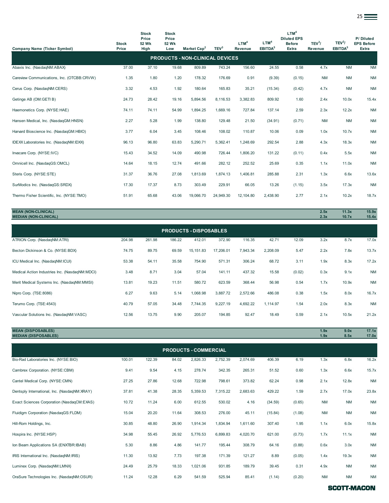|                                            |                       |                                               |                                       |                                        |                  |                             |                                         |                                                                  |                               |                                           | $25 \equiv$                             |
|--------------------------------------------|-----------------------|-----------------------------------------------|---------------------------------------|----------------------------------------|------------------|-----------------------------|-----------------------------------------|------------------------------------------------------------------|-------------------------------|-------------------------------------------|-----------------------------------------|
| Company Name (Ticker Symbol)               | <b>Stock</b><br>Price | <b>Stock</b><br>Price<br><b>52 Wk</b><br>High | <b>Stock</b><br>Price<br>52 Wk<br>Low | Market Cap <sup>2</sup>                | TEV <sup>3</sup> | LTM <sup>4</sup><br>Revenue | LTM <sup>4</sup><br>EBITDA <sup>5</sup> | LTM <sup>4</sup><br><b>Diluted EPS</b><br><b>Before</b><br>Extra | TEV <sup>3</sup> /<br>Revenue | TEV <sup>3</sup> /<br>EBITDA <sup>5</sup> | P/Diluted<br><b>EPS Before</b><br>Extra |
|                                            |                       |                                               |                                       | <b>PRODUCTS - NON-CLINICAL DEVICES</b> |                  |                             |                                         |                                                                  |                               |                                           |                                         |
| Abaxis Inc. (NasdaqNM:ABAX)                | 37.00                 | 37.10                                         | 19.68                                 | 809.89                                 | 743.24           | 156.60                      | 24.55                                   | 0.58                                                             | 4.7x                          | <b>NM</b>                                 | <b>NM</b>                               |
| Careview Communications, Inc. (OTCBB:CRVW) | 1.35                  | 1.80                                          | 1.20                                  | 178.32                                 | 176.69           | 0.91                        | (9.39)                                  | (0.15)                                                           | <b>NM</b>                     | <b>NM</b>                                 | <b>NM</b>                               |
| Cerus Corp. (NasdaqNM:CERS)                | 3.32                  | 4.53                                          | 1.92                                  | 180.64                                 | 165.83           | 35.21                       | (15.34)                                 | (0.42)                                                           | 4.7x                          | <b>NM</b>                                 | <b>NM</b>                               |
| Getinge AB (OM:GETI B)                     | 24.73                 | 28.42                                         | 19.16                                 | 5,894.56                               | 8,116.53         | 3,382.83                    | 809.92                                  | 1.60                                                             | 2.4x                          | 10.0x                                     | 15.4x                                   |
| Haemonetics Corp. (NYSE:HAE)               | 74.11                 | 74.11                                         | 54.99                                 | 1,894.25                               | 1,669.16         | 727.84                      | 137.14                                  | 2.59                                                             | 2.3x                          | 12.2x                                     | <b>NM</b>                               |
| Hansen Medical, Inc. (NasdaqGM:HNSN)       | 2.27                  | 5.28                                          | 1.99                                  | 138.80                                 | 129.48           | 21.50                       | (34.91)                                 | (0.71)                                                           | <b>NM</b>                     | <b>NM</b>                                 | <b>NM</b>                               |
| Harvard Bioscience Inc. (NasdaqGM:HBIO)    | 3.77                  | 6.04                                          | 3.45                                  | 108.46                                 | 108.02           | 110.87                      | 10.06                                   | 0.09                                                             | 1.0x                          | 10.7x                                     | <b>NM</b>                               |
| IDEXX Laboratories Inc. (NasdaqNM:IDXX)    | 96.13                 | 96.80                                         | 63.83                                 | 5,290.71                               | 5,362.41         | 1,248.69                    | 292.54                                  | 2.88                                                             | 4.3x                          | 18.3x                                     | <b>NM</b>                               |
| Invacare Corp. (NYSE:IVC)                  | 15.43                 | 34.52                                         | 14.09                                 | 490.98                                 | 726.44           | 1,806.20                    | 131.22                                  | (0.11)                                                           | 0.4x                          | 5.5x                                      | <b>NM</b>                               |
| Omnicell Inc. (NasdagGS:OMCL)              | 14.64                 | 18.15                                         | 12.74                                 | 491.66                                 | 282.12           | 252.52                      | 25.69                                   | 0.35                                                             | 1.1x                          | 11.0x                                     | <b>NM</b>                               |
| Steris Corp. (NYSE:STE)                    | 31.37                 | 36.76                                         | 27.08                                 | 1,813.69                               | 1,874.13         | 1,406.81                    | 285.88                                  | 2.31                                                             | 1.3x                          | 6.6x                                      | 13.6x                                   |
| SurModics Inc. (NasdagGS:SRDX)             | 17.30                 | 17.37                                         | 8.73                                  | 303.49                                 | 229.91           | 66.05                       | 13.26                                   | (1.15)                                                           | 3.5x                          | 17.3x                                     | <b>NM</b>                               |
| Thermo Fisher Scientific, Inc. (NYSE:TMO)  | 51.91                 | 65.68                                         | 43.06                                 | 19,066.70                              | 24,949.30        | 12, 104.80                  | 2,438.90                                | 2.77                                                             | 2.1x                          | 10.2x                                     | 18.7x                                   |
|                                            |                       |                                               |                                       |                                        |                  |                             |                                         |                                                                  |                               |                                           |                                         |

ATRION Corp. (NasdaqNM:ATRI) 204.98 261.98 186.22 412.01 372.90 116.35 42.71 12.09 3.2x 8.7x 17.0x Becton Dickinson & Co. (NYSE:BDX) 74.75 89.75 69.59 15,151.83 17,206.01 7,943.34 2,208.09 5.47 2.2x 7.8x 13.7x ICU Medical Inc. (NasdaqNM:ICUI) 53.38 54.11 35.58 754.90 571.31 306.24 68.72 3.11 1.9x 8.3x 17.2x Medical Action Industries Inc. (NasdaqNM:MDCI) 3.48 8.71 3.04 57.04 141.11 437.32 15.58 (0.02) 0.3x 9.1x NM Merit Medical Systems Inc. (NasdaqNM:MMSI) 13.81 19.23 11.51 580.72 623.59 368.44 56.98 0.54 1.7x 10.9x NM Nipro Corp. (TSE:8086) 6.27 9.63 5.14 1,068.98 3,887.72 2,572.66 486.08 0.38 1.5x 8.0x 16.7x Terumo Corp. (TSE:4543) 40.79 57.05 34.48 7,744.35 9,227.19 4,692.22 1,114.97 1.54 2.0x 8.3x NM Vascular Solutions Inc. (NasdaqNM:VASC) 12.56 13.75 9.90 205.07 194.85 92.47 18.49 0.59 2.1x 10.5x 21.2x **PRODUCTS - DISPOSABLES**

**MEAN (DISPOSABLES) 1.9x 9.0x 17.1x**

**MEAN (NON-CLINICAL) 2.5x 11.3x 15.9x**

**MEDIAN (NON-CLINICAL) 2.3x 10.7x 15.4x**

**MEDIAN (DISPOSABLES) 1.9x 8.5x 17.0x** Bio-Rad Laboratories Inc. (NYSE:BIO) 100.01 122.39 84.02 2,826.33 2,752.39 2,074.69 406.39 6.19 1.3x 6.8x 16.2x Cambrex Corporation. (NYSE:CBM) 9.41 9.54 4.15 278.74 342.35 265.31 51.52 0.60 1.3x 6.6x 15.7x Cantel Medical Corp. (NYSE:CMN) 27.25 27.86 12.68 722.98 798.61 373.82 62.24 0.98 2.1x 12.8x NM Dentsply International, Inc. (NasdaqNM:XRAY) 37.81 41.38 28.35 5,359.53 7,315.22 2,683.63 429.22 1.59 2.7x 17.0x 23.8x Exact Sciences Corporation (NasdaqCM:EXAS) 10.72 11.24 6.00 612.55 530.02 4.16 (34.59) (0.65) NM NM NM Fluidigm Corporation (NasdaqGS:FLDM) 15.04 20.20 11.64 308.53 276.00 45.11 (15.84) (1.08) NM NM NM Hill-Rom Holdings, Inc. **30.85 18.8x** 30.85 48.80 26.90 1,914.34 1,834.94 1,611.60 307.40 1.95 1.1x 6.0x 15.8x Hospira Inc. (NYSE:HSP) 34.98 55.45 26.92 5,776.53 6,899.83 4,020.70 621.00 (0.73) 1.7x 11.1x NM Ion Beam Applications SA (ENXTBR:IBAB) 5.30 8.86 4.86 141.77 195.44 308.79 64.16 (0.88) 0.6x 3.0x NM IRIS International Inc. (NasdaqNM:IRIS) 11.30 13.92 7.73 197.38 171.39 121.27 8.89 (0.05) 1.4x 19.3x NM Luminex Corp. (NasdaqNM:LMNX) 24.49 25.79 18.33 1,021.06 931.85 189.79 39.45 0.31 4.9x NM NM OraSure Technologies Inc. (NasdaqNM:OSUR) 11.24 12.28 6.29 541.59 525.94 85.41 (1.14) (0.20) NM NM NM **PRODUCTS - COMMERCIAL**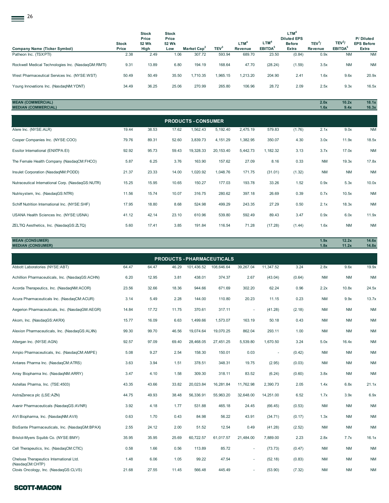| 26                                                 |                       |                                        |                                       |                         |                  |                                    |                                |                                                                  |                                      |                                           |                                         |
|----------------------------------------------------|-----------------------|----------------------------------------|---------------------------------------|-------------------------|------------------|------------------------------------|--------------------------------|------------------------------------------------------------------|--------------------------------------|-------------------------------------------|-----------------------------------------|
| <b>Company Name (Ticker Symbol)</b>                | <b>Stock</b><br>Price | <b>Stock</b><br>Price<br>52 Wk<br>High | <b>Stock</b><br>Price<br>52 Wk<br>Low | Market Cap <sup>2</sup> | TEV <sup>3</sup> | LTM <sup>4</sup><br><b>Revenue</b> | $LTM^4$<br>EBITDA <sup>5</sup> | LTM <sup>4</sup><br><b>Diluted EPS</b><br><b>Before</b><br>Extra | TEV <sup>3</sup> /<br><b>Revenue</b> | TEV <sup>3</sup> /<br>EBITDA <sup>5</sup> | P/Diluted<br><b>EPS Before</b><br>Extra |
| Patheon Inc. (TSX:PTI)                             | 2.38                  | 2.49                                   | 1.06                                  | 307.72                  | 593.94           | 689.70                             | 23.50                          | (0.84)                                                           | 0.9x                                 | <b>NM</b>                                 | <b>NM</b>                               |
| Rockwell Medical Technologies Inc. (NasdagGM:RMTI) | 9.31                  | 13.89                                  | 6.80                                  | 194.19                  | 168.64           | 47.70                              | (28.24)                        | (1.59)                                                           | 3.5x                                 | <b>NM</b>                                 | <b>NM</b>                               |
| West Pharmaceutical Services Inc. (NYSE:WST)       | 50.49                 | 50.49                                  | 35.50                                 | 1,710.35                | 1,965.15         | 1,213.20                           | 204.90                         | 2.41                                                             | 1.6x                                 | 9.6x                                      | 20.9x                                   |
| Young Innovations Inc. (NasdaqNM:YDNT)             | 34.49                 | 36.25                                  | 25.06                                 | 270.99                  | 265.80           | 106.96                             | 28.72                          | 2.09                                                             | 2.5x                                 | 9.3x                                      | 16.5x                                   |

# **MEAN (COMMERCIAL) 2.0x 10.2x 18.1x MEDIAN (COMMERCIAL) 1.6x 9.4x 16.3x**

| <b>PRODUCTS - CONSUMER</b>                        |       |       |       |           |           |          |          |        |           |           |           |
|---------------------------------------------------|-------|-------|-------|-----------|-----------|----------|----------|--------|-----------|-----------|-----------|
| Alere Inc. (NYSE:ALR)                             | 19.44 | 38.53 | 17.62 | 1,562.43  | 5,192.40  | 2,475.19 | 579.83   | (1.76) | 2.1x      | 9.0x      | <b>NM</b> |
| Cooper Companies Inc. (NYSE:COO)                  | 79.76 | 89.31 | 52.60 | 3,839.73  | 4,151.29  | 1,382.95 | 350.07   | 4.30   | 3.0x      | 11.9x     | 18.5x     |
| Essilor International (ENXTPA:EI)                 | 92.92 | 95.73 | 59.43 | 19,328.33 | 20,153.40 | 5,442.73 | 1,182.32 | 3.13   | 3.7x      | 17.0x     | <b>NM</b> |
| The Female Health Company (NasdaqCM:FHCO)         | 5.87  | 6.25  | 3.76  | 163.90    | 157.62    | 27.09    | 8.16     | 0.33   | <b>NM</b> | 19.3x     | 17.8x     |
| Insulet Corporation (NasdaqNM:PODD)               | 21.37 | 23.33 | 14.00 | 1,020.92  | 1,048.76  | 171.75   | (31.01)  | (1.32) | <b>NM</b> | <b>NM</b> | <b>NM</b> |
| Nutraceutical International Corp. (NasdaqGS:NUTR) | 15.25 | 15.95 | 10.65 | 150.27    | 177.03    | 193.78   | 33.26    | 1.52   | 0.9x      | 5.3x      | 10.0x     |
| Nutrisystem, Inc. (NasdaqGS:NTRI)                 | 11.56 | 15.74 | 10.07 | 316.75    | 280.62    | 397.18   | 26.69    | 0.39   | 0.7x      | 10.5x     | <b>NM</b> |
| Schiff Nutrition International Inc. (NYSE:SHF)    | 17.95 | 18.80 | 8.68  | 524.98    | 499.29    | 243.35   | 27.29    | 0.50   | 2.1x      | 18.3x     | <b>NM</b> |
| USANA Health Sciences Inc. (NYSE:USNA)            | 41.12 | 42.14 | 23.10 | 610.96    | 539.80    | 592.49   | 89.43    | 3.47   | 0.9x      | 6.0x      | 11.9x     |
| ZELTIQ Aesthetics, Inc. (NasdagGS: ZLTQ)          | 5.60  | 17.41 | 3.85  | 191.84    | 116.54    | 71.28    | (17.28)  | (1.44) | 1.6x      | <b>NM</b> | <b>NM</b> |

**MEAN (CONSUMER) 1.9x 12.2x 14.6x MEDIAN (CONSUMER) 1.8x 11.2x 14.8x**

| 101,436.52<br>39,267.04<br>108,646.64<br>438.01<br>374.37<br>2.67<br>302.20<br>944.66<br>671.69<br>20.23<br>144.00<br>110.80<br>370.61<br>317.11<br>1,499.66<br>163.19<br>1,573.07<br>19,070.25<br>862.04 | 11,347.52<br>3.24<br>(43.04)<br>(0.64)<br>62.24<br>0.96<br>0.23<br>11.15<br>(41.28)<br>(2.18)<br>0.43<br>50.18                             | 2.8x<br><b>NM</b><br>2.2x<br><b>NM</b><br><b>NM</b><br><b>NM</b> | 9.6x<br><b>NM</b><br>10.8x<br>9.9x<br><b>NM</b>                                                                                                                            | 19.9x<br><b>NM</b><br>24.5x<br>13.7x<br><b>NM</b> |
|-----------------------------------------------------------------------------------------------------------------------------------------------------------------------------------------------------------|--------------------------------------------------------------------------------------------------------------------------------------------|------------------------------------------------------------------|----------------------------------------------------------------------------------------------------------------------------------------------------------------------------|---------------------------------------------------|
|                                                                                                                                                                                                           |                                                                                                                                            |                                                                  |                                                                                                                                                                            |                                                   |
|                                                                                                                                                                                                           |                                                                                                                                            |                                                                  |                                                                                                                                                                            |                                                   |
|                                                                                                                                                                                                           |                                                                                                                                            |                                                                  |                                                                                                                                                                            |                                                   |
|                                                                                                                                                                                                           |                                                                                                                                            |                                                                  |                                                                                                                                                                            |                                                   |
|                                                                                                                                                                                                           |                                                                                                                                            |                                                                  |                                                                                                                                                                            |                                                   |
|                                                                                                                                                                                                           |                                                                                                                                            |                                                                  | <b>NM</b>                                                                                                                                                                  | $\mathsf{N}\mathsf{M}$                            |
|                                                                                                                                                                                                           | 293.11                                                                                                                                     | <b>NM</b>                                                        | <b>NM</b>                                                                                                                                                                  | <b>NM</b>                                         |
| 27,451.25<br>5,539.80                                                                                                                                                                                     | 1,670.50                                                                                                                                   | 5.0x                                                             | 16.4x                                                                                                                                                                      | <b>NM</b>                                         |
| 150.01<br>0.03                                                                                                                                                                                            | $\overline{\phantom{a}}$                                                                                                                   | <b>NM</b>                                                        | <b>NM</b>                                                                                                                                                                  | <b>NM</b>                                         |
| 348.31<br>19.75                                                                                                                                                                                           | (2.95)                                                                                                                                     | <b>NM</b>                                                        | <b>NM</b>                                                                                                                                                                  | <b>NM</b>                                         |
| 318.11<br>83.52                                                                                                                                                                                           | (6.24)                                                                                                                                     | 3.8x                                                             | <b>NM</b>                                                                                                                                                                  | <b>NM</b>                                         |
| 16,281.84<br>11,762.98                                                                                                                                                                                    | 2,390.73                                                                                                                                   | 1.4x                                                             | 6.8x                                                                                                                                                                       | 21.1x                                             |
| 32,648.00<br>55,963.20                                                                                                                                                                                    | 14,251.00                                                                                                                                  | 1.7x                                                             | 3.9x                                                                                                                                                                       | 6.9x                                              |
| 465.18<br>24.45                                                                                                                                                                                           | (66.45)                                                                                                                                    | <b>NM</b>                                                        | <b>NM</b>                                                                                                                                                                  | <b>NM</b>                                         |
| 56.22<br>43.91                                                                                                                                                                                            | (34.71)                                                                                                                                    | 1.3x                                                             | <b>NM</b>                                                                                                                                                                  | <b>NM</b>                                         |
| 12.54<br>0.49                                                                                                                                                                                             | (41.28)                                                                                                                                    | <b>NM</b>                                                        | ΝM                                                                                                                                                                         | <b>NM</b>                                         |
| 61,017.57<br>21,484.00                                                                                                                                                                                    | 7,889.00                                                                                                                                   | 2.8x                                                             | 7.7x                                                                                                                                                                       | 16.1x                                             |
| 85.72<br>$\sim$                                                                                                                                                                                           | (73.73)                                                                                                                                    | <b>NM</b>                                                        | <b>NM</b>                                                                                                                                                                  | <b>NM</b>                                         |
| 47.54                                                                                                                                                                                                     | (52.18)                                                                                                                                    | <b>NM</b>                                                        | <b>NM</b>                                                                                                                                                                  | <b>NM</b><br><b>NM</b>                            |
|                                                                                                                                                                                                           | 19,074.64<br>28,468.05<br>158.30<br>378.51<br>309.30<br>20,023.84<br>56,336.91<br>531.88<br>84.98<br>51.52<br>60,722.57<br>113.89<br>99.22 |                                                                  | 1.00<br>3.24<br>(0.42)<br>(0.03)<br>(0.60)<br>2.05<br>6.52<br>(0.53)<br>(0.17)<br>(2.52)<br>2.23<br>(0.47)<br>(0.83)<br>566.48<br>445.49<br>(53.90)<br>(7.32)<br><b>NM</b> | <b>NM</b>                                         |

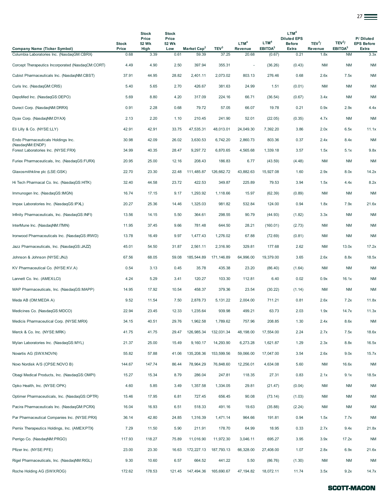|                                                                                   |               |                                |                                |                                  |                           |                  |                               |                                                         |                    |                                  | 27 <del>__</del>               |
|-----------------------------------------------------------------------------------|---------------|--------------------------------|--------------------------------|----------------------------------|---------------------------|------------------|-------------------------------|---------------------------------------------------------|--------------------|----------------------------------|--------------------------------|
|                                                                                   | <b>Stock</b>  | <b>Stock</b><br>Price<br>52 Wk | <b>Stock</b><br>Price<br>52 Wk |                                  |                           | LTM <sup>4</sup> | LTM <sup>4</sup>              | LTM <sup>4</sup><br><b>Diluted EPS</b><br><b>Before</b> | TEV <sup>3</sup> / | TEV <sup>3</sup> /               | P/Diluted<br><b>EPS Before</b> |
| <b>Company Name (Ticker Symbol)</b><br>Columbia Laboratories Inc. (NasdaqGM:CBRX) | Price<br>0.68 | High<br>3.39                   | Low<br>0.61                    | Market Cap <sup>2</sup><br>59.39 | TEV <sup>3</sup><br>37.25 | Revenue<br>20.68 | EBITDA <sup>5</sup><br>(0.67) | <b>Extra</b><br>0.21                                    | Revenue<br>1.8x    | EBITDA <sup>5</sup><br><b>NM</b> | Extra<br>3.3x                  |
| Corcept Therapeutics Incorporated (NasdaqCM:CORT)                                 | 4.49          | 4.90                           | 2.50                           | 397.94                           | 355.31                    |                  | (36.26)                       | (0.43)                                                  | <b>NM</b>          | <b>NM</b>                        | <b>NM</b>                      |
| Cubist Pharmaceuticals Inc. (NasdaqNM:CBST)                                       | 37.91         | 44.95                          | 28.82                          | 2,401.11                         | 2,073.02                  | 803.13           | 276.46                        | 0.68                                                    | 2.6x               | 7.5x                             | <b>NM</b>                      |
| Curis Inc. (NasdagGM:CRIS)                                                        | 5.40          | 5.65                           | 2.70                           | 426.67                           | 381.63                    | 24.99            | 1.51                          | (0.01)                                                  | <b>NM</b>          | <b>NM</b>                        | <b>NM</b>                      |
| DepoMed Inc. (NasdaqGS:DEPO)                                                      | 5.69          | 8.80                           | 4.20                           | 317.09                           | 224.16                    | 66.71            | (36.54)                       | (0.67)                                                  | 3.4x               | <b>NM</b>                        | <b>NM</b>                      |
| Durect Corp. (NasdaqNM:DRRX)                                                      | 0.91          | 2.28                           | 0.68                           | 79.72                            | 57.05                     | 66.07            | 19.78                         | 0.21                                                    | 0.9x               | 2.9x                             | 4.4x                           |
| Dyax Corp. (NasdaqNM:DYAX)                                                        | 2.13          | 2.20                           | 1.10                           | 210.45                           | 241.90                    | 52.01            | (22.05)                       | (0.35)                                                  | 4.7x               | ΝM                               | <b>NM</b>                      |
| Eli Lilly & Co. (NYSE:LLY)                                                        | 42.91         | 42.91                          | 33.75                          | 47,535.31                        | 48,013.01                 | 24,049.30        | 7,392.20                      | 3.86                                                    | 2.0x               | 6.5x                             | 11.1x                          |
| Endo Pharmaceuticals Holdings Inc.                                                | 30.98         | 42.09                          | 26.02                          | 3,630.53                         | 6,742.20                  | 2,860.73         | 803.36                        | 0.37                                                    | 2.4x               | 8.4x                             | <b>NM</b>                      |
| (NasdaqNM:ENDP)<br>Forest Laboratories Inc. (NYSE:FRX)                            | 34.99         | 40.35                          | 28.47                          | 9.297.72                         | 6,870.65                  | 4,565.68         | 1,339.18                      | 3.57                                                    | 1.5x               | 5.1x                             | 9.8x                           |
| Furiex Pharmaceuticals, Inc. (NasdagGS:FURX)                                      | 20.95         | 25.00                          | 12.16                          | 208.43                           | 186.83                    | 6.77             | (43.59)                       | (4.48)                                                  | <b>NM</b>          | <b>NM</b>                        | <b>NM</b>                      |
| Glaxosmithkline plc (LSE:GSK)                                                     | 22.70         | 23.30                          | 22.48                          | 111,485.87                       | 126,662.72                | 43,882.63        | 15,927.08                     | 1.60                                                    | 2.9x               | 8.0x                             | 14.2x                          |
| Hi Tech Pharmacal Co. Inc. (NasdaqGS:HITK)                                        | 32.40         | 44.58                          | 23.72                          | 422.53                           | 349.87                    | 225.89           | 79.53                         | 3.94                                                    | 1.5x               | 4.4x                             | 8.2x                           |
| Immunogen Inc. (NasdaqGS:IMGN)                                                    | 16.74         | 17.15                          | 9.17                           | 1,293.92                         | 1,118.66                  | 15.97            | (62.39)                       | (0.89)                                                  | <b>NM</b>          | <b>NM</b>                        | <b>NM</b>                      |
| Impax Laboratories Inc. (NasdaqGS:IPXL)                                           | 20.27         | 25.36                          | 14.46                          | 1,325.03                         | 981.82                    | 532.84           | 124.00                        | 0.94                                                    | 1.8x               | 7.9x                             | 21.6x                          |
| Infinity Pharmaceuticals, Inc. (NasdaqGS:INFI)                                    | 13.56         | 14.15                          | 5.50                           | 364.61                           | 298.55                    | 90.79            | (44.93)                       | (1.82)                                                  | 3.3x               | <b>NM</b>                        | <b>NM</b>                      |
| InterMune Inc. (NasdaqNM:ITMN)                                                    | 11.95         | 37.45                          | 9.66                           | 781.48                           | 644.50                    | 28.21            | (160.01)                      | (2.73)                                                  | <b>NM</b>          | <b>NM</b>                        | <b>NM</b>                      |
| Ironwood Pharmaceuticals Inc. (NasdaqGS:IRWD)                                     | 13.78         | 16.49                          | 9.97                           | 1,477.43                         | 1,276.02                  | 67.88            | (72.69)                       | (0.81)                                                  | <b>NM</b>          | <b>NM</b>                        | <b>NM</b>                      |
| Jazz Pharmaceuticals, Inc. (NasdaqGS:JAZZ)                                        | 45.01         | 54.50                          | 31.87                          | 2,561.11                         | 2,316.90                  | 329.81           | 177.68                        | 2.62                                                    | <b>NM</b>          | 13.0x                            | 17.2x                          |
| Johnson & Johnson (NYSE:JNJ)                                                      | 67.56         | 68.05                          | 59.08                          | 185,544.89                       | 171,146.89                | 64,996.00        | 19,379.00                     | 3.65                                                    | 2.6x               | 8.8x                             | 18.5x                          |
| KV Pharmaceutical Co. (NYSE:KV.A)                                                 | 0.54          | 3.13                           | 0.45                           | 35.78                            | 435.38                    | 23.20            | (86.40)                       | (1.64)                                                  | <b>NM</b>          | <b>NM</b>                        | <b>NM</b>                      |
| Lannett Co. Inc. (AMEX:LCI)                                                       | 4.24          | 5.29                           | 3.41                           | 120.27                           | 103.30                    | 112.81           | 6.40                          | 0.02                                                    | 0.9x               | 16.1x                            | <b>NM</b>                      |
| MAP Pharmaceuticals, Inc. (NasdaqGS:MAPP)                                         | 14.95         | 17.92                          | 10.54                          | 458.37                           | 379.36                    | 23.54            | (30.22)                       | (1.14)                                                  | <b>NM</b>          | NM                               | <b>NM</b>                      |
| Meda AB (OM:MEDA A)                                                               | 9.52          | 11.54                          | 7.50                           | 2,878.73                         | 5,131.22                  | 2,004.00         | 711.21                        | 0.81                                                    | 2.6x               | 7.2x                             | 11.8x                          |
| Medicines Co. (NasdaqGS:MDCO)                                                     | 22.94         | 23.45                          | 12.33                          | 1,235.64                         | 939.98                    | 499.21           | 63.73                         | 2.03                                                    | 1.9x               | 14.7x                            | 11.3x                          |
| Medicis Pharmaceutical Corp. (NYSE:MRX)                                           | 34.15         | 40.51                          | 29.76                          | 1,962.58                         | 1,789.62                  | 757.96           | 208.85                        | 1.30                                                    | 2.4x               | 8.6x                             | <b>NM</b>                      |
| Merck & Co. Inc. (NYSE:MRK)                                                       | 41.75         | 41.75                          | 29.47                          | 126,985.34                       | 132,031.34                | 48,198.00        | 17,554.00                     | 2.24                                                    | 2.7x               | 7.5x                             | 18.6x                          |
| Mylan Laboratories Inc. (NasdaqGS:MYL)                                            | 21.37         | 25.00                          | 15.49                          | 9,160.17                         | 14,293.90                 | 6,273.28         | 1,621.87                      | 1.29                                                    | 2.3x               | 8.8x                             | 16.5x                          |
| Novartis AG (SWX:NOVN)                                                            | 55.82         | 57.88                          | 41.06                          | 135,208.36                       | 153,599.56                | 59,066.00        | 17,047.00                     | 3.54                                                    | 2.6x               | 9.0x                             | 15.7x                          |
| Novo Nordisk A/S (CPSE:NOVO B)                                                    | 144.67        | 147.74                         | 86.44                          | 78,964.29                        | 76,848.60                 | 12,256.01        | 4,634.08                      | 5.60                                                    | <b>NM</b>          | 16.6x                            | <b>NM</b>                      |
| Obagi Medical Products, Inc. (NasdaqGS:OMPI)                                      | 15.27         | 15.34                          | 8.79                           | 286.04                           | 247.81                    | 118.35           | 27.31                         | 0.83                                                    | 2.1x               | 9.1x                             | 18.5x                          |
| Opko Health, Inc. (NYSE:OPK)                                                      | 4.60          | 5.85                           | 3.49                           | 1,357.58                         | 1,334.05                  | 29.81            | (21.47)                       | (0.04)                                                  | <b>NM</b>          | ΝM                               | <b>NM</b>                      |
| Optimer Pharmaceuticals, Inc. (NasdaqGS:OPTR)                                     | 15.46         | 17.95                          | 6.81                           | 727.45                           | 656.45                    | 90.08            | (73.14)                       | (1.03)                                                  | NM                 | <b>NM</b>                        | <b>NM</b>                      |
| Pacira Pharmaceuticals Inc. (NasdaqGM:PCRX)                                       | 16.04         | 16.93                          | 6.51                           | 518.33                           | 491.16                    | 19.63            | (35.88)                       | (2.24)                                                  | <b>NM</b>          | <b>NM</b>                        | $\mathsf{N}\mathsf{M}$         |
| Par Pharmaceutical Companies Inc. (NYSE:PRX)                                      | 36.14         | 42.80                          | 24.85                          | 1,316.39                         | 1,471.14                  | 964.66           | 191.81                        | 0.94                                                    | 1.5x               | 7.7x                             | <b>NM</b>                      |
| Pernix Therapeutics Holdings, Inc. (AMEXPTX)                                      | 7.29          | 11.50                          | 5.90                           | 211.91                           | 178.70                    | 64.99            | 18.95                         | 0.33                                                    | 2.7x               | 9.4x                             | 21.8x                          |
| Perrigo Co. (NasdaqNM:PRGO)                                                       | 117.93        | 118.27                         | 75.89                          | 11,016.90                        | 11,972.30                 | 3,046.11         | 695.27                        | 3.95                                                    | 3.9x               | 17.2x                            | <b>NM</b>                      |
| Pfizer Inc. (NYSE:PFE)                                                            | 23.00         | 23.30                          | 16.63                          | 172,227.13                       | 187,793.13                | 66,328.00        | 27,408.00                     | 1.07                                                    | 2.8x               | 6.9x                             | 21.6x                          |
| Rigel Pharmaceuticals, Inc. (NasdaqNM:RIGL)                                       | 9.30          | 10.60                          | 6.57                           | 664.52                           | 441.22                    | 5.50             | (86.76)                       | (1.30)                                                  | <b>NM</b>          | <b>NM</b>                        | $\mathsf{N}\mathsf{M}$         |
| Roche Holding AG (SWX:ROG)                                                        | 172.62        | 178.53                         |                                | 121.45 147,494.36                | 165,690.67                | 47, 194.82       | 18,072.11                     | 11.74                                                   | 3.5x               | 9.2x                             | 14.7x                          |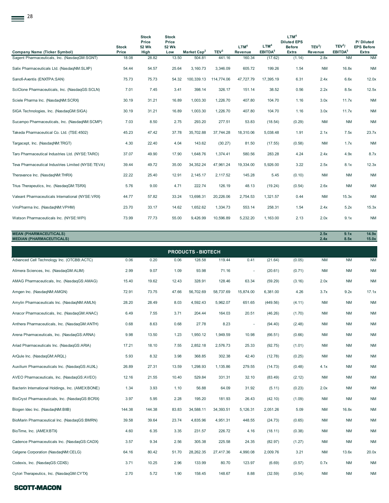| 28                                                               |                       |                                        |                                       |                           |                  |                             |                                         |                                                                  |                               |                                           |                                         |
|------------------------------------------------------------------|-----------------------|----------------------------------------|---------------------------------------|---------------------------|------------------|-----------------------------|-----------------------------------------|------------------------------------------------------------------|-------------------------------|-------------------------------------------|-----------------------------------------|
| <b>Company Name (Ticker Symbol)</b>                              | <b>Stock</b><br>Price | <b>Stock</b><br>Price<br>52 Wk<br>High | <b>Stock</b><br>Price<br>52 Wk<br>Low | Market Cap <sup>2</sup>   | TEV <sup>3</sup> | LTM <sup>4</sup><br>Revenue | LTM <sup>4</sup><br>EBITDA <sup>5</sup> | LTM <sup>4</sup><br><b>Diluted EPS</b><br><b>Before</b><br>Extra | TEV <sup>3</sup> /<br>Revenue | TEV <sup>3</sup> /<br>EBITDA <sup>5</sup> | P/Diluted<br><b>EPS Before</b><br>Extra |
| Sagent Pharmaceuticals, Inc. (NasdagGM:SGNT)                     | 18.08                 | 28.82                                  | 13.50                                 | 504.81                    | 441.16           | 160.34                      | (17.62)                                 | (1.14)                                                           | 2.8x                          | <b>NM</b>                                 | <b>NM</b>                               |
| Salix Pharmaceuticals Ltd. (NasdaqNM:SLXP)                       | 54.44                 | 54.57                                  | 25.64                                 | 3,160.73                  | 3,346.09         | 605.72                      | 199.26                                  | 1.54                                                             | <b>NM</b>                     | 16.8x                                     | <b>NM</b>                               |
| Sanofi-Aventis (ENXTPA:SAN)                                      | 75.73                 | 75.73                                  | 54.32                                 | 100,339.13                | 114,774.06       | 47,727.79                   | 17,395.19                               | 6.31                                                             | 2.4x                          | 6.6x                                      | 12.0x                                   |
| SciClone Pharmaceuticals, Inc. (NasdaqGS:SCLN)                   | 7.01                  | 7.45                                   | 3.41                                  | 398.14                    | 326.17           | 151.14                      | 38.52                                   | 0.56                                                             | 2.2x                          | 8.5x                                      | 12.5x                                   |
| Sciele Pharma Inc. (NasdaqNM:SCRX)                               | 30.19                 | 31.21                                  | 16.89                                 | 1,003.30                  | 1,226.70         | 407.80                      | 104.70                                  | 1.16                                                             | 3.0x                          | 11.7x                                     | <b>NM</b>                               |
| SIGA Technologies, Inc. (NasdaqGM:SIGA)                          | 30.19                 | 31.21                                  | 16.89                                 | 1,003.30                  | 1,226.70         | 407.80                      | 104.70                                  | 1.16                                                             | 3.0x                          | 11.7x                                     | <b>NM</b>                               |
| Sucampo Pharmaceuticals, Inc. (NasdaqNM:SCMP)                    | 7.03                  | 8.50                                   | 2.75                                  | 293.20                    | 277.51           | 53.83                       | (18.54)                                 | (0.29)                                                           | <b>NM</b>                     | <b>NM</b>                                 | <b>NM</b>                               |
| Takeda Pharmaceutical Co. Ltd. (TSE:4502)                        | 45.23                 | 47.42                                  | 37.78                                 | 35,702.88                 | 37,744.28        | 18,310.06                   | 5,038.48                                | 1.91                                                             | 2.1x                          | 7.5x                                      | 23.7x                                   |
| Targacept, Inc. (NasdaqNM:TRGT)                                  | 4.30                  | 22.40                                  | 4.04                                  | 143.62                    | (30.27)          | 81.50                       | (17.55)                                 | (0.58)                                                           | <b>NM</b>                     | 1.7x                                      | <b>NM</b>                               |
| Taro Pharmaceutical Industries Ltd. (NYSE:TARO)                  | 37.07                 | 49.90                                  | 17.90                                 | 1,648.76                  | 1,374.41         | 580.56                      | 283.28                                  | 4.24                                                             | 2.4x                          | 4.9x                                      | 8.7x                                    |
| Teva Pharmaceutical Industries Limited (NYSE:TEVA)               | 39.44                 | 49.72                                  | 35.00                                 | 34, 352. 24               | 47,961.24        | 19,334.00                   | 5,926.00                                | 3.22                                                             | 2.5x                          | 8.1x                                      | 12.3x                                   |
| Theravance Inc. (NasdaqNM:THRX)                                  | 22.22                 | 25.40                                  | 12.91                                 | 2,145.17                  | 2,117.52         | 145.28                      | 5.45                                    | (0.10)                                                           | <b>NM</b>                     | <b>NM</b>                                 | <b>NM</b>                               |
| Trius Therapeutics, Inc. (NasdaqGM:TSRX)                         | 5.76                  | 9.00                                   | 4.71                                  | 222.74                    | 126.19           | 48.13                       | (19.24)                                 | (0.54)                                                           | 2.6x                          | <b>NM</b>                                 | <b>NM</b>                               |
| Valeant Pharmaceuticals International (NYSE:VRX)                 | 44.77                 | 57.82                                  | 33.24                                 | 13,698.31                 | 20,226.06        | 2,754.53                    | 1,321.57                                | 0.44                                                             | <b>NM</b>                     | 15.3x                                     | <b>NM</b>                               |
| ViroPharma Inc. (NasdaqNM:VPHM)                                  | 23.70                 | 33.17                                  | 14.62                                 | 1,652.62                  | 1,334.73         | 553.14                      | 258.31                                  | 1.54                                                             | 2.4x                          | 5.2x                                      | 15.3x                                   |
| Watson Pharmaceuticals Inc. (NYSE:WPI)                           | 73.99                 | 77.73                                  | 55.00                                 | 9,426.99                  | 10,596.89        | 5,232.20                    | 1,163.00                                | 2.13                                                             | 2.0x                          | 9.1x                                      | <b>NM</b>                               |
| <b>MEAN (PHARMACEUTICALS)</b><br><b>MEDIAN (PHARMACEUTICALS)</b> |                       |                                        |                                       |                           |                  |                             |                                         |                                                                  | 2.5x<br>2.4x                  | 9.1x<br>8.5x                              | 14.9x<br>15.0x                          |
|                                                                  |                       |                                        |                                       | <b>PRODUCTS - BIOTECH</b> |                  |                             |                                         |                                                                  |                               |                                           |                                         |
| Advanced Cell Technology Inc. (OTCBB:ACTC)                       | 0.06                  | 0.20                                   | 0.06                                  | 128.58                    | 119.44           | 0.41                        | (21.64)                                 | (0.05)                                                           | <b>NM</b>                     | <b>NM</b>                                 | <b>NM</b>                               |
| Alimera Sciences, Inc. (NasdaqGM:ALIM)                           | 2.99                  | 9.07                                   | 1.09                                  | 93.98                     | 71.16            |                             | (20.61)                                 | (0.71)                                                           | <b>NM</b>                     | <b>NM</b>                                 | <b>NM</b>                               |
| AMAG Pharmaceuticals, Inc. (NasdaqGS:AMAG)                       | 15.40                 | 19.62                                  | 12.43                                 | 328.91                    | 128.46           | 63.34                       | (59.29)                                 | (3.16)                                                           | 2.0x                          | <b>NM</b>                                 | <b>NM</b>                               |

| AMAG Pharmaceuticals, Inc. (NasdaqGS:AMAG)       | 15.40  | 19.62  | 12.43 | 328.91    | 128.46    | 63.34     | (59.29)  | (3.16) | 2.0x      | <b>NM</b> | <b>NM</b> |
|--------------------------------------------------|--------|--------|-------|-----------|-----------|-----------|----------|--------|-----------|-----------|-----------|
| Amgen Inc. (NasdagNM:AMGN)                       | 72.91  | 73.75  | 47.66 | 56,702.69 | 58,737.69 | 15,874.00 | 6,381.00 | 4.26   | 3.7x      | 9.2x      | 17.1x     |
| Amylin Pharmaceuticals Inc. (NasdagNM:AMLN)      | 28.20  | 28.49  | 8.03  | 4,592.43  | 5,962.07  | 651.65    | (449.56) | (4.11) | <b>NM</b> | <b>NM</b> | <b>NM</b> |
| Anacor Pharmaceuticals, Inc. (NasdaqGM:ANAC)     | 6.49   | 7.55   | 3.71  | 204.44    | 164.03    | 20.51     | (46.26)  | (1.70) | <b>NM</b> | <b>NM</b> | <b>NM</b> |
| Anthera Pharmaceuticals, Inc. (NasdagGM:ANTH)    | 0.68   | 8.63   | 0.68  | 27.78     | 8.23      |           | (94.40)  | (2.48) | <b>NM</b> | <b>NM</b> | <b>NM</b> |
| Arena Pharmaceuticals, Inc. (NasdagGS:ARNA)      | 9.98   | 13.50  | 1.23  | 1,950.12  | 1,949.59  | 10.98     | (66.51)  | (0.66) | <b>NM</b> | <b>NM</b> | <b>NM</b> |
| Ariad Pharmaceuticals Inc. (NasdaqGS:ARIA)       | 17.21  | 18.10  | 7.55  | 2,852.18  | 2,576.73  | 25.33     | (92.75)  | (1.01) | <b>NM</b> | <b>NM</b> | <b>NM</b> |
| ArQule Inc. (NasdaqGM:ARQL)                      | 5.93   | 8.32   | 3.98  | 368.85    | 302.38    | 42.40     | (12.78)  | (0.25) | <b>NM</b> | <b>NM</b> | <b>NM</b> |
| Auxilium Pharmaceuticals Inc. (NasdaqGS:AUXL)    | 26.89  | 27.31  | 13.59 | 1,298.93  | 1,135.86  | 279.55    | (14.73)  | (0.48) | 4.1x      | <b>NM</b> | <b>NM</b> |
| AVEO Pharmaceuticals, Inc. (NasdaqGS:AVEO)       | 12.16  | 21.55  | 10.40 | 529.84    | 331.31    | 32.10     | (83.49)  | (2.12) | <b>NM</b> | <b>NM</b> | <b>NM</b> |
| Bacterin International Holdings, Inc. (AMEXBONE) | 1.34   | 3.93   | 1.10  | 56.88     | 64.09     | 31.92     | (5.11)   | (0.23) | 2.0x      | <b>NM</b> | <b>NM</b> |
| BioCryst Pharmaceuticals, Inc. (NasdaqGS:BCRX)   | 3.97   | 5.95   | 2.28  | 195.20    | 181.93    | 26.43     | (42.10)  | (1.09) | <b>NM</b> | <b>NM</b> | <b>NM</b> |
| Biogen Idec Inc. (NasdagNM:BIIB)                 | 144.38 | 144.38 | 83.83 | 34,588.11 | 34,393.51 | 5,126.31  | 2,051.26 | 5.09   | <b>NM</b> | 16.8x     | <b>NM</b> |
| BioMarin Pharmaceutical Inc. (NasdaqGS:BMRN)     | 39.58  | 39.64  | 23.74 | 4,835.96  | 4,951.31  | 448.55    | (24.73)  | (0.65) | <b>NM</b> | <b>NM</b> | <b>NM</b> |
| BioTime, Inc. (AMEXBTX)                          | 4.60   | 6.35   | 3.35  | 231.57    | 226.72    | 4.16      | (18.11)  | (0.38) | <b>NM</b> | <b>NM</b> | <b>NM</b> |
| Cadence Pharmaceuticals Inc. (NasdaqGS:CADX)     | 3.57   | 9.34   | 2.56  | 305.38    | 225.58    | 24.35     | (82.97)  | (1.27) | <b>NM</b> | <b>NM</b> | <b>NM</b> |
| Celgene Corporation (NasdaqNM:CELG)              | 64.16  | 80.42  | 51.70 | 28,262.35 | 27,417.36 | 4,990.08  | 2,009.76 | 3.21   | <b>NM</b> | 13.6x     | 20.0x     |
| Codexis, Inc. (NasdaqGS:CDXS)                    | 3.71   | 10.25  | 2.96  | 133.99    | 80.70     | 123.97    | (6.69)   | (0.57) | 0.7x      | <b>NM</b> | <b>NM</b> |
| Cytori Therapeutics, Inc. (NasdaqGM:CYTX)        | 2.70   | 5.72   | 1.90  | 158.45    | 148.67    | 8.88      | (32.59)  | (0.54) | <b>NM</b> | <b>NM</b> | <b>NM</b> |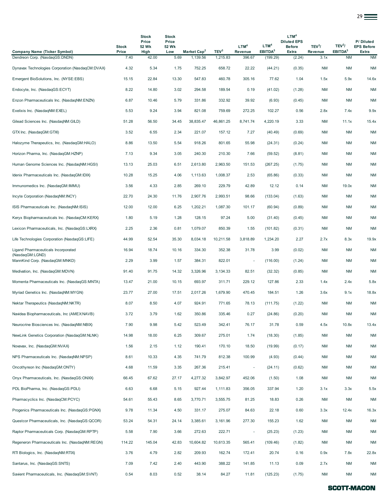|                                                   |                       |                                        |                                       |                         |                  |                             |                                         |                                                                  |                               |                                           | 29 <del>—</del>                                |
|---------------------------------------------------|-----------------------|----------------------------------------|---------------------------------------|-------------------------|------------------|-----------------------------|-----------------------------------------|------------------------------------------------------------------|-------------------------------|-------------------------------------------|------------------------------------------------|
| <b>Company Name (Ticker Symbol)</b>               | <b>Stock</b><br>Price | <b>Stock</b><br>Price<br>52 Wk<br>High | <b>Stock</b><br>Price<br>52 Wk<br>Low | Market Cap <sup>2</sup> | TEV <sup>3</sup> | LTM <sup>4</sup><br>Revenue | LTM <sup>4</sup><br>EBITDA <sup>5</sup> | LTM <sup>4</sup><br><b>Diluted EPS</b><br><b>Before</b><br>Extra | TEV <sup>3</sup> /<br>Revenue | TEV <sup>3</sup> /<br>EBITDA <sup>5</sup> | P/Diluted<br><b>EPS Before</b><br><b>Extra</b> |
| Dendreon Corp. (NasdaqGS:DNDN)                    | 7.40                  | 42.00                                  | 5.69                                  | 1,139.56                | 1,215.83         | 396.67                      | (199.29)                                | (2.24)                                                           | 3.1x                          | <b>NM</b>                                 | <b>NM</b>                                      |
| Dynavax Technologies Corporation (NasdaqCM:DVAX)  | 4.32                  | 5.34                                   | 1.75                                  | 752.25                  | 658.72           | 22.22                       | (44.21)                                 | (0.35)                                                           | <b>NM</b>                     | ΝM                                        | <b>NM</b>                                      |
| Emergent BioSolutions, Inc. (NYSE:EBS)            | 15.15                 | 22.84                                  | 13.30                                 | 547.83                  | 460.78           | 305.16                      | 77.62                                   | 1.04                                                             | 1.5x                          | 5.9x                                      | 14.6x                                          |
| Endocyte, Inc. (NasdaqGS:ECYT)                    | 8.22                  | 14.80                                  | 3.02                                  | 294.58                  | 189.54           | 0.19                        | (41.02)                                 | (1.28)                                                           | <b>NM</b>                     | <b>NM</b>                                 | <b>NM</b>                                      |
| Enzon Pharmaceuticals Inc. (NasdaqNM:ENZN)        | 6.87                  | 10.46                                  | 5.79                                  | 331.86                  | 332.92           | 39.92                       | (6.93)                                  | (0.45)                                                           | <b>NM</b>                     | <b>NM</b>                                 | <b>NM</b>                                      |
| Exelixis Inc. (NasdaqNM:EXEL)                     | 5.53                  | 9.24                                   | 3.94                                  | 821.08                  | 759.69           | 272.25                      | 102.27                                  | 0.56                                                             | 2.8x                          | 7.4x                                      | 9.9x                                           |
| Gilead Sciences Inc. (NasdaqNM:GILD)              | 51.28                 | 56.50                                  | 34.45                                 | 38,835.47               | 46,861.25        | 8,741.74                    | 4,220.19                                | 3.33                                                             | <b>NM</b>                     | 11.1x                                     | 15.4x                                          |
| GTX Inc. (NasdaqGM:GTXI)                          | 3.52                  | 6.55                                   | 2.34                                  | 221.07                  | 157.12           | 7.27                        | (40.49)                                 | (0.69)                                                           | <b>NM</b>                     | <b>NM</b>                                 | <b>NM</b>                                      |
| Halozyme Therapeutics, Inc. (NasdaqGM:HALO)       | 8.86                  | 13.50                                  | 5.54                                  | 918.26                  | 801.65           | 55.98                       | (24.31)                                 | (0.24)                                                           | <b>NM</b>                     | <b>NM</b>                                 | <b>NM</b>                                      |
| Horizon Pharma, Inc. (NasdaqGM:HZNP)              | 7.13                  | 9.34                                   | 3.05                                  | 240.30                  | 210.30           | 7.66                        | (59.52)                                 | (8.81)                                                           | <b>NM</b>                     | <b>NM</b>                                 | <b>NM</b>                                      |
| Human Genome Sciences Inc. (NasdaqNM:HGSI)        | 13.13                 | 25.03                                  | 6.51                                  | 2,613.80                | 2,963.50         | 151.53                      | (267.25)                                | (1.75)                                                           | <b>NM</b>                     | <b>NM</b>                                 | <b>NM</b>                                      |
| Idenix Pharmaceuticals Inc. (NasdaqGM:IDIX)       | 10.28                 | 15.25                                  | 4.06                                  | 1,113.63                | 1,008.37         | 2.53                        | (65.86)                                 | (0.33)                                                           | <b>NM</b>                     | <b>NM</b>                                 | <b>NM</b>                                      |
| Immunomedics Inc. (NasdaqGM: IMMU)                | 3.56                  | 4.33                                   | 2.85                                  | 269.10                  | 229.79           | 42.89                       | 12.12                                   | 0.14                                                             | <b>NM</b>                     | 19.0x                                     | <b>NM</b>                                      |
| Incyte Corporation (NasdaqNM:INCY)                | 22.70                 | 24.30                                  | 11.76                                 | 2,907.76                | 2,993.51         | 98.66                       | (133.04)                                | (1.63)                                                           | <b>NM</b>                     | <b>NM</b>                                 | <b>NM</b>                                      |
| ISIS Pharmaceuticals Inc. (NasdaqNM:ISIS)         | 12.00                 | 12.00                                  | 6.25                                  | 1,202.21                | 1,087.30         | 101.17                      | (60.94)                                 | (0.89)                                                           | <b>NM</b>                     | <b>NM</b>                                 | <b>NM</b>                                      |
| Keryx Biopharmaceuticals Inc. (NasdaqCM:KERX)     | 1.80                  | 5.19                                   | 1.28                                  | 128.15                  | 97.24            | 5.00                        | (31.40)                                 | (0.45)                                                           | <b>NM</b>                     | <b>NM</b>                                 | <b>NM</b>                                      |
| Lexicon Pharmaceuticals, Inc. (NasdaqGS:LXRX)     | 2.25                  | 2.36                                   | 0.81                                  | 1,079.07                | 850.39           | 1.55                        | (101.82)                                | (0.31)                                                           | <b>NM</b>                     | ΝM                                        | <b>NM</b>                                      |
| Life Technologies Corporation (NasdaqGS:LIFE)     | 44.99                 | 52.54                                  | 35.30                                 | 8,034.18                | 10,211.58        | 3,818.89                    | 1,234.20                                | 2.27                                                             | 2.7x                          | 8.3x                                      | 19.9x                                          |
| Ligand Pharmaceuticals Incorporated               | 16.94                 | 18.74                                  | 10.16                                 | 334.30                  | 352.38           | 31.78                       | 3.99                                    | (0.02)                                                           | <b>NM</b>                     | <b>NM</b>                                 | <b>NM</b>                                      |
| (NasdaqGM:LGND)<br>MannKind Corp. (NasdaqGM:MNKD) | 2.29                  | 3.99                                   | 1.57                                  | 384.31                  | 822.01           |                             | (116.00)                                | (1.24)                                                           | <b>NM</b>                     | <b>NM</b>                                 | <b>NM</b>                                      |
| Medivation, Inc. (NasdaqGM:MDVN)                  | 91.40                 | 91.75                                  | 14.32                                 | 3,326.96                | 3,134.33         | 82.51                       | (32.32)                                 | (0.85)                                                           | <b>NM</b>                     | <b>NM</b>                                 | <b>NM</b>                                      |
| Momenta Pharmaceuticals Inc. (NasdaqGS:MNTA)      | 13.47                 | 21.00                                  | 10.15                                 | 693.97                  | 311.71           | 229.12                      | 127.86                                  | 2.33                                                             | 1.4x                          | 2.4x                                      | 5.8x                                           |
| Myriad Genetics Inc. (NasdaqNM:MYGN)              | 23.77                 | 27.00                                  | 17.51                                 | 2,017.26                | 1,679.90         | 470.45                      | 184.51                                  | 1.26                                                             | 3.6x                          | 9.1x                                      | 18.8x                                          |
| Nektar Therapeutics (NasdaqNM:NKTR)               | 8.07                  | 8.50                                   | 4.07                                  | 924.91                  | 771.65           | 78.13                       | (111.75)                                | (1.22)                                                           | <b>NM</b>                     | <b>NM</b>                                 | <b>NM</b>                                      |
| Navidea Biopharmaceuticals, Inc (AMEX:NAVB)       | 3.72                  | 3.79                                   | 1.62                                  | 350.86                  | 335.46           | 0.27                        | (24.86)                                 | (0.20)                                                           | <b>NM</b>                     | <b>NM</b>                                 | <b>NM</b>                                      |
| Neurocrine Biosciences Inc. (NasdaqNM:NBIX)       | 7.90                  | 9.98                                   | 5.42                                  | 523.49                  | 342.41           | 76.17                       | 31.78                                   | 0.59                                                             | 4.5x                          | 10.8x                                     | 13.4x                                          |
| NewLink Genetics Corporation (NasdaqGM:NLNK)      | 14.98                 | 18.00                                  | 6.25                                  | 309.67                  | 275.01           | 1.74                        | (18.30)                                 | (1.85)                                                           | <b>NM</b>                     | ΝM                                        | <b>NM</b>                                      |
| Novavax, Inc. (NasdaqGM:NVAX)                     | 1.56                  | 2.15                                   | 1.12                                  | 190.41                  | 170.10           | 18.50                       | (19.99)                                 | (0.17)                                                           | <b>NM</b>                     | ΝM                                        | <b>NM</b>                                      |
| NPS Pharmaceuticals Inc. (NasdaqNM:NPSP)          | 8.61                  | 10.33                                  | 4.35                                  | 741.79                  | 812.38           | 100.99                      | (4.93)                                  | (0.44)                                                           | <b>NM</b>                     | <b>NM</b>                                 | <b>NM</b>                                      |
| Oncothyreon Inc (NasdaqGM:ONTY)                   | 4.68                  | 11.59                                  | 3.35                                  | 267.36                  | 215.41           | ÷,                          | (24.11)                                 | (0.62)                                                           | <b>NM</b>                     | <b>NM</b>                                 | <b>NM</b>                                      |
| Onyx Pharmaceuticals, Inc. (NasdaqGS:ONXX)        | 66.45                 | 67.62                                  | 27.17                                 | 4,277.32                | 3,842.97         | 452.06                      | (1.50)                                  | 1.08                                                             | <b>NM</b>                     | <b>NM</b>                                 | <b>NM</b>                                      |
| PDL BioPharma, Inc. (NasdaqGS:PDLI)               | 6.63                  | 6.68                                   | 5.15                                  | 927.44                  | 1,111.83         | 356.05                      | 337.94                                  | 1.20                                                             | 3.1x                          | 3.3x                                      | 5.5x                                           |
| Pharmacyclics Inc. (NasdaqCM:PCYC)                | 54.61                 | 55.43                                  | 8.65                                  | 3,770.71                | 3,555.75         | 81.25                       | 18.83                                   | 0.26                                                             | <b>NM</b>                     | ΝM                                        | <b>NM</b>                                      |
| Progenics Pharmaceuticals Inc. (NasdaqGS:PGNX)    | 9.78                  | 11.34                                  | 4.50                                  | 331.17                  | 275.07           | 84.63                       | 22.18                                   | 0.60                                                             | 3.3x                          | 12.4x                                     | 16.3x                                          |
| Questcor Pharmaceuticals, Inc. (NasdaqGS:QCOR)    | 53.24                 | 54.31                                  | 24.14                                 | 3,385.61                | 3,161.96         | 277.30                      | 155.23                                  | 1.62                                                             | <b>NM</b>                     | <b>NM</b>                                 | <b>NM</b>                                      |
| Raptor Pharmaceuticals Corp. (NasdaqGM:RPTP)      | 5.58                  | 7.90                                   | 3.66                                  | 272.63                  | 222.71           | ÷                           | (25.23)                                 | (1.23)                                                           | <b>NM</b>                     | <b>NM</b>                                 | <b>NM</b>                                      |
| Regeneron Pharmaceuticals Inc. (NasdaqNM:REGN)    | 114.22                | 145.04                                 | 42.83                                 | 10,604.82               | 10,613.35        | 565.41                      | (109.46)                                | (1.82)                                                           | <b>NM</b>                     | ΝM                                        | <b>NM</b>                                      |
| RTI Biologics, Inc. (NasdaqNM:RTIX)               | 3.76                  | 4.79                                   | 2.82                                  | 209.93                  | 162.74           | 172.41                      | 20.74                                   | 0.16                                                             | 0.9x                          | 7.8x                                      | 22.8x                                          |
| Santarus, Inc. (NasdaqGS:SNTS)                    | 7.09                  | 7.42                                   | 2.40                                  | 443.90                  | 388.22           | 141.85                      | 11.13                                   | 0.09                                                             | 2.7x                          | <b>NM</b>                                 | <b>NM</b>                                      |
| Savient Pharmaceuticals, Inc. (NasdaqGM:SVNT)     | 0.54                  | 8.03                                   | 0.52                                  | 38.14                   | 84.27            | 11.81                       | (125.23)                                | (1.75)                                                           | NM                            | <b>NM</b>                                 | <b>NM</b>                                      |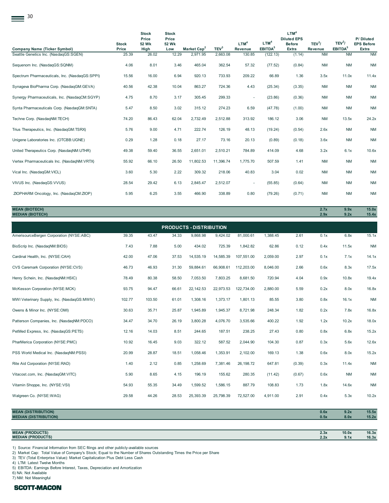| 30                                             |                       |                                        |                                              |                         |                  |                             |                                         |                                                                  |                               |                                           |                                         |
|------------------------------------------------|-----------------------|----------------------------------------|----------------------------------------------|-------------------------|------------------|-----------------------------|-----------------------------------------|------------------------------------------------------------------|-------------------------------|-------------------------------------------|-----------------------------------------|
| <b>Company Name (Ticker Symbol)</b>            | <b>Stock</b><br>Price | <b>Stock</b><br>Price<br>52 Wk<br>High | <b>Stock</b><br>Price<br><b>52 Wk</b><br>Low | Market Cap <sup>2</sup> | TEV <sup>3</sup> | LTM <sup>4</sup><br>Revenue | LTM <sup>4</sup><br>EBITDA <sup>5</sup> | LTM <sup>4</sup><br><b>Diluted EPS</b><br><b>Before</b><br>Extra | TEV <sup>3</sup> /<br>Revenue | TEV <sup>3</sup> /<br>EBITDA <sup>5</sup> | P/Diluted<br><b>EPS Before</b><br>Extra |
| Seattle Genetics Inc. (NasdaqGS:SGEN)          | 25.39                 | 26.02                                  | 12.29                                        | 2,971.95                | 2,663.08         | 130.85                      | (122.13)                                | (1.14)                                                           | <b>NM</b>                     | <b>NM</b>                                 | <b>NM</b>                               |
| Sequenom Inc. (NasdaqGS:SQNM)                  | 4.06                  | 8.01                                   | 3.46                                         | 465.04                  | 362.54           | 57.32                       | (77.52)                                 | (0.84)                                                           | <b>NM</b>                     | <b>NM</b>                                 | <b>NM</b>                               |
| Spectrum Pharmaceuticals, Inc. (NasdaqGS:SPPI) | 15.56                 | 16.00                                  | 6.94                                         | 920.13                  | 733.93           | 209.22                      | 66.89                                   | 1.36                                                             | 3.5x                          | 11.0x                                     | 11.4x                                   |
| Synageva BioPharma Corp. (NasdaqGM:GEVA)       | 40.56                 | 42.38                                  | 10.04                                        | 863.27                  | 724.36           | 4.43                        | (25.34)                                 | (3.35)                                                           | <b>NM</b>                     | <b>NM</b>                                 | <b>NM</b>                               |
| Synergy Pharmaceuticals, Inc. (NasdaqCM:SGYP)  | 4.75                  | 8.70                                   | 3.17                                         | 305.45                  | 299.33           | $\sim$                      | (23.86)                                 | (0.36)                                                           | <b>NM</b>                     | <b>NM</b>                                 | <b>NM</b>                               |
| Synta Pharmaceuticals Corp. (NasdaqGM:SNTA)    | 5.47                  | 8.50                                   | 3.02                                         | 315.12                  | 274.23           | 6.59                        | (47.78)                                 | (1.00)                                                           | <b>NM</b>                     | <b>NM</b>                                 | <b>NM</b>                               |
| Techne Corp. (NasdaqNM:TECH)                   | 74.20                 | 86.43                                  | 62.04                                        | 2,732.49                | 2,512.88         | 313.92                      | 186.12                                  | 3.06                                                             | <b>NM</b>                     | 13.5x                                     | 24.2x                                   |
| Trius Therapeutics, Inc. (NasdaqGM:TSRX)       | 5.76                  | 9.00                                   | 4.71                                         | 222.74                  | 126.19           | 48.13                       | (19.24)                                 | (0.54)                                                           | 2.6x                          | <b>NM</b>                                 | <b>NM</b>                               |
| Unigene Laboratories Inc. (OTCBB:UGNE)         | 0.29                  | 1.28                                   | 0.18                                         | 27.17                   | 73.16            | 20.13                       | (0.89)                                  | (0.18)                                                           | 3.6x                          | <b>NM</b>                                 | <b>NM</b>                               |
| United Therapeutics Corp. (NasdaqNM:UTHR)      | 49.38                 | 59.40                                  | 36.55                                        | 2,651.01                | 2,510.21         | 784.89                      | 414.09                                  | 4.68                                                             | 3.2x                          | 6.1x                                      | 10.6x                                   |
| Vertex Pharmaceuticals Inc. (NasdaqNM:VRTX)    | 55.92                 | 66.10                                  | 26.50                                        | 11,802.53               | 11,396.74        | 1,775.70                    | 507.59                                  | 1.41                                                             | <b>NM</b>                     | <b>NM</b>                                 | <b>NM</b>                               |
| Vical Inc. (NasdaqGM:VICL)                     | 3.60                  | 5.30                                   | 2.22                                         | 309.32                  | 218.06           | 40.83                       | 3.04                                    | 0.02                                                             | <b>NM</b>                     | <b>NM</b>                                 | <b>NM</b>                               |
| VIVUS Inc. (NasdagGS: VVUS)                    | 28.54                 | 29.42                                  | 6.13                                         | 2,845.47                | 2,512.07         |                             | (55.85)                                 | (0.64)                                                           | <b>NM</b>                     | <b>NM</b>                                 | <b>NM</b>                               |
| ZIOPHARM Oncology, Inc. (NasdaqCM:ZIOP)        | 5.95                  | 6.25                                   | 3.55                                         | 466.90                  | 338.89           | 0.80                        | (79.26)                                 | (0.71)                                                           | <b>NM</b>                     | <b>NM</b>                                 | <b>NM</b>                               |

**MEAN (BIOTECH) 2.7x 9.9x 15.0x MEDIAN (BIOTECH) 2.9x 9.2x 15.4x** AmerisourceBergen Corporation (NYSE:ABC) 39.35 43.47 34.33 9,868.98 9,424.02 81,000.61 1,388.45 2.61 0.1x 6.8x 15.1x BioScrip Inc. (NasdaqNM:BIOS) 7.43 7.88 5.00 434.02 725.39 1,842.82 62.86 0.12 0.4x 11.5x NM Cardinal Health, Inc. (NYSE:CAH) 42.00 47.06 37.53 14,535.19 14,585.39 107,551.00 2,059.00 2.97 0.1x 7.1x 14.1x CVS Caremark Corporation (NYSE:CVS) 46.73 46.93 31.30 59,884.61 66,908.61 112,203.00 8,046.00 2.66 0.6x 8.3x 17.5x Henry Schein, Inc. (NasdaqNM:HSIC) 78.49 80.38 58.50 7,053.50 7,803.25 8,681.50 720.94 4.04 0.9x 10.8x 19.4x McKesson Corporation (NYSE:MCK) 93.75 94.47 66.61 22,142.53 22,973.53 122,734.00 2,880.00 5.59 0.2x 8.0x 16.8x MWI Veterinary Supply, Inc. (NasdaqGS:MWIV) 102.77 103.50 61.01 1,308.16 1,373.17 1,801.13 85.55 3.80 0.8x 16.1x NM Owens & Minor Inc. (NYSE:OMI) 30.63 35.71 25.87 1,945.89 1,945.37 8,721.98 248.34 1.82 0.2x 7.8x 16.8x Patterson Companies, Inc. (NasdaqNM:PDCO) 34.47 34.70 26.19 3,800.28 4,076.70 3,535.66 400.22 1.92 1.2x 10.2x 18.0x PetMed Express, Inc. (NasdaqGS:PETS) 12.16 14.03 8.51 244.65 187.51 238.25 27.43 0.80 0.8x 6.8x 15.2x PharMerica Corporation (NYSE:PMC) 10.92 16.45 9.03 322.12 587.52 2,044.90 104.30 0.87 0.3x 5.6x 12.6x PSS World Medical Inc. (NasdaqNM:PSSI) 20.99 28.87 18.51 1,058.46 1,353.91 2,102.00 169.13 1.38 0.6x 8.0x 15.2x Rite Aid Corporation (NYSE:RAD) 1.40 2.12 0.85 1,258.69 7,381.46 26,198.72 647.81 (0.39) 0.3x 11.4x NM Vitacost.com, Inc. (NasdaqGM:VITC) 5.90 8.65 4.15 196.19 155.62 280.35 (11.42) (0.67) 0.6x NM NM Vitamin Shoppe, Inc. (NYSE:VSI) 64.93 54.93 55.35 34.49 1,599.52 1,586.15 887.79 108.83 1.73 1.8x 14.6x NM Walgreen Co. (NYSE:WAG) 25.58 29.58 44.26 28.53 25,393.39 25,798.39 72,527.00 4,911.00 2.91 0.4x 5.3x 10.2x **PRODUCTS - DISTRIBUTION**

| <b>MEAN (DISTRIBUTION)</b>   | 0.6x | 9.2x | 15.5x |
|------------------------------|------|------|-------|
| <b>MEDIAN (DISTRIBUTION)</b> | 0.5x | 8.0x | 15.2x |
|                              |      |      |       |
|                              |      |      |       |

#### **MEAN (PRODUCTS) 2.3x 10.0x 16.3x MEDIAN (PRODUCTS) 2.2x 9.1x 16.3x**

1) Source: Financial Information from SEC filings and other publicly-available sources

2) Market Cap: Total Value of Company's Stock; Equal to the Number of Shares Outstanding Times the Price per Share

3) TEV (Total Enterprise Value): Market Capitalization Plus Debt Less Cash

4) LTM: Latest Twelve Months

5) EBITDA: Earnings Before Interest, Taxes, Depreciation and Amortization

6) NA: Not Available

7) NM: Not Meaningful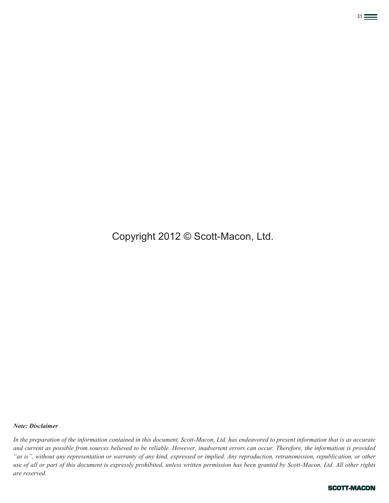# Copyright 2012 © Scott-Macon, Ltd.

 $31$ 

#### *Note: Disclaimer*

*In the preparation of the information contained in this document, Scott-Macon, Ltd. has endeavored to present information that is as accurate and current as possible from sources believed to be reliable. However, inadvertent errors can occur. Therefore, the information is provided "as is", without any representation or warranty of any kind, expressed or implied. Any reproduction, retransmission, republication, or other use of all or part of this document is expressly prohibited, unless written permission has been granted by Scott-Macon, Ltd. All other rights are reserved.*